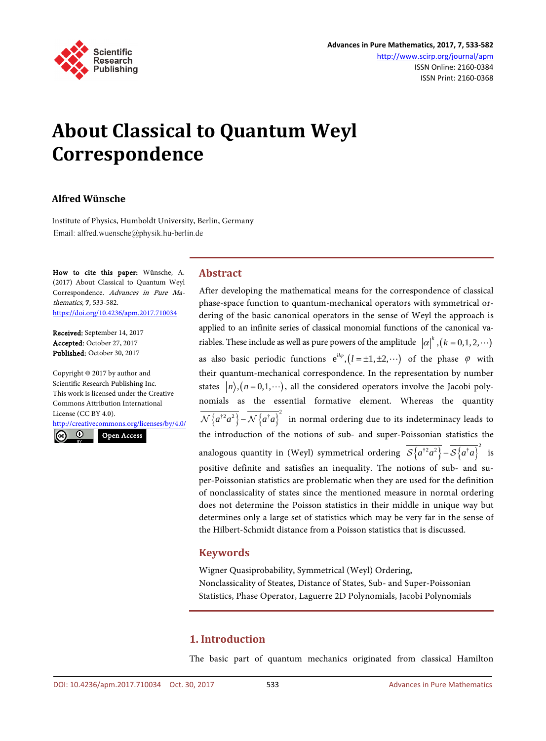

# **About Classical to Quantum Weyl Correspondence**

## **Alfred Wünsche**

Institute of Physics, Humboldt University, Berlin, Germany Email: alfred.wuensche@physik.hu-berlin.de

How to cite this paper: Wünsche, A. (2017) About Classical to Quantum Weyl Correspondence. Advances in Pure Mathematics, 7, 533-582. <https://doi.org/10.4236/apm.2017.710034>

Received: September 14, 2017 Accepted: October 27, 2017 Published: October 30, 2017

Copyright © 2017 by author and Scientific Research Publishing Inc. This work is licensed under the Creative Commons Attribution International License (CC BY 4.0).

<http://creativecommons.org/licenses/by/4.0/>

 $\odot$ Open Access<sub>cc</sub>

**Abstract**

After developing the mathematical means for the correspondence of classical phase-space function to quantum-mechanical operators with symmetrical ordering of the basic canonical operators in the sense of Weyl the approach is applied to an infinite series of classical monomial functions of the canonical variables. These include as well as pure powers of the amplitude  $|\alpha|^k$ ,  $(k = 0,1,2,...)$ as also basic periodic functions  $e^{i l \varphi}$ ,  $(l = \pm 1, \pm 2, \cdots)$  of the phase  $\varphi$  with their quantum-mechanical correspondence. In the representation by number states  $\langle n \rangle$ ,  $(n = 0,1,\dots)$ , all the considered operators involve the Jacobi polynomials as the essential formative element. Whereas the quantity  ${\cal N}\big\{a^{\dagger 2}a^2\big\}$  –  ${\cal N}\big\{a^{\dagger }a\big\}^2$  in normal ordering due to its indeterminacy leads to the introduction of the notions of sub- and super-Poissonian statistics the analogous quantity in (Weyl) symmetrical ordering  $\overline{\mathcal{S}\left\{a^{\dagger 2}a^2\right\}} - \overline{\mathcal{S}\left\{a^{\dagger}a\right\}}^2$  is positive definite and satisfies an inequality. The notions of sub- and super-Poissonian statistics are problematic when they are used for the definition of nonclassicality of states since the mentioned measure in normal ordering does not determine the Poisson statistics in their middle in unique way but determines only a large set of statistics which may be very far in the sense of the Hilbert-Schmidt distance from a Poisson statistics that is discussed.

#### **Keywords**

Wigner Quasiprobability, Symmetrical (Weyl) Ordering, Nonclassicality of Steates, Distance of States, Sub- and Super-Poissonian Statistics, Phase Operator, Laguerre 2D Polynomials, Jacobi Polynomials

# **1. Introduction**

The basic part of quantum mechanics originated from classical Hamilton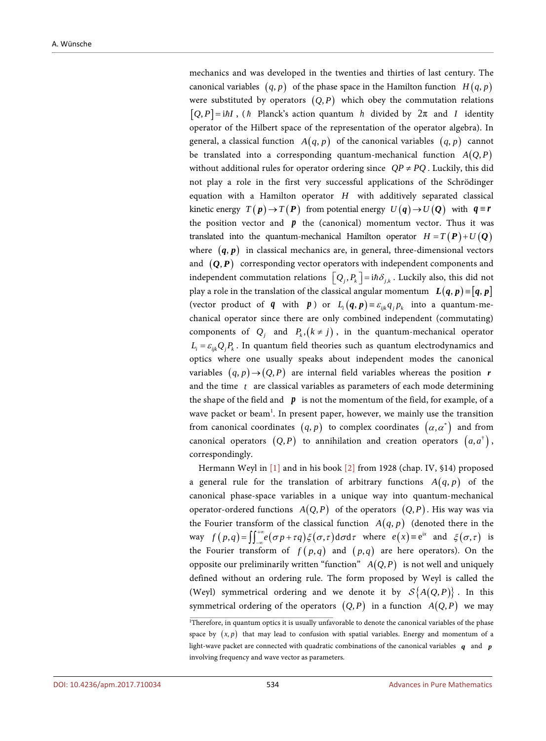mechanics and was developed in the twenties and thirties of last century. The canonical variables  $(q, p)$  of the phase space in the Hamilton function  $H(q, p)$ were substituted by operators  $(Q, P)$  which obey the commutation relations  $[Q, P] = i\hbar I$ , ( $\hbar$  Planck's action quantum  $h$  divided by  $2\pi$  and *I* identity operator of the Hilbert space of the representation of the operator algebra). In general, a classical function  $A(q, p)$  of the canonical variables  $(q, p)$  cannot be translated into a corresponding quantum-mechanical function  $A(Q, P)$ without additional rules for operator ordering since  $QP \neq PQ$ . Luckily, this did not play a role in the first very successful applications of the Schrödinger equation with a Hamilton operator *H* with additively separated classical kinetic energy  $T(p) \rightarrow T(P)$  from potential energy  $U(q) \rightarrow U(Q)$  with  $q \equiv r$ the position vector and  $p$  the (canonical) momentum vector. Thus it was translated into the quantum-mechanical Hamilton operator  $H = T(P) + U(Q)$ where  $(q, p)$  in classical mechanics are, in general, three-dimensional vectors and  $(Q, P)$  corresponding vector operators with independent components and independent commutation relations  $\left[Q_i, P_k\right] = \mathrm{i}\hbar \delta_{ik}$ . Luckily also, this did not play a role in the translation of the classical angular momentum  $L(q, p) = [q, p]$ (vector product of *q* with *p*) or  $L_i(q, p) = \varepsilon_{ijk} q_i p_k$  into a quantum-mechanical operator since there are only combined independent (commutating) components of  $Q_i$  and  $P_k$ ,  $(k \neq j)$ , in the quantum-mechanical operator  $L_i = \varepsilon_{ijk} Q_i P_k$ . In quantum field theories such as quantum electrodynamics and optics where one usually speaks about independent modes the canonical variables  $(q, p) \rightarrow (Q, P)$  are internal field variables whereas the position *r* and the time *t* are classical variables as parameters of each mode determining the shape of the field and  $\boldsymbol{p}$  is not the momentum of the field, for example, of a wave packet or beam<sup>1</sup>. In present paper, however, we mainly use the transition from canonical coordinates  $(q, p)$  to complex coordinates  $(\alpha, \alpha^*)$  and from canonical operators  $(Q, P)$  to annihilation and creation operators  $(a, a^{\dagger})$ , correspondingly.

Hermann Weyl in [\[1\]](#page-40-0) and in his book [\[2\]](#page-40-1) from 1928 (chap. IV, §14) proposed a general rule for the translation of arbitrary functions  $A(q, p)$  of the canonical phase-space variables in a unique way into quantum-mechanical operator-ordered functions  $A(Q, P)$  of the operators  $(Q, P)$ . His way was via the Fourier transform of the classical function  $A(q, p)$  (denoted there in the way  $f(p,q) = \iint_{-\infty}^{+\infty} e(\sigma p + \tau q) \xi(\sigma, \tau) d\sigma d\tau$  where  $e(x) \equiv e^{ix}$  and  $\xi(\sigma, \tau)$  is the Fourier transform of  $f(p,q)$  and  $(p,q)$  are here operators). On the opposite our preliminarily written "function"  $A(Q, P)$  is not well and uniquely defined without an ordering rule. The form proposed by Weyl is called the (Weyl) symmetrical ordering and we denote it by  $S\{A(Q, P)\}\$ . In this symmetrical ordering of the operators  $(Q, P)$  in a function  $A(Q, P)$  we may

<sup>1</sup> Therefore, in quantum optics it is usually unfavorable to denote the canonical variables of the phase space by  $(x, p)$  that may lead to confusion with spatial variables. Energy and momentum of a light-wave packet are connected with quadratic combinations of the canonical variables *q* and *p* involving frequency and wave vector as parameters.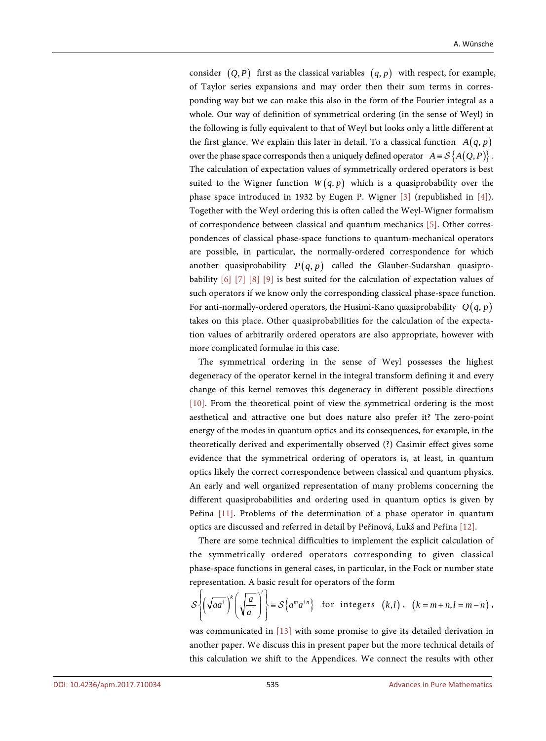consider  $(Q, P)$  first as the classical variables  $(q, p)$  with respect, for example, of Taylor series expansions and may order then their sum terms in corresponding way but we can make this also in the form of the Fourier integral as a whole. Our way of definition of symmetrical ordering (in the sense of Weyl) in the following is fully equivalent to that of Weyl but looks only a little different at the first glance. We explain this later in detail. To a classical function  $A(q, p)$ over the phase space corresponds then a uniquely defined operator  $A = S\{A(Q, P)\}\.$ The calculation of expectation values of symmetrically ordered operators is best suited to the Wigner function  $W(q, p)$  which is a quasiprobability over the phase space introduced in 1932 by Eugen P. Wigner [\[3\]](#page-40-2) (republished in [\[4\]\)](#page-40-3). Together with the Weyl ordering this is often called the Weyl-Wigner formalism of correspondence between classical and quantum mechanics [\[5\].](#page-40-4) Other correspondences of classical phase-space functions to quantum-mechanical operators are possible, in particular, the normally-ordered correspondence for which another quasiprobability  $P(q, p)$  called the Glauber-Sudarshan quasiprobability [\[6\]](#page-40-5) [\[7\]](#page-40-6) [\[8\]](#page-40-7) [\[9\]](#page-40-8) is best suited for the calculation of expectation values of such operators if we know only the corresponding classical phase-space function. For anti-normally-ordered operators, the Husimi-Kano quasiprobability  $Q(q, p)$ takes on this place. Other quasiprobabilities for the calculation of the expectation values of arbitrarily ordered operators are also appropriate, however with more complicated formulae in this case.

The symmetrical ordering in the sense of Weyl possesses the highest degeneracy of the operator kernel in the integral transform defining it and every change of this kernel removes this degeneracy in different possible directions [\[10\].](#page-40-9) From the theoretical point of view the symmetrical ordering is the most aesthetical and attractive one but does nature also prefer it? The zero-point energy of the modes in quantum optics and its consequences, for example, in the theoretically derived and experimentally observed (?) Casimir effect gives some evidence that the symmetrical ordering of operators is, at least, in quantum optics likely the correct correspondence between classical and quantum physics. An early and well organized representation of many problems concerning the different quasiprobabilities and ordering used in quantum optics is given by Peřina [\[11\].](#page-40-10) Problems of the determination of a phase operator in quantum optics are discussed and referred in detail by Peřinová, Lukš and Peřina [\[12\].](#page-40-11)

There are some technical difficulties to implement the explicit calculation of the symmetrically ordered operators corresponding to given classical phase-space functions in general cases, in particular, in the Fock or number state representation. A basic result for operators of the form

$$
S\left\{\left(\sqrt{aa^{\dagger}}\right)^{k}\left(\sqrt{\frac{a}{a^{\dagger}}}\right)^{l}\right\} \equiv S\left\{a^{m}a^{\dagger n}\right\} \text{ for integers } (k,l), (k=m+n,l=m-n),
$$

was communicated in [\[13\]](#page-40-12) with some promise to give its detailed derivation in another paper. We discuss this in present paper but the more technical details of this calculation we shift to the Appendices. We connect the results with other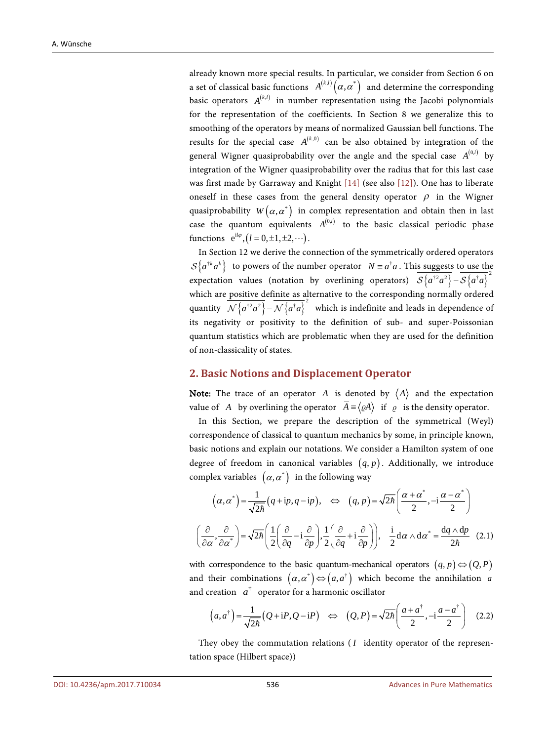already known more special results. In particular, we consider from Section 6 on a set of classical basic functions  $\ A^{(k,l)}\big(\alpha,\alpha^*\big)$  and determine the corresponding basic operators  $A^{(k,l)}$  in number representation using the Jacobi polynomials for the representation of the coefficients. In Section 8 we generalize this to smoothing of the operators by means of normalized Gaussian bell functions. The results for the special case  $A^{(k,0)}$  can be also obtained by integration of the general Wigner quasiprobability over the angle and the special case  $A^{(0,l)}$  by integration of the Wigner quasiprobability over the radius that for this last case was first made by Garraway and Knight [\[14\]](#page-40-13) (see also [\[12\]\)](#page-40-11). One has to liberate oneself in these cases from the general density operator  $\rho$  in the Wigner quasiprobability  $W(\alpha, \alpha^*)$  in complex representation and obtain then in last case the quantum equivalents  $A^{(0,l)}$  to the basic classical periodic phase functions  $e^{i l \varphi}, (l = 0, \pm 1, \pm 2, \cdots)$ .

In Section 12 we derive the connection of the symmetrically ordered operators  ${\cal S}\{a^{†}a^k\}$  to powers of the number operator  $N \equiv a^{\dagger}a$ . This suggests to use the expectation values (notation by overlining operators)  $\overline{\mathcal{S}\left\{a^{\dagger}a^2\right\}} - \overline{\mathcal{S}\left\{a^{\dagger}a\right\}}^2$ which are positive definite as alternative to the corresponding normally ordered quantity  $\overline{\mathcal{N}\left\{a^{\dagger 2}a^2\right\}} - \overline{\mathcal{N}\left\{a^{\dagger}a\right\}}^2$  which is indefinite and leads in dependence of its negativity or positivity to the definition of sub- and super-Poissonian quantum statistics which are problematic when they are used for the definition of non-classicality of states.

#### **2. Basic Notions and Displacement Operator**

**Note:** The trace of an operator *A* is denoted by  $\langle A \rangle$  and the expectation value of *A* by overlining the operator  $\overline{A} = \langle \varrho A \rangle$  if  $\varrho$  is the density operator.

In this Section, we prepare the description of the symmetrical (Weyl) correspondence of classical to quantum mechanics by some, in principle known, basic notions and explain our notations. We consider a Hamilton system of one degree of freedom in canonical variables  $(q, p)$ . Additionally, we introduce complex variables  $(\alpha, \alpha^*)$  in the following way

$$
\left(\alpha, \alpha^*\right) = \frac{1}{\sqrt{2\hbar}} \left(q + \mathrm{i}p, q - \mathrm{i}p\right), \quad \Leftrightarrow \quad \left(q, p\right) = \sqrt{2\hbar} \left(\frac{\alpha + \alpha^*}{2}, -\mathrm{i}\frac{\alpha - \alpha^*}{2}\right)
$$
\n
$$
\left(\frac{\partial}{\partial \alpha}, \frac{\partial}{\partial \alpha^*}\right) = \sqrt{2\hbar} \left(\frac{1}{2}\left(\frac{\partial}{\partial q} - \mathrm{i}\frac{\partial}{\partial p}\right), \frac{1}{2}\left(\frac{\partial}{\partial q} + \mathrm{i}\frac{\partial}{\partial p}\right)\right), \quad \frac{\mathrm{i}}{2}\mathrm{d}\alpha \wedge \mathrm{d}\alpha^* = \frac{\mathrm{d}q \wedge \mathrm{d}p}{2\hbar} \quad (2.1)
$$

with correspondence to the basic quantum-mechanical operators  $(q, p) \Leftrightarrow (Q, P)$ and their combinations  $(\alpha, \alpha^*) \Leftrightarrow (a, a^*)$  which become the annihilation *a* and creation  $a^{\dagger}$  operator for a harmonic oscillator

$$
(a,a^{\dagger}) = \frac{1}{\sqrt{2\hbar}}(Q + iP, Q - iP) \Leftrightarrow (Q, P) = \sqrt{2\hbar} \left(\frac{a + a^{\dagger}}{2}, -i\frac{a - a^{\dagger}}{2}\right) (2.2)
$$

They obey the commutation relations ( *I* identity operator of the representation space (Hilbert space))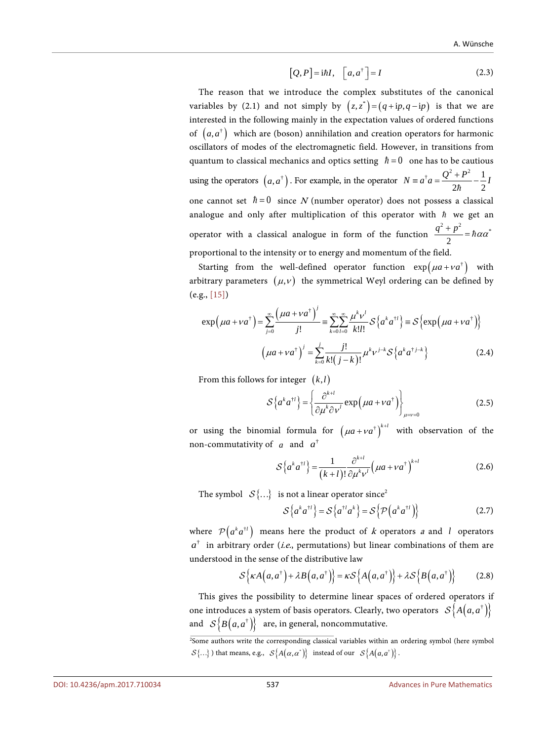$$
[Q, P] = i\hbar I, \quad [a, a^{\dagger}] = I \tag{2.3}
$$

The reason that we introduce the complex substitutes of the canonical variables by (2.1) and not simply by  $(z, z^*) = (q + ip, q - ip)$  is that we are interested in the following mainly in the expectation values of ordered functions of  $(a, a^{\dagger})$  which are (boson) annihilation and creation operators for harmonic oscillators of modes of the electromagnetic field. However, in transitions from quantum to classical mechanics and optics setting  $\hbar = 0$  one has to be cautious using the operators  $(a, a^{\dagger})$ . For example, in the operator  $N = a^{\dagger} a = \frac{Q^2 + P^2}{2\sigma^2} - \frac{1}{2}$  $N \equiv a^{\dagger} a = \frac{Q^2 + P^2}{2\hbar} - \frac{1}{2}I$ one cannot set  $\hbar = 0$  since N (number operator) does not possess a classical analogue and only after multiplication of this operator with  $\hbar$  we get an operator with a classical analogue in form of the function  $^{2}+p^{2}=$ **b** $\sim$ <sup>\*</sup> 2  $\frac{q^2+p^2}{2}$  =  $\hbar \alpha \alpha$ proportional to the intensity or to energy and momentum of the field.

Starting from the well-defined operator function  $\exp(\mu a + v a^{\dagger})$  with arbitrary parameters  $(\mu, v)$  the symmetrical Weyl ordering can be defined by (e.g., [\[15\]\)](#page-40-14)

$$
\exp\left(\mu a + v a^{\dagger}\right) = \sum_{j=0}^{\infty} \frac{\left(\mu a + v a^{\dagger}\right)^j}{j!} = \sum_{k=0}^{\infty} \sum_{l=0}^{\infty} \frac{\mu^k v^l}{k!l!} \mathcal{S}\left\{a^k a^{\dagger l}\right\} \equiv \mathcal{S}\left\{\exp\left(\mu a + v a^{\dagger}\right)\right\}
$$
\n
$$
\left(\mu a + v a^{\dagger}\right)^j = \sum_{k=0}^j \frac{j!}{k! (j-k)!} \mu^k v^{j-k} \mathcal{S}\left\{a^k a^{\dagger j-k}\right\} \tag{2.4}
$$

From this follows for integer  $(k, l)$ 

$$
S\left\{a^{k}a^{\dagger l}\right\} = \left\{\frac{\partial^{k+l}}{\partial \mu^{k} \partial \nu^{l}} \exp\left(\mu a + \nu a^{\dagger}\right)\right\}_{\mu=\nu=0}
$$
 (2.5)

or using the binomial formula for  $(\mu a + v a^{\dagger})^{k+l}$  with observation of the non-commutativity of  $a$  and  $a^{\dagger}$ 

$$
S\left\{a^{k}a^{\dagger l}\right\} = \frac{1}{\left(k+l\right)!} \frac{\partial^{k+l}}{\partial \mu^{k} \nu^{l}} \left(\mu a + v a^{\dagger}\right)^{k+l} \tag{2.6}
$$

The symbol  ${S}$ ...} is not a linear operator since<sup>2</sup>

$$
S\left\{a^{k}a^{\dagger l}\right\} = S\left\{a^{\dagger l}a^{k}\right\} = S\left\{\mathcal{P}\left(a^{k}a^{\dagger l}\right)\right\} \tag{2.7}
$$

where  $\mathcal{P}( a^k a^{i\ell} )$  means here the product of k operators a and *l* operators  $a^{\dagger}$  in arbitrary order (*i.e.*, permutations) but linear combinations of them are understood in the sense of the distributive law

$$
S\{\kappa A\left(a,a^{\dagger}\right)+\lambda B\left(a,a^{\dagger}\right)\}=\kappa S\left\{A\left(a,a^{\dagger}\right)\right\}+\lambda S\left\{B\left(a,a^{\dagger}\right)\right\}\tag{2.8}
$$

This gives the possibility to determine linear spaces of ordered operators if one introduces a system of basis operators. Clearly, two operators  ${\cal S}{A}(a,a^{\dagger})$ and  $S\left\{ B\left( a,a^{\dagger}\right) \right\}$  are, in general, noncommutative.

<sup>2</sup> Some authors write the corresponding classical variables within an ordering symbol (here symbol  ${S} \{...\}$ ) that means, e.g.,  ${S} \{A(\alpha, \alpha^*)\}$  instead of our  ${S} \{A(a, \alpha^*)\}$ .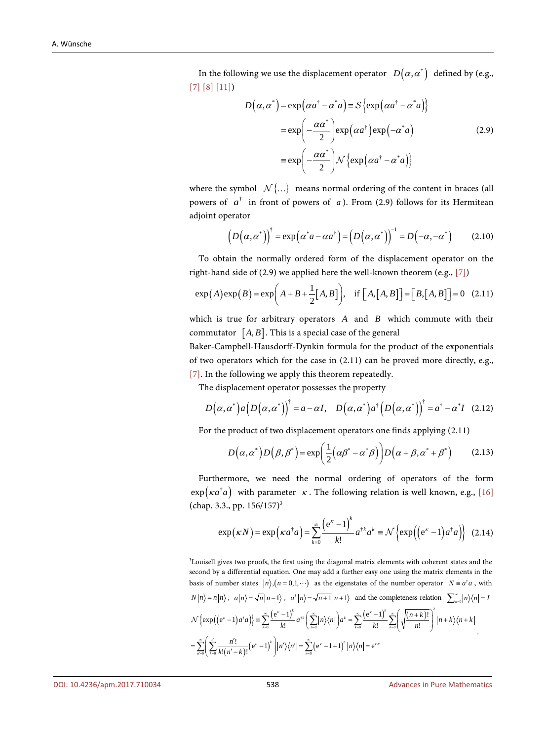In the following we use the displacement operator  $D(\alpha, \alpha^*)$  defined by (e.g., [\[7\]](#page-40-6) [\[8\]](#page-40-7) [\[11\]\)](#page-40-10)

$$
D(\alpha, \alpha^*) = \exp(\alpha a^{\dagger} - \alpha^* a) \equiv S \{ \exp(\alpha a^{\dagger} - \alpha^* a) \}
$$
  

$$
= \exp\left(-\frac{\alpha \alpha^*}{2}\right) \exp(\alpha a^{\dagger}) \exp(-\alpha^* a)
$$
  

$$
\equiv \exp\left(-\frac{\alpha \alpha^*}{2}\right) \mathcal{N} \{ \exp(\alpha a^{\dagger} - \alpha^* a) \}
$$
 (2.9)

where the symbol  $N$ {...} means normal ordering of the content in braces (all powers of  $a^{\dagger}$  in front of powers of a). From (2.9) follows for its Hermitean adjoint operator

$$
\left(D(\alpha,\alpha^*)\right)^{\dagger} = \exp(\alpha^* a - \alpha a^{\dagger}) = \left(D(\alpha,\alpha^*)\right)^{-1} = D(-\alpha,-\alpha^*) \tag{2.10}
$$

To obtain the normally ordered form of the displacement operator on the right-hand side of (2.9) we applied here the well-known theorem (e.g.[, \[7\]\)](#page-40-6)

$$
\exp(A)\exp(B) = \exp\left(A + B + \frac{1}{2}[A, B]\right), \quad \text{if } \left[A, [A, B]\right] = \left[B, [A, B]\right] = 0 \quad (2.11)
$$

which is true for arbitrary operators *A* and *B* which commute with their commutator  $[A, B]$ . This is a special case of the general

Baker-Campbell-Hausdorff-Dynkin formula for the product of the exponentials of two operators which for the case in (2.11) can be proved more directly, e.g., [\[7\].](#page-40-6) In the following we apply this theorem repeatedly.

The displacement operator possesses the property

$$
D(\alpha, \alpha^*) a(D(\alpha, \alpha^*))^{\dagger} = a - \alpha I, \quad D(\alpha, \alpha^*) a^{\dagger} (D(\alpha, \alpha^*))^{\dagger} = a^{\dagger} - \alpha^* I \quad (2.12)
$$

For the product of two displacement operators one finds applying (2.11)

$$
D(\alpha, \alpha^*) D(\beta, \beta^*) = \exp\left(\frac{1}{2}(\alpha\beta^* - \alpha^*\beta)\right) D(\alpha + \beta, \alpha^* + \beta^*)
$$
 (2.13)

Furthermore, we need the normal ordering of operators of the form  $\exp(\kappa a^{\dagger} a)$  with parameter  $\kappa$ . The following relation is well known, e.g., [\[16\]](#page-41-0) (chap. 3.3., pp.  $156/157$ )<sup>3</sup>

$$
\exp(\kappa N) = \exp\left(\kappa a^{\dagger} a\right) = \sum_{k=0}^{\infty} \frac{\left(e^{\kappa} - 1\right)^k}{k!} a^{\dagger k} a^k \equiv \mathcal{N}\left\{\exp\left(\left(e^{\kappa} - 1\right) a^{\dagger} a\right)\right\} (2.14)
$$

3 Louisell gives two proofs, the first using the diagonal matrix elements with coherent states and the second by a differential equation. One may add a further easy one using the matrix elements in the basis of number states  $|n\rangle$ ,  $(n = 0, 1, \dots)$  as the eigenstates of the number operator  $N = a^{\dagger} a$ , with  $N|n\rangle = n|n\rangle$ ,  $a|n\rangle = \sqrt{n}|n-1\rangle$ ,  $a^{\dagger}|n\rangle = \sqrt{n+1}|n+1\rangle$  and the completeness relation  $\sum_{n=0}^{\infty}|n\rangle\langle n|=1$  $\{\exp((e^x-1)a^{\dagger}a)\}=\sum_{n=0}^{\infty}\frac{(e^x-1)^{n}}{n!}a^{\dagger n}\left(\sum_{n=0}^{\infty}|n\rangle\langle n|\right)a^x=\sum_{n=0}^{\infty}\frac{(e^x-1)^{n}}{n!}\sum_{n=0}^{\infty}\left(\sqrt{\frac{(n+k)!}{n!}}\right)^n$  $\sum_{k=0}^{\infty}\left[\frac{n^{\prime}!}{k!(n^{\prime}-k)!}\!\left(\mathrm{e}^{\kappa}-1\right)^{k}\right]\!\!\left|n^{\prime}\right\rangle\!\!\left\langle n^{\prime}\right|=\sum_{n=0}^{\infty}\left(\mathrm{e}^{\kappa}-1+1\right)^{n}\!\left|n\right\rangle\!\!\left\langle n\right|\!=\mathrm{e}^{\kappa}$ † † 0 **K**:  $\lambda_{n=0}$  /  $k=0$  **K**:  $n=0$  $\exp((e^x - 1)a^{\dagger}a)\} = \sum_{k=0}^{\infty} \frac{(e^x - 1)^k}{k!} a^{\dagger k} \left( \sum_{n=0}^{\infty} |n\rangle\langle n| \right) a^k = \sum_{k=0}^{\infty} \frac{(e^x - 1)^k}{k!} \sum_{n=0}^{\infty} \left( \sqrt{\frac{(n+k)!}{n!}} \right) a^k$ *k k k k*  $\mathcal{L}\left\{a^{+}a\right\} = \sum_{k=0}^{\infty} \frac{\left(e^{k^2}-1\right)^k}{k!} a^{k^2} \left(\sum_{n=0}^{\infty} |n\rangle\langle n| \right) a^k = \sum_{k=0}^{\infty} \frac{\left(e^{k^2}-1\right)^k}{k!} \sum_{n=0}^{\infty} \left(\sqrt{\frac{(n+k)!}{n!}}\right) |n+k\rangle\langle n+k|$  $\sum_{k=1}^n n'^2$   $(a^k-1)^k$   $(x^k)_{k+1}$   $\sum_{k=1}^{\infty} (a^k-1+1)^k |x^k|_{k+1}$  $\sum_{n=0}^{\infty} \left( \sum_{k=0}^{n} \frac{n'!}{k!(n'-k)!} \left( e^{k} - 1 \right)^k \right) \left| n' \right\rangle \left\langle n' \right| = \sum_{n=0}^{\infty} \left( e^{k} - 1 + 1 \right)^n \left| n \right\rangle \left\langle n \right| = e^{k}$  $(x - 1) + 1$   $\sum_{k=0}^{\infty} (e^{k} - 1)^{k}$   $\sum_{k=0}^{\infty} (e^{k} - 1)^{k}$   $\sum_{k=0}^{\infty} (e^{k} - 1)^{k}$   $\sum_{k=0}^{\infty} (e^{k} - 1)^{k}$  $\mathcal{N}\left\{\exp\left(\left(e^x-1\right)a^{\dagger}a\right)\right\} = \sum_{k=0}^{\infty}\frac{\left(e^x-1\right)^k}{k!}a^{\dagger k}\left(\sum_{n=0}^{\infty}\left|n\right\rangle\langle n\right|)a^k = \sum_{k=0}^{\infty}\frac{\left(e^x-1\right)^k}{k!}\sum_{n=0}^{\infty}\left(\sqrt{\frac{(n+k)!}{n!}}\right)^{k}\left|n+k\right\rangle\langle n+k\right.$  $=\sum_{n=0}^{\infty}\left[\sum_{k=0}^{n'}\frac{n'!}{k!(n'-k)!}\left(\mathrm{e}^{\kappa}-1\right)^{k}\right]n'\right\rangle\!\!\left\langle n'\right|=\sum_{n=0}^{\infty}\left(\mathrm{e}^{\kappa}-1+1\right)^{n}\left|n\right\rangle\!\!\left\langle n\right|=\nonumber$ .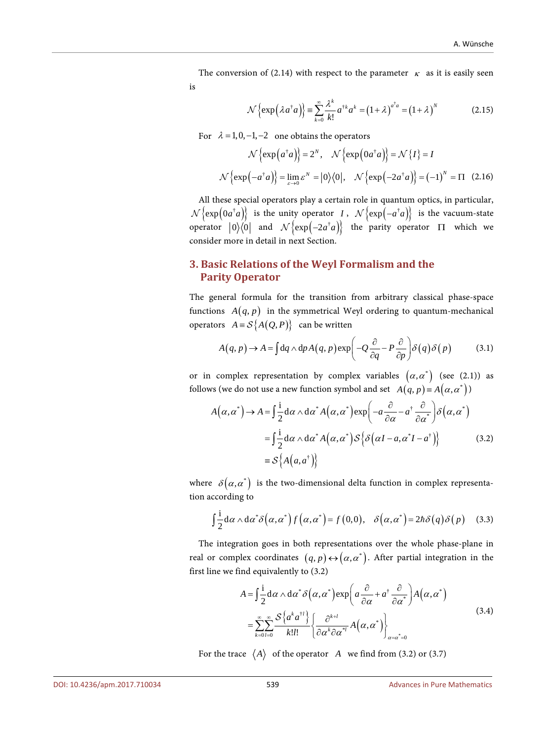The conversion of (2.14) with respect to the parameter  $\kappa$  as it is easily seen is

$$
\mathcal{N}\left\{\exp\left(\lambda a^{\dagger}a\right)\right\} = \sum_{k=0}^{\infty} \frac{\lambda^k}{k!} a^{\dagger k} a^k = \left(1+\lambda\right)^{a^{\dagger}a} = \left(1+\lambda\right)^N\tag{2.15}
$$

For  $\lambda = 1, 0, -1, -2$  one obtains the operators

$$
\mathcal{N}\left\{\exp\left(a^{\dagger}a\right)\right\} = 2^{N}, \quad \mathcal{N}\left\{\exp\left(0a^{\dagger}a\right)\right\} = \mathcal{N}\left\{I\right\} = I
$$

$$
\mathcal{N}\left\{\exp\left(-a^{\dagger}a\right)\right\} = \lim_{\varepsilon \to 0} \varepsilon^{N} = |0\rangle\langle0|, \quad \mathcal{N}\left\{\exp\left(-2a^{\dagger}a\right)\right\} = (-1)^{N} = \Pi \quad (2.16)
$$

All these special operators play a certain role in quantum optics, in particular,  ${\cal N}\left\{ \exp\left( 0a^{\dagger}a \right) \right\}$  is the unity operator *I*,  ${\cal N}\left\{ \exp\left( -a^{\dagger}a \right) \right\}$  is the vacuum-state operator  $|0\rangle\langle 0|$  and  $\mathcal{N}\{\exp(-2a^{\dagger}a)\}\$  the parity operator  $\Pi$  which we consider more in detail in next Section.

## **3. Basic Relations of the Weyl Formalism and the Parity Operator**

The general formula for the transition from arbitrary classical phase-space functions  $A(q, p)$  in the symmetrical Weyl ordering to quantum-mechanical operators  $A = S\{A(Q, P)\}\)$  can be written

$$
A(q, p) \to A = \int dq \wedge dp A(q, p) \exp\left(-Q \frac{\partial}{\partial q} - P \frac{\partial}{\partial p}\right) \delta(q) \delta(p) \tag{3.1}
$$

or in complex representation by complex variables  $(\alpha, \alpha^*)$  (see (2.1)) as follows (we do not use a new function symbol and set  $A(q, p) = A(\alpha, \alpha^*)$ )

$$
A(\alpha, \alpha^*) \to A = \int \frac{1}{2} d\alpha \wedge d\alpha^* A(\alpha, \alpha^*) \exp\left(-a \frac{\partial}{\partial \alpha} - a^{\dagger} \frac{\partial}{\partial \alpha^*}\right) \delta(\alpha, \alpha^*)
$$
  

$$
= \int \frac{1}{2} d\alpha \wedge d\alpha^* A(\alpha, \alpha^*) S\{\delta(\alpha I - a, \alpha^* I - a^{\dagger})\}
$$
(3.2)  

$$
\equiv S\{A(a, a^{\dagger})\}
$$

where  $\delta(\alpha, \alpha^*)$  is the two-dimensional delta function in complex representation according to

$$
\int \frac{\mathrm{i}}{2} \mathrm{d}\alpha \wedge \mathrm{d}\alpha^* \delta\big(\alpha, \alpha^*\big) f\big(\alpha, \alpha^*\big) = f\big(0, 0\big), \quad \delta\big(\alpha, \alpha^*\big) = 2\hbar \delta\big(q\big) \delta\big(p\big) \tag{3.3}
$$

The integration goes in both representations over the whole phase-plane in real or complex coordinates  $(q, p) \leftrightarrow (\alpha, \alpha^*)$ . After partial integration in the first line we find equivalently to (3.2)

$$
A = \int \frac{1}{2} d\alpha \wedge d\alpha^* \delta\left(\alpha, \alpha^*\right) \exp\left(a\frac{\partial}{\partial \alpha} + a^{\dagger} \frac{\partial}{\partial \alpha^*}\right) A\left(\alpha, \alpha^*\right)
$$
  

$$
= \sum_{k=0}^{\infty} \sum_{l=0}^{\infty} \frac{S\left\{a^k a^{\dagger l}\right\}}{k!l!} \left\{\frac{\partial^{k+l}}{\partial \alpha^k \partial \alpha^{*l}} A\left(\alpha, \alpha^*\right)\right\}_{\alpha = \alpha^* = 0}
$$
(3.4)

For the trace  $\langle A \rangle$  of the operator *A* we find from (3.2) or (3.7)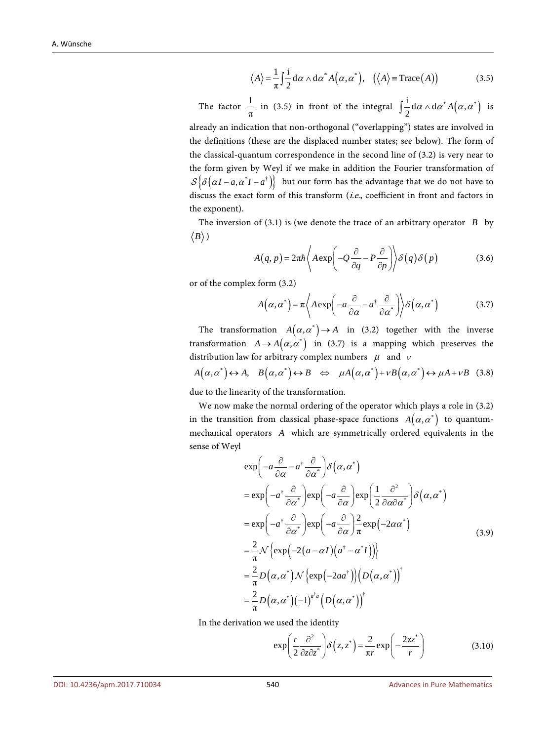$$
\langle A \rangle = \frac{1}{\pi} \int \frac{\mathrm{i}}{2} \mathrm{d} \alpha \wedge \mathrm{d} \alpha^* A(\alpha, \alpha^*), \quad (\langle A \rangle = \mathrm{Trace}(A)) \tag{3.5}
$$

The factor  $\frac{1}{\pi}$  in (3.5) in front of the integral  $\int \frac{1}{2} d\alpha \wedge d\alpha^* A(\alpha, \alpha^*)$  is

already an indication that non-orthogonal ("overlapping") states are involved in the definitions (these are the displaced number states; see below). The form of the classical-quantum correspondence in the second line of (3.2) is very near to the form given by Weyl if we make in addition the Fourier transformation of  $\mathcal{S}\{\delta(\alpha I - a, \alpha^*I - a^*)\}\;$  but our form has the advantage that we do not have to discuss the exact form of this transform (i.e., coefficient in front and factors in the exponent).

The inversion of (3.1) is (we denote the trace of an arbitrary operator *B* by  $\langle B \rangle$ )

$$
A(q, p) = 2\pi\hbar \left\langle A \exp\left(-Q\frac{\partial}{\partial q} - P\frac{\partial}{\partial p}\right) \right\rangle \delta(q)\delta(p) \tag{3.6}
$$

or of the complex form (3.2)

$$
A(\alpha, \alpha^*) = \pi \left\langle A \exp\left(-a \frac{\partial}{\partial \alpha} - a^{\dagger} \frac{\partial}{\partial \alpha^*}\right) \right\rangle \delta(\alpha, \alpha^*)
$$
 (3.7)

The transformation  $A(\alpha, \alpha^*) \to A$  in (3.2) together with the inverse transformation  $A \rightarrow A(\alpha, \alpha^*)$  in (3.7) is a mapping which preserves the distribution law for arbitrary complex numbers  $\mu$  and  $\nu$ 

$$
A(\alpha, \alpha^*) \leftrightarrow A, \quad B(\alpha, \alpha^*) \leftrightarrow B \quad \Leftrightarrow \quad \mu A(\alpha, \alpha^*) + \nu B(\alpha, \alpha^*) \leftrightarrow \mu A + \nu B \quad (3.8)
$$

due to the linearity of the transformation.

We now make the normal ordering of the operator which plays a role in (3.2) in the transition from classical phase-space functions  $A(\alpha, \alpha^*)$  to quantummechanical operators *A* which are symmetrically ordered equivalents in the sense of Weyl

$$
\exp\left(-a\frac{\partial}{\partial\alpha} - a^{\dagger}\frac{\partial}{\partial\alpha^{*}}\right) \delta\left(\alpha, \alpha^{*}\right)
$$
\n
$$
= \exp\left(-a^{\dagger}\frac{\partial}{\partial\alpha^{*}}\right) \exp\left(-a\frac{\partial}{\partial\alpha}\right) \exp\left(\frac{1}{2}\frac{\partial^{2}}{\partial\alpha\partial\alpha^{*}}\right) \delta\left(\alpha, \alpha^{*}\right)
$$
\n
$$
= \exp\left(-a^{\dagger}\frac{\partial}{\partial\alpha^{*}}\right) \exp\left(-a\frac{\partial}{\partial\alpha}\right) \frac{2}{\pi} \exp\left(-2\alpha\alpha^{*}\right)
$$
\n
$$
= \frac{2}{\pi} \mathcal{N}\left\{\exp\left(-2(a-\alpha I)\left(a^{\dagger}-\alpha^{*}I\right)\right)\right\}
$$
\n
$$
= \frac{2}{\pi} D\left(\alpha, \alpha^{*}\right) \mathcal{N}\left\{\exp\left(-2aa^{\dagger}\right)\right\} \left(D\left(\alpha, \alpha^{*}\right)\right)^{\dagger}
$$
\n
$$
= \frac{2}{\pi} D\left(\alpha, \alpha^{*}\right) (-1)^{a^{\dagger}a} \left(D\left(\alpha, \alpha^{*}\right)\right)^{\dagger}
$$

In the derivation we used the identity

$$
\exp\left(\frac{r}{2}\frac{\partial^2}{\partial z \partial z^*}\right) \delta\left(z, z^*\right) = \frac{2}{\pi r} \exp\left(-\frac{2z z^*}{r}\right) \tag{3.10}
$$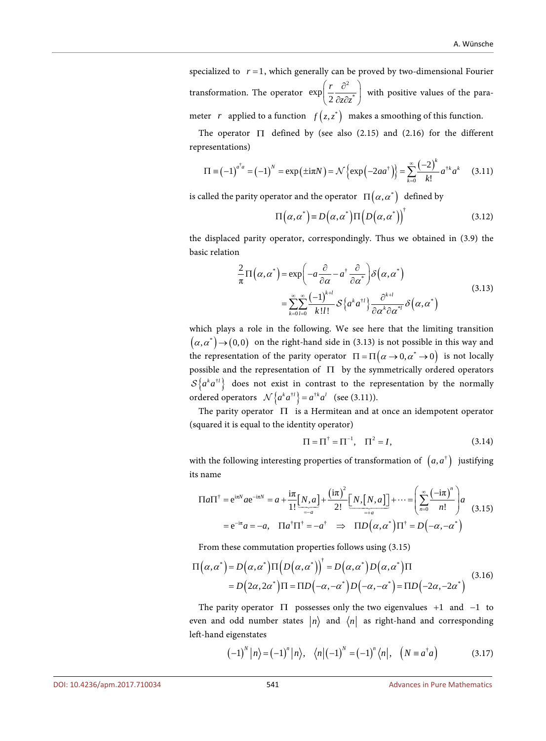specialized to  $r = 1$ , which generally can be proved by two-dimensional Fourier transformation. The operator 2  $\exp\left(\frac{r}{2} \frac{\partial^2}{\partial z \partial z^*}\right)$  $\left(\frac{r}{2}\frac{\partial^2}{\partial z\partial z^*}\right)$ with positive values of the para-

meter *r* applied to a function  $f(z, z^*)$  makes a smoothing of this function.

The operator  $\Pi$  defined by (see also (2.15) and (2.16) for the different representations)

$$
\Pi = (-1)^{a^{\dagger} a} = (-1)^N = \exp(\pm i\pi N) = \mathcal{N}\left\{\exp(-2aa^{\dagger})\right\} = \sum_{k=0}^{\infty} \frac{(-2)^k}{k!} a^{\dagger k} a^k \qquad (3.11)
$$

is called the parity operator and the operator  $\Pi(\alpha, \alpha^*)$  defined by

$$
\Pi(\alpha, \alpha^*) = D(\alpha, \alpha^*) \Pi(D(\alpha, \alpha^*))^{\dagger}
$$
\n(3.12)

the displaced parity operator, correspondingly. Thus we obtained in (3.9) the basic relation

$$
\frac{2}{\pi}\Pi\left(\alpha,\alpha^{*}\right)=\exp\left(-a\frac{\partial}{\partial\alpha}-a^{\dagger}\frac{\partial}{\partial\alpha^{*}}\right)\delta\left(\alpha,\alpha^{*}\right)
$$
\n
$$
=\sum_{k=0}^{\infty}\sum_{l=0}^{\infty}\frac{(-1)^{k+l}}{k!l!}\mathcal{S}\left\{a^{k}a^{\dagger l}\right\}\frac{\partial^{k+l}}{\partial\alpha^{k}\partial\alpha^{*l}}\delta\left(\alpha,\alpha^{*}\right)
$$
\n(3.13)

which plays a role in the following. We see here that the limiting transition  $(\alpha, \alpha^*) \rightarrow (0,0)$  on the right-hand side in (3.13) is not possible in this way and the representation of the parity operator  $\Pi = \Pi (\alpha \rightarrow 0, \alpha^* \rightarrow 0)$  is not locally possible and the representation of Π by the symmetrically ordered operators  ${\cal S}\{a^ka^{t}i\}$  does not exist in contrast to the representation by the normally ordered operators  $\mathcal{N}\left\{a^k a^{\dagger l}\right\} = a^{\dagger k} a^l$  (see (3.11)).

The parity operator  $\Pi$  is a Hermitean and at once an idempotent operator (squared it is equal to the identity operator)

$$
\Pi = \Pi^{\dagger} = \Pi^{-1}, \quad \Pi^2 = I,
$$
\n(3.14)

with the following interesting properties of transformation of  $(a, a^{\dagger})$  justifying its name

$$
\Pi a \Pi^{\dagger} = e^{i\pi N} a e^{-i\pi N} = a + \frac{i\pi}{1!} \left[ \frac{N}{2!} \right] + \frac{(i\pi)^2}{2!} \left[ \frac{N}{2!} \right] + \dots = \left( \sum_{n=0}^{\infty} \frac{(-i\pi)^n}{n!} \right) a
$$
  
=  $e^{-i\pi} a = -a$ ,  $\Pi a^{\dagger} \Pi^{\dagger} = -a^{\dagger} \implies \Pi D(\alpha, \alpha^*) \Pi^{\dagger} = D(-\alpha, -\alpha^*)$  (3.15)

From these commutation properties follows using (3.15)

$$
\Pi(\alpha, \alpha^*) = D(\alpha, \alpha^*) \Pi(D(\alpha, \alpha^*))^{\dagger} = D(\alpha, \alpha^*) D(\alpha, \alpha^*) \Pi
$$
  
=  $D(2\alpha, 2\alpha^*) \Pi = \Pi D(-\alpha, -\alpha^*) D(-\alpha, -\alpha^*) = \Pi D(-2\alpha, -2\alpha^*)$  (3.16)

The parity operator  $\Pi$  possesses only the two eigenvalues +1 and -1 to even and odd number states  $|n\rangle$  and  $\langle n|$  as right-hand and corresponding left-hand eigenstates

$$
\left(-1\right)^{N} \left|n\right\rangle = \left(-1\right)^{n} \left|n\right\rangle, \quad \left\langle n \left|\left(-1\right)^{N} = \left(-1\right)^{n} \left\langle n \right|, \quad \left(N \equiv a^{\dagger} a\right)\right.\right. \tag{3.17}
$$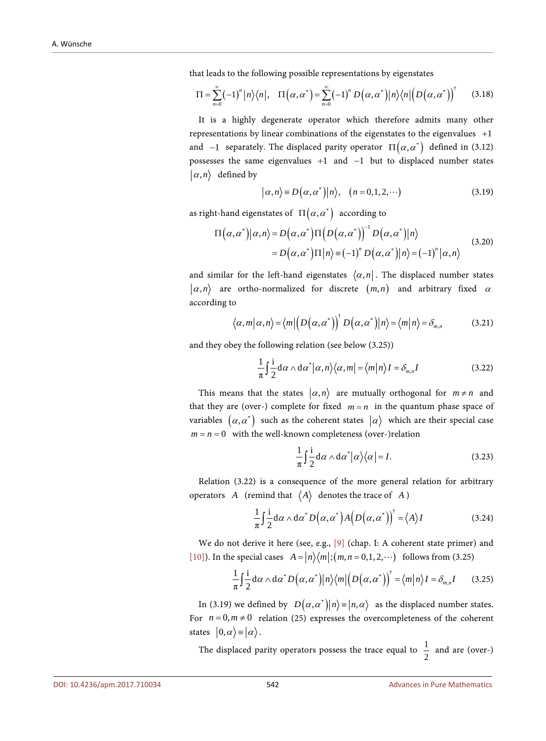that leads to the following possible representations by eigenstates

$$
\Pi = \sum_{n=0}^{\infty} (-1)^n |n\rangle\langle n|, \quad \Pi\big(\alpha, \alpha^*\big) = \sum_{n=0}^{\infty} (-1)^n D\big(\alpha, \alpha^*\big) |n\rangle\langle n| \big(D\big(\alpha, \alpha^*\big)\big)^{\dagger} \tag{3.18}
$$

It is a highly degenerate operator which therefore admits many other representations by linear combinations of the eigenstates to the eigenvalues +1 and  $-1$  separately. The displaced parity operator  $\Pi(\alpha, \alpha^*)$  defined in (3.12) possesses the same eigenvalues +1 and −1 but to displaced number states  $|\alpha, n\rangle$  defined by

$$
|\alpha, n\rangle \equiv D(\alpha, \alpha^*)|n\rangle, (n = 0, 1, 2, \cdots)
$$
 (3.19)

as right-hand eigenstates of  $\Pi(\alpha, \alpha^*)$  according to

$$
\Pi(\alpha, \alpha^*)|\alpha, n\rangle = D(\alpha, \alpha^*)\Pi(D(\alpha, \alpha^*))^{-1}D(\alpha, \alpha^*)|n\rangle
$$
  
=  $D(\alpha, \alpha^*)\Pi|n\rangle \equiv (-1)^n D(\alpha, \alpha^*)|n\rangle = (-1)^n |\alpha, n\rangle$  (3.20)

and similar for the left-hand eigenstates  $\langle \alpha, n |$ . The displaced number states  $|\alpha, n\rangle$  are ortho-normalized for discrete  $(m, n)$  and arbitrary fixed  $\alpha$ according to

$$
\langle \alpha, m | \alpha, n \rangle = \langle m | \left( D(\alpha, \alpha^*) \right)^{\dagger} D(\alpha, \alpha^*) | n \rangle = \langle m | n \rangle = \delta_{m,n} \tag{3.21}
$$

and they obey the following relation (see below (3.25))

$$
\frac{1}{\pi} \int \frac{\mathrm{i}}{2} \mathrm{d}\alpha \wedge \mathrm{d}\alpha^* \big| \alpha, n \big\rangle \big\langle \alpha, m \big| = \big\langle m \big| n \big\rangle I = \delta_{m,n} I \tag{3.22}
$$

This means that the states  $|\alpha, n\rangle$  are mutually orthogonal for  $m \neq n$  and that they are (over-) complete for fixed  $m = n$  in the quantum phase space of variables  $(\alpha, \alpha^*)$  such as the coherent states  $|\alpha\rangle$  which are their special case  $m = n = 0$  with the well-known completeness (over-)relation

$$
\frac{1}{\pi} \int \frac{\mathrm{i}}{2} \mathrm{d}\alpha \wedge \mathrm{d}\alpha^* |\alpha\rangle\langle\alpha| = I. \tag{3.23}
$$

Relation (3.22) is a consequence of the more general relation for arbitrary operators *A* (remind that  $\langle A \rangle$  denotes the trace of *A*)

$$
\frac{1}{\pi} \int_{0}^{\infty} d\alpha \wedge d\alpha^* D(\alpha, \alpha^*) A(D(\alpha, \alpha^*))^{\dagger} = \langle A \rangle I
$$
\n(3.24)

We do not derive it here (see, e.g., [\[9\]](#page-40-8) (chap. I: A coherent state primer) and [\[10\]\)](#page-40-9). In the special cases  $A = \frac{n}{m}$ ;  $\frac{(m, n = 0, 1, 2, \cdots)}{n}$  follows from (3.25)

$$
\frac{1}{\pi} \int_{0}^{\infty} \frac{1}{2} d\alpha \wedge d\alpha^* D(\alpha, \alpha^*) |n\rangle\langle m| \Big(D(\alpha, \alpha^*)\Big)^{\dagger} = \langle m|n\rangle I = \delta_{m,n} I \qquad (3.25)
$$

In (3.19) we defined by  $D(\alpha, \alpha^*) | n \rangle = |n, \alpha \rangle$  as the displaced number states. For  $n = 0, m \neq 0$  relation (25) expresses the overcompleteness of the coherent states  $|0,\alpha\rangle = |\alpha\rangle$ .

The displaced parity operators possess the trace equal to  $\frac{1}{2}$  and are (over-)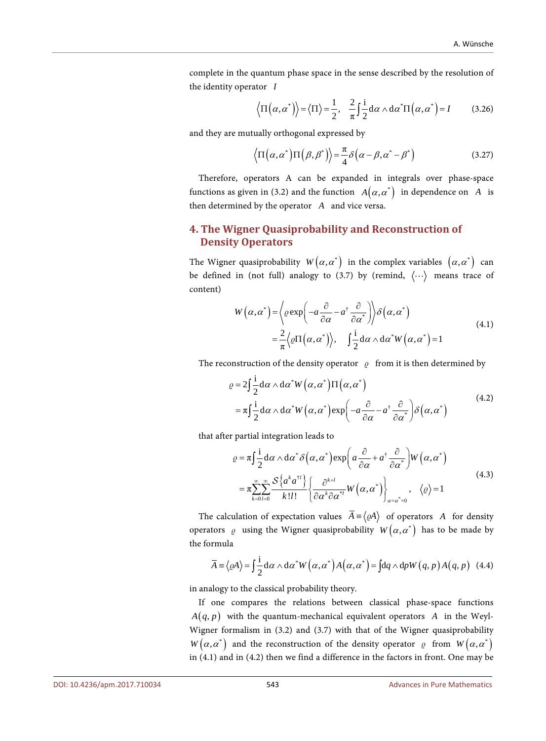complete in the quantum phase space in the sense described by the resolution of the identity operator *I*

$$
\langle \Pi(\alpha, \alpha^*) \rangle = \langle \Pi \rangle = \frac{1}{2}, \frac{2}{\pi} \int \frac{i}{2} d\alpha \wedge d\alpha^* \Pi(\alpha, \alpha^*) = I
$$
 (3.26)

and they are mutually orthogonal expressed by

$$
\left\langle \Pi \left( \alpha, \alpha^* \right) \Pi \left( \beta, \beta^* \right) \right\rangle = \frac{\pi}{4} \delta \left( \alpha - \beta, \alpha^* - \beta^* \right) \tag{3.27}
$$

Therefore, operators A can be expanded in integrals over phase-space functions as given in (3.2) and the function  $A(\alpha, \alpha^*)$  in dependence on *A* is then determined by the operator *A* and vice versa.

## **4. The Wigner Quasiprobability and Reconstruction of Density Operators**

The Wigner quasiprobability  $W(\alpha, \alpha^*)$  in the complex variables  $(\alpha, \alpha^*)$  can be defined in (not full) analogy to (3.7) by (remind,  $\langle \cdots \rangle$  means trace of content)

$$
W(\alpha, \alpha^*) = \left\langle \varrho \exp\left(-a \frac{\partial}{\partial \alpha} - a^{\dagger} \frac{\partial}{\partial \alpha^*}\right) \right\rangle \delta(\alpha, \alpha^*)
$$
  
=  $\frac{2}{\pi} \left\langle \varrho \Pi(\alpha, \alpha^*) \right\rangle$ ,  $\int \frac{1}{2} d\alpha \wedge d\alpha^* W(\alpha, \alpha^*) = 1$  (4.1)

The reconstruction of the density operator  $\varrho$  from it is then determined by

$$
\varrho = 2 \int_{0}^{\infty} \frac{1}{2} d\alpha \wedge d\alpha^* W(\alpha, \alpha^*) \Pi(\alpha, \alpha^*)
$$
  
=  $\pi \int_{0}^{\infty} \frac{1}{2} d\alpha \wedge d\alpha^* W(\alpha, \alpha^*) \exp\left(-a \frac{\partial}{\partial \alpha} - a^{\dagger} \frac{\partial}{\partial \alpha^*}\right) \delta(\alpha, \alpha^*)$  (4.2)

that after partial integration leads to

$$
\varrho = \pi \int \frac{1}{2} d\alpha \wedge d\alpha^* \delta\left(\alpha, \alpha^*\right) \exp\left(a\frac{\partial}{\partial \alpha} + a^{\dagger} \frac{\partial}{\partial \alpha^*}\right) W\left(\alpha, \alpha^*\right)
$$
  
\n
$$
= \pi \sum_{k=0}^{\infty} \sum_{l=0}^{\infty} \frac{S\left\{a^k a^{\dagger l}\right\}}{k!l!} \left\{\frac{\partial^{k+l}}{\partial \alpha^k \partial \alpha^{*l}} W\left(\alpha, \alpha^*\right)\right\}_{\alpha = \alpha^* = 0}, \quad \langle \varrho \rangle = 1
$$
\n(4.3)

The calculation of expectation values  $\overline{A} = \langle \varrho A \rangle$  of operators *A* for density operators  $\varrho$  using the Wigner quasiprobability  $W(\alpha, \alpha^*)$  has to be made by the formula

$$
\overline{A} \equiv \langle \varrho A \rangle = \int \frac{\mathrm{i}}{2} \mathrm{d}\alpha \wedge \mathrm{d}\alpha^* W\left(\alpha, \alpha^*\right) A\left(\alpha, \alpha^*\right) = \int \mathrm{d}q \wedge \mathrm{d}p W\left(q, p\right) A\left(q, p\right) \tag{4.4}
$$

in analogy to the classical probability theory.

If one compares the relations between classical phase-space functions  $A(q, p)$  with the quantum-mechanical equivalent operators *A* in the Weyl-Wigner formalism in (3.2) and (3.7) with that of the Wigner quasiprobability  $W(\alpha, \alpha^*)$  and the reconstruction of the density operator  $\varrho$  from  $W(\alpha, \alpha^*)$ in (4.1) and in (4.2) then we find a difference in the factors in front. One may be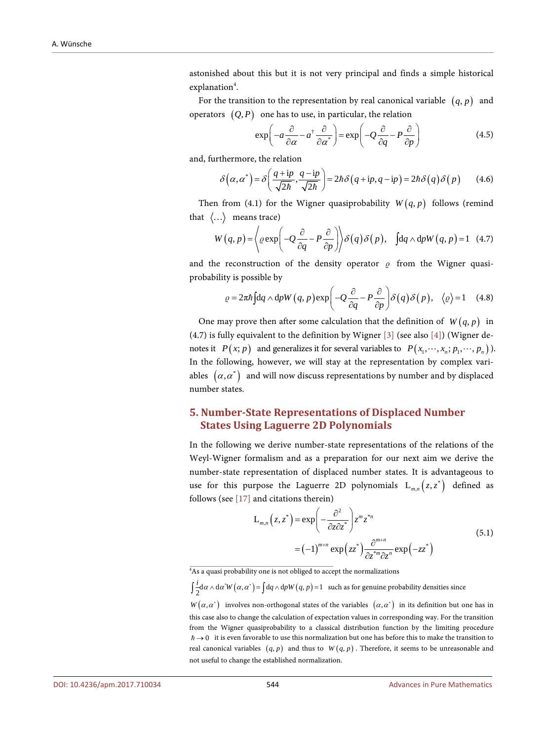astonished about this but it is not very principal and finds a simple historical explanation<sup>4</sup>.

For the transition to the representation by real canonical variable  $(q, p)$  and operators  $(Q, P)$  one has to use, in particular, the relation

$$
\exp\left(-a\frac{\partial}{\partial\alpha} - a^{\dagger}\frac{\partial}{\partial\alpha^*}\right) = \exp\left(-Q\frac{\partial}{\partial q} - P\frac{\partial}{\partial p}\right)
$$
(4.5)

and, furthermore, the relation

$$
\delta\left(\alpha,\alpha^*\right) = \delta\left(\frac{q+ip}{\sqrt{2\hbar}},\frac{q-ip}{\sqrt{2\hbar}}\right) = 2\hbar\delta\left(q+ip,q-ip\right) = 2\hbar\delta\left(q\right)\delta\left(p\right) \tag{4.6}
$$

Then from (4.1) for the Wigner quasiprobability  $W(q, p)$  follows (remind that  $\langle \ldots \rangle$  means trace)

$$
W(q, p) = \left\langle \varrho \exp\left(-Q\frac{\partial}{\partial q} - P\frac{\partial}{\partial p}\right) \right\rangle \delta(q) \delta(p), \quad \text{[dq} \wedge \text{dp}W(q, p) = 1 \quad (4.7)
$$

and the reconstruction of the density operator  $\rho$  from the Wigner quasiprobability is possible by

$$
\varrho = 2\pi \hbar \int dq \wedge dpW(q, p) \exp\left(-Q \frac{\partial}{\partial q} - P \frac{\partial}{\partial p}\right) \delta(q) \delta(p), \quad \langle \varrho \rangle = 1 \quad (4.8)
$$

One may prove then after some calculation that the definition of  $W(q, p)$  in (4.7) is fully equivalent to the definition by Wigner [\[3\]](#page-40-2) (see also [\[4\]\)](#page-40-3) (Wigner denotes it  $P(x; p)$  and generalizes it for several variables to  $P(x_1, \dots, x_n; p_1, \dots, p_n)$ ). In the following, however, we will stay at the representation by complex variables  $(\alpha, \alpha^*)$  and will now discuss representations by number and by displaced number states.

# **5. Number-State Representations of Displaced Number States Using Laguerre 2D Polynomials**

In the following we derive number-state representations of the relations of the Weyl-Wigner formalism and as a preparation for our next aim we derive the number-state representation of displaced number states. It is advantageous to use for this purpose the Laguerre 2D polynomials  $L_{m,n}( z, z^*)$  defined as follows (see [\[17\]](#page-41-1) and citations therein)

$$
L_{m,n}(z, z^*) = \exp\left(-\frac{\partial^2}{\partial z \partial z^*}\right) z^m z^{*n}
$$
  
=  $(-1)^{m+n} \exp(zz^*) \frac{\partial^{m+n}}{\partial z^{*m} \partial z^n} \exp(-zz^*)$  (5.1)

 $\int \frac{i}{2} d\alpha \wedge d\alpha^* W(\alpha, \alpha^*) = \int dq \wedge dp W(q, p) = 1$  such as for genuine probability densities since

<sup>&</sup>lt;sup>4</sup>As a quasi probability one is not obliged to accept the normalizations

 $W(\alpha, \alpha^*)$  involves non-orthogonal states of the variables  $(\alpha, \alpha^*)$  in its definition but one has in this case also to change the calculation of expectation values in corresponding way. For the transition from the Wigner quasiprobability to a classical distribution function by the limiting procedure  $\hbar \rightarrow 0$  it is even favorable to use this normalization but one has before this to make the transition to real canonical variables  $(q, p)$  and thus to  $W(q, p)$ . Therefore, it seems to be unreasonable and not useful to change the established normalization.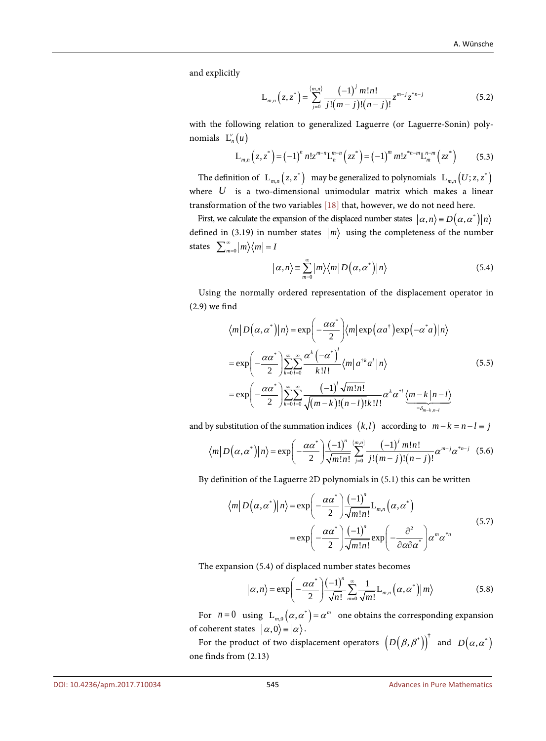and explicitly

$$
L_{m,n}(z,z^*) = \sum_{j=0}^{\{m,n\}} \frac{(-1)^j m! n!}{j!(m-j)!(n-j)!} z^{m-j} z^{*n-j}
$$
(5.2)

with the following relation to generalized Laguerre (or Laguerre-Sonin) polynomials  $L_n^{\nu}(u)$ 

$$
L_{m,n}(z,z^*) = (-1)^n n! z^{m-n} L_n^{m-n}(zz^*) = (-1)^m m! z^{n-m} L_m^{n-m}(zz^*)
$$
 (5.3)

The definition of  $\ L_{m,n}( z, z^*)$  may be generalized to polynomials  $\ L_{m,n}( U; z, z^*)$ where *U* is a two-dimensional unimodular matrix which makes a linear transformation of the two variables [\[18\]](#page-41-2) that, however, we do not need here.

First, we calculate the expansion of the displaced number states  $(\alpha, n) = D(\alpha, \alpha^*) \mid n$ defined in (3.19) in number states  $|m\rangle$  using the completeness of the number states  $\sum_{m=0}^{\infty} |m\rangle\langle m| = 1$ 

$$
|\alpha, n\rangle = \sum_{m=0}^{\infty} |m\rangle \langle m| D(\alpha, \alpha^*)|n\rangle
$$
 (5.4)

Using the normally ordered representation of the displacement operator in (2.9) we find

$$
\langle m|D(\alpha,\alpha^*)|n\rangle = \exp\left(-\frac{\alpha\alpha^*}{2}\right) \langle m|\exp(\alpha a^*)\exp(-\alpha^* a)|n\rangle
$$
  
\n
$$
= \exp\left(-\frac{\alpha\alpha^*}{2}\right) \sum_{k=0}^{\infty} \sum_{l=0}^{\infty} \frac{\alpha^k (-\alpha^*)^l}{k!l!} \langle m|a^{\dagger k} a^l|n\rangle
$$
(5.5)  
\n
$$
= \exp\left(-\frac{\alpha\alpha^*}{2}\right) \sum_{k=0}^{\infty} \sum_{l=0}^{\infty} \frac{(-1)^l \sqrt{m!n!}}{\sqrt{(m-k)!(n-l)!k!l!}} \alpha^k \alpha^{*l} \langle m-k|n-l\rangle
$$

and by substitution of the summation indices  $(k, l)$  according to  $m - k = n - l \equiv j$ 

$$
\langle m|D(\alpha,\alpha^*)|n\rangle = \exp\left(-\frac{\alpha\alpha^*}{2}\right) \frac{(-1)^n}{\sqrt{m!n!}} \sum_{j=0}^{\{m,n\}} \frac{(-1)^j m!n!}{j!(m-j)!(n-j)!} \alpha^{m-j} \alpha^{*n-j} \quad (5.6)
$$

By definition of the Laguerre 2D polynomials in (5.1) this can be written

$$
\langle m|D(\alpha,\alpha^*)|n\rangle = \exp\left(-\frac{\alpha\alpha^*}{2}\right) \frac{(-1)^n}{\sqrt{m!n!}} L_{m,n}(\alpha,\alpha^*)
$$
  

$$
= \exp\left(-\frac{\alpha\alpha^*}{2}\right) \frac{(-1)^n}{\sqrt{m!n!}} \exp\left(-\frac{\partial^2}{\partial \alpha \partial \alpha^*}\right) \alpha^m \alpha^{*n}
$$
 (5.7)

The expansion (5.4) of displaced number states becomes

$$
|\alpha,n\rangle = \exp\left(-\frac{\alpha\alpha^*}{2}\right) \frac{(-1)^n}{\sqrt{n!}} \sum_{m=0}^{\infty} \frac{1}{\sqrt{m!}} L_{m,n}\left(\alpha,\alpha^*\right) |m\rangle \tag{5.8}
$$

For  $n = 0$  using  $L_{m,0}(\alpha, \alpha^*) = \alpha^m$  one obtains the corresponding expansion of coherent states  $|\alpha,0\rangle = |\alpha\rangle$ .

For the product of two displacement operators  $(D(\beta, \beta^*))^{\dagger}$  and  $D(\alpha, \alpha^*)$ one finds from (2.13)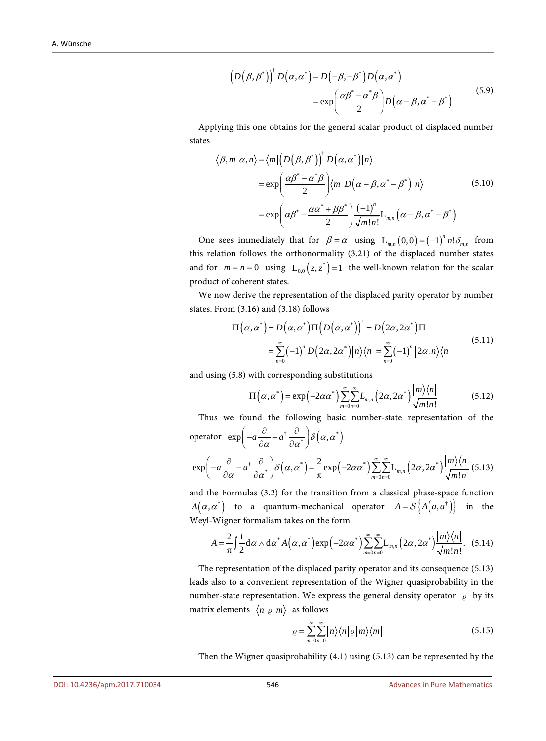$$
\left(D(\beta,\beta^*)\right)^{\dagger} D(\alpha,\alpha^*) = D(-\beta,-\beta^*) D(\alpha,\alpha^*)
$$
  

$$
= \exp\left(\frac{\alpha\beta^* - \alpha^*\beta}{2}\right) D(\alpha - \beta,\alpha^* - \beta^*)
$$
 (5.9)

Applying this one obtains for the general scalar product of displaced number states

$$
\langle \beta, m | \alpha, n \rangle = \langle m | \left( D \left( \beta, \beta^* \right) \right)^{\dagger} D \left( \alpha, \alpha^* \right) | n \rangle
$$
  

$$
= \exp \left( \frac{\alpha \beta^* - \alpha^* \beta}{2} \right) \langle m | D \left( \alpha - \beta, \alpha^* - \beta^* \right) | n \rangle \tag{5.10}
$$
  

$$
= \exp \left( \alpha \beta^* - \frac{\alpha \alpha^* + \beta \beta^*}{2} \right) \frac{(-1)^n}{\sqrt{m! n!}} L_{m,n} \left( \alpha - \beta, \alpha^* - \beta^* \right)
$$

One sees immediately that for  $\beta = \alpha$  using  $L_{m,n}(0,0) = (-1)^n n! \delta_{m,n}$  from this relation follows the orthonormality (3.21) of the displaced number states and for  $m = n = 0$  using  $L_{0.0}(z, z^*) = 1$  the well-known relation for the scalar product of coherent states.

We now derive the representation of the displaced parity operator by number states. From (3.16) and (3.18) follows

$$
\Pi(\alpha, \alpha^*) = D(\alpha, \alpha^*) \Pi(D(\alpha, \alpha^*))^{\dagger} = D(2\alpha, 2\alpha^*) \Pi
$$
  
= 
$$
\sum_{n=0}^{\infty} (-1)^n D(2\alpha, 2\alpha^*) |n\rangle\langle n| = \sum_{n=0}^{\infty} (-1)^n |2\alpha, n\rangle\langle n|
$$
 (5.11)

and using (5.8) with corresponding substitutions

$$
\Pi\left(\alpha,\alpha^*\right) = \exp\left(-2\alpha\alpha^*\right) \sum_{m=0}^{\infty} \sum_{n=0}^{\infty} L_{m,n}\left(2\alpha,2\alpha^*\right) \frac{|m\rangle\langle n|}{\sqrt{m!n!}}\tag{5.12}
$$

Thus we found the following basic number-state representation of the operator  $\exp \left( -a \frac{\partial}{\partial \alpha} - a^{\dagger} \frac{\partial}{\partial \alpha^*} \right) \delta \left( \alpha, \alpha^* \right)$ 

$$
\exp\left(-a\frac{\partial}{\partial\alpha} - a^{\dagger} \frac{\partial}{\partial\alpha^*}\right) \delta\left(\alpha, \alpha^*\right) = \frac{2}{\pi} \exp\left(-2\alpha\alpha^*\right) \sum_{m=0}^{\infty} \sum_{n=0}^{\infty} L_{m,n} \left(2\alpha, 2\alpha^*\right) \frac{|m\rangle\langle n|}{\sqrt{m!n!}} (5.13)
$$

and the Formulas (3.2) for the transition from a classical phase-space function  $A(\alpha, \alpha^*)$  to a quantum-mechanical operator  $A = S\{A(a, a^*)\}$  in the Weyl-Wigner formalism takes on the form

$$
A = \frac{2}{\pi} \int_{0}^{\infty} \frac{1}{2} d\alpha \wedge d\alpha^* A(\alpha, \alpha^*) \exp\left(-2\alpha \alpha^*\right) \sum_{m=0}^{\infty} \sum_{n=0}^{\infty} L_{m,n} \left(2\alpha, 2\alpha^*\right) \frac{|m\rangle\langle n|}{\sqrt{m!n!}}.
$$
 (5.14)

The representation of the displaced parity operator and its consequence (5.13) leads also to a convenient representation of the Wigner quasiprobability in the number-state representation. We express the general density operator  $\rho$  by its matrix elements  $\langle n | \varrho | m \rangle$  as follows

$$
\varrho = \sum_{m=0}^{\infty} \sum_{n=0}^{\infty} |n\rangle \langle n| \varrho |m\rangle \langle m|
$$
 (5.15)

Then the Wigner quasiprobability (4.1) using (5.13) can be represented by the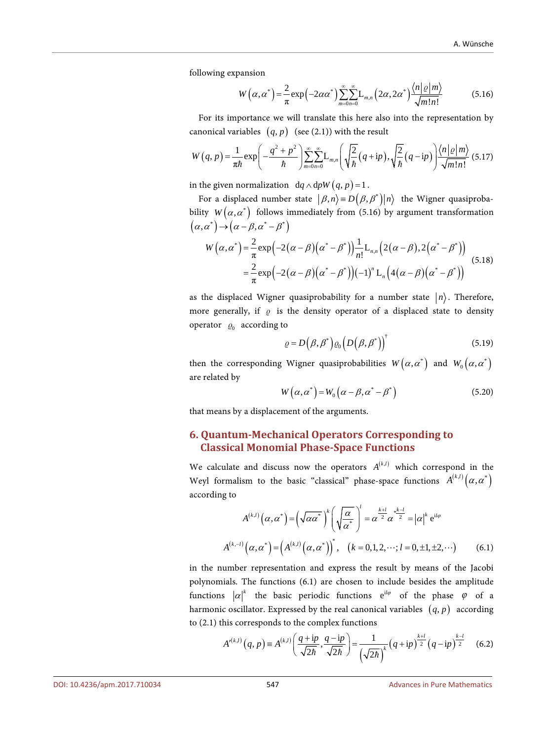following expansion

$$
W\left(\alpha,\alpha^{*}\right) = \frac{2}{\pi} \exp\left(-2\alpha\alpha^{*}\right) \sum_{m=0}^{\infty} \sum_{n=0}^{\infty} \mathcal{L}_{m,n}\left(2\alpha,2\alpha^{*}\right) \frac{\left\langle n \left| \varrho \right| m \right\rangle}{\sqrt{m! n!}}\tag{5.16}
$$

For its importance we will translate this here also into the representation by canonical variables  $(q, p)$  (see (2.1)) with the result

$$
W(q,p) = \frac{1}{\pi\hbar} \exp\left(-\frac{q^2+p^2}{\hbar}\right) \sum_{m=0}^{\infty} \sum_{n=0}^{\infty} L_{m,n} \left(\sqrt{\frac{2}{\hbar}}(q+ip), \sqrt{\frac{2}{\hbar}}(q-ip)\right) \frac{\langle n|\varrho|m\rangle}{\sqrt{m!n!}} (5.17)
$$

in the given normalization  $dq \wedge dpW(q, p) = 1$ .

For a displaced number state  $|\beta,n\rangle \equiv D(\beta,\beta^*)|n\rangle$  the Wigner quasiprobability  $W(\alpha, \alpha^*)$  follows immediately from (5.16) by argument transformation  $(\alpha, \alpha^*) \rightarrow (\alpha - \beta, \alpha^* - \beta^*)$ 

$$
W\left(\alpha,\alpha^{*}\right) = \frac{2}{\pi} \exp\left(-2\left(\alpha-\beta\right)\left(\alpha^{*}-\beta^{*}\right)\right) \frac{1}{n!} \mathcal{L}_{n,n}\left(2\left(\alpha-\beta\right),2\left(\alpha^{*}-\beta^{*}\right)\right)
$$
  

$$
= \frac{2}{\pi} \exp\left(-2\left(\alpha-\beta\right)\left(\alpha^{*}-\beta^{*}\right)\right)\left(-1\right)^{n} \mathcal{L}_{n}\left(4\left(\alpha-\beta\right)\left(\alpha^{*}-\beta^{*}\right)\right) \tag{5.18}
$$

as the displaced Wigner quasiprobability for a number state  $|n\rangle$ . Therefore, more generally, if  $\rho$  is the density operator of a displaced state to density operator  $\varrho_0$  according to

$$
\varrho = D(\beta, \beta^*) \varrho_0 \left( D(\beta, \beta^*) \right)^{\dagger} \tag{5.19}
$$

then the corresponding Wigner quasiprobabilities  $W\big(\alpha,\alpha^\ast\big)$  and  $W_0\big(\alpha,\alpha^\ast\big)$ are related by

$$
W(\alpha, \alpha^*) = W_0(\alpha - \beta, \alpha^* - \beta^*)
$$
\n(5.20)

that means by a displacement of the arguments.

#### **6. Quantum-Mechanical Operators Corresponding to Classical Monomial Phase-Space Functions**

We calculate and discuss now the operators  $A^{(k,l)}$  which correspond in the Weyl formalism to the basic "classical" phase-space functions  $A^{(k,l)}(\alpha, \alpha^*)$ according to

$$
A^{(k,l)}(\alpha, \alpha^*) = \left(\sqrt{\alpha \alpha^*}\right)^k \left(\sqrt{\frac{\alpha}{\alpha^*}}\right)^l = \alpha^{\frac{k+l}{2}} \alpha^{\frac{k-l}{2}} = |\alpha|^k e^{il\varphi}
$$
  

$$
A^{(k,-l)}(\alpha, \alpha^*) = \left(A^{(k,l)}(\alpha, \alpha^*)\right)^*, \quad (k = 0, 1, 2, \dots; l = 0, \pm 1, \pm 2, \dots) \tag{6.1}
$$

in the number representation and express the result by means of the Jacobi polynomials. The functions (6.1) are chosen to include besides the amplitude functions  $|\alpha|^k$  the basic periodic functions  $e^{i l \varphi}$  of the phase  $\varphi$  of a harmonic oscillator. Expressed by the real canonical variables  $(q, p)$  according to (2.1) this corresponds to the complex functions

$$
A'^{(k,l)}(q,p) \equiv A^{(k,l)}\left(\frac{q+ip}{\sqrt{2\hbar}},\frac{q-ip}{\sqrt{2\hbar}}\right) = \frac{1}{\left(\sqrt{2\hbar}\right)^k} \left(q+ip\right)^{\frac{k+l}{2}} \left(q-ip\right)^{\frac{k-l}{2}} \quad (6.2)
$$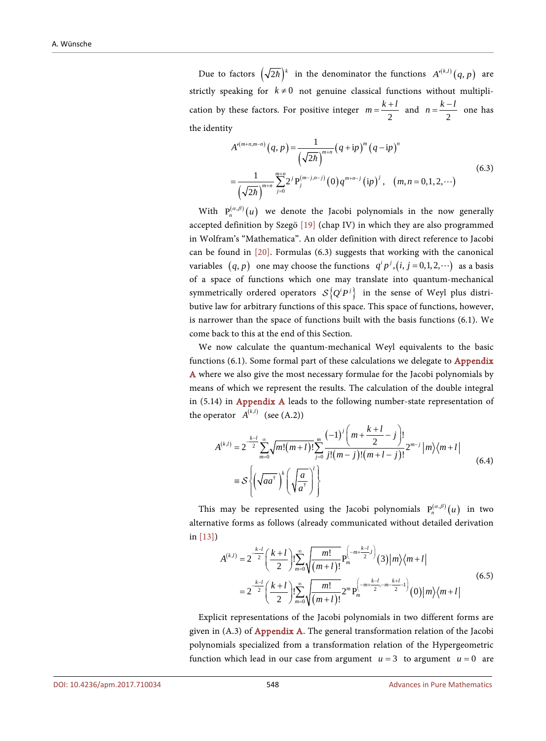Due to factors  $(\sqrt{2\hbar})^k$  in the denominator the functions  $A'^{(k,l)}(q, p)$  are strictly speaking for  $k \neq 0$  not genuine classical functions without multiplication by these factors. For positive integer  $m = \frac{k+l}{2}$  and  $n = \frac{k-l}{2}$  one has the identity

$$
A'^{(m+n,m-n)}(q,p) = \frac{1}{(\sqrt{2\hbar})^{m+n}} (q+ip)^m (q-ip)^n
$$
  
= 
$$
\frac{1}{(\sqrt{2\hbar})^{m+n}} \sum_{j=0}^{m+n} 2^j P_j^{(m-j,n-j)}(0) q^{m+n-j} (ip)^j, (m,n=0,1,2,\cdots)
$$
 (6.3)

With  $P_n^{(\alpha,\beta)}(u)$  we denote the Jacobi polynomials in the now generally accepted definition by Szegö [\[19\]](#page-41-3) (chap IV) in which they are also programmed in Wolfram's "Mathematica". An older definition with direct reference to Jacobi can be found in [\[20\].](#page-41-4) Formulas (6.3) suggests that working with the canonical variables  $(q, p)$  one may choose the functions  $q^i p^j$ ,  $(i, j = 0,1,2, \cdots)$  as a basis of a space of functions which one may translate into quantum-mechanical symmetrically ordered operators  $S \{ Q^i P^j \}$  in the sense of Weyl plus distributive law for arbitrary functions of this space. This space of functions, however, is narrower than the space of functions built with the basis functions (6.1). We come back to this at the end of this Section.

We now calculate the quantum-mechanical Weyl equivalents to the basic functions (6.1). Some formal part of these calculations we delegate to [Appendix](#page-43-0)  [A](#page-43-0) where we also give the most necessary formulae for the Jacobi polynomials by means of which we represent the results. The calculation of the double integral in (5.14) in [Appendix A](#page-43-0) leads to the following number-state representation of the operator  $A^{(k,l)}$  (see (A.2))

$$
A^{(k,l)} = 2^{\frac{k-l}{2}} \sum_{m=0}^{\infty} \sqrt{m!(m+l)!} \sum_{j=0}^{m} \frac{(-1)^j \left(m + \frac{k+l}{2} - j\right)!}{j!(m-j)!(m+l-j)!} 2^{m-j} |m\rangle \langle m+l|
$$
  
=  $\mathcal{S} \left\{ \left(\sqrt{aa^{\dagger}}\right)^k \left(\sqrt{\frac{a}{a^{\dagger}}}\right)^l \right\}$  (6.4)

This may be represented using the Jacobi polynomials  $P_n^{(\alpha,\beta)}(u)$  in two alternative forms as follows (already communicated without detailed derivation in [\[13\]\)](#page-40-12)

$$
A^{(k,l)} = 2^{-\frac{k-l}{2}} \left(\frac{k+l}{2}\right)! \sum_{m=0}^{\infty} \sqrt{\frac{m!}{(m+l)!}} P_m^{\left(-m+\frac{k-l}{2}\right)}(3) |m\rangle\langle m+l|
$$
  
= 
$$
2^{-\frac{k-l}{2}} \left(\frac{k+l}{2}\right)! \sum_{m=0}^{\infty} \sqrt{\frac{m!}{(m+l)!}} 2^m P_m^{\left(-m+\frac{k-l}{2}, -m-\frac{k+l}{2}\right)}(0) |m\rangle\langle m+l|
$$
(6.5)

Explicit representations of the Jacobi polynomials in two different forms are given in  $(A.3)$  of [Appendix A.](#page-43-0) The general transformation relation of the Jacobi polynomials specialized from a transformation relation of the Hypergeometric function which lead in our case from argument  $u = 3$  to argument  $u = 0$  are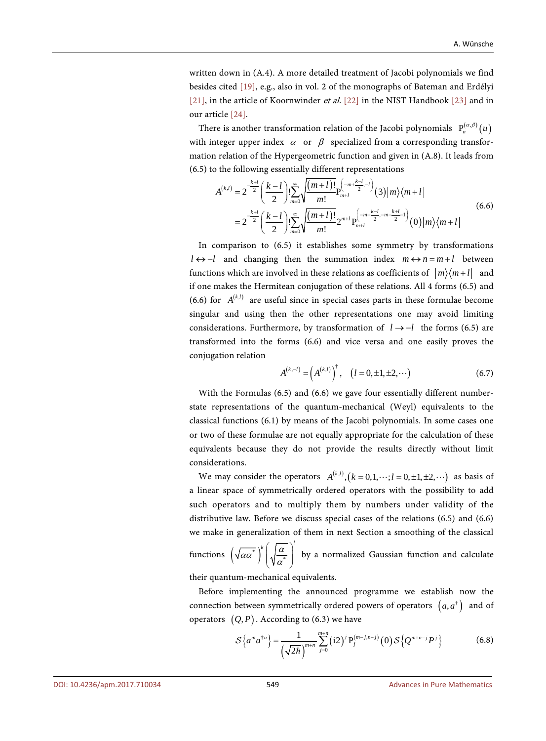written down in (A.4). A more detailed treatment of Jacobi polynomials we find besides cited [\[19\],](#page-41-3) e.g., also in vol. 2 of the monographs of Bateman and Erdélyi [\[21\],](#page-41-5) in the article of Koornwinder et al. [\[22\]](#page-41-6) in the NIST Handbook [\[23\]](#page-41-7) and in our article [\[24\].](#page-41-8)

There is another transformation relation of the Jacobi polynomials  $P_n^{(\alpha,\beta)}(u)$ with integer upper index  $\alpha$  or  $\beta$  specialized from a corresponding transformation relation of the Hypergeometric function and given in (A.8). It leads from (6.5) to the following essentially different representations

$$
A^{(k,l)} = 2^{-\frac{k+l}{2}} \left( \frac{k-l}{2} \right)! \sum_{m=0}^{\infty} \sqrt{\frac{(m+l)!}{m!}} P_{m+l}^{\left(-m+\frac{k-l}{2},-l\right)}(3) |m\rangle \langle m+l|
$$
  
= 
$$
2^{-\frac{k+l}{2}} \left( \frac{k-l}{2} \right)! \sum_{m=0}^{\infty} \sqrt{\frac{(m+l)!}{m!}} 2^{m+l} P_{m+l}^{\left(-m+\frac{k-l}{2},-m-\frac{k+l}{2}\right)}(0) |m\rangle \langle m+l|
$$
(6.6)

In comparison to (6.5) it establishes some symmetry by transformations  $l \leftrightarrow -l$  and changing then the summation index  $m \leftrightarrow n = m + l$  between functions which are involved in these relations as coefficients of  $|m\rangle\langle m+l|$  and if one makes the Hermitean conjugation of these relations. All 4 forms (6.5) and (6.6) for  $A^{(k,l)}$  are useful since in special cases parts in these formulae become singular and using then the other representations one may avoid limiting considerations. Furthermore, by transformation of *l* → −*l* the forms (6.5) are transformed into the forms (6.6) and vice versa and one easily proves the conjugation relation

$$
A^{(k,-l)} = \left(A^{(k,l)}\right)^{\dagger}, \quad (l = 0, \pm 1, \pm 2, \cdots) \tag{6.7}
$$

With the Formulas (6.5) and (6.6) we gave four essentially different numberstate representations of the quantum-mechanical (Weyl) equivalents to the classical functions (6.1) by means of the Jacobi polynomials. In some cases one or two of these formulae are not equally appropriate for the calculation of these equivalents because they do not provide the results directly without limit considerations.

We may consider the operators  $A^{(k,l)}$ ,  $(k = 0,1,\dots; l = 0,\pm 1,\pm 2,\dots)$  as basis of a linear space of symmetrically ordered operators with the possibility to add such operators and to multiply them by numbers under validity of the distributive law. Before we discuss special cases of the relations (6.5) and (6.6) we make in generalization of them in next Section a smoothing of the classical

functions  $\left(\sqrt{\alpha\alpha^*}\right)\Big|\sqrt{\frac{\alpha}{\alpha^*}}\right|$  $\left(\overline{a}a^{*}\right)^{k}\left(\sqrt{\frac{a}{a^{*}}}\right)^{l}$  by a normalized Gaussian function and calculate

their quantum-mechanical equivalents.

Before implementing the announced programme we establish now the connection between symmetrically ordered powers of operators  $(a, a^{\dagger})$  and of operators  $(Q, P)$ . According to (6.3) we have

$$
S\left\{a^{m}a^{\dagger n}\right\} = \frac{1}{\left(\sqrt{2\hbar}\right)^{m+n}}\sum_{j=0}^{m+n} (i2)^{j} P_{j}^{(m-j,n-j)}(0) S\left\{Q^{m+n-j} P^{j}\right\}
$$
(6.8)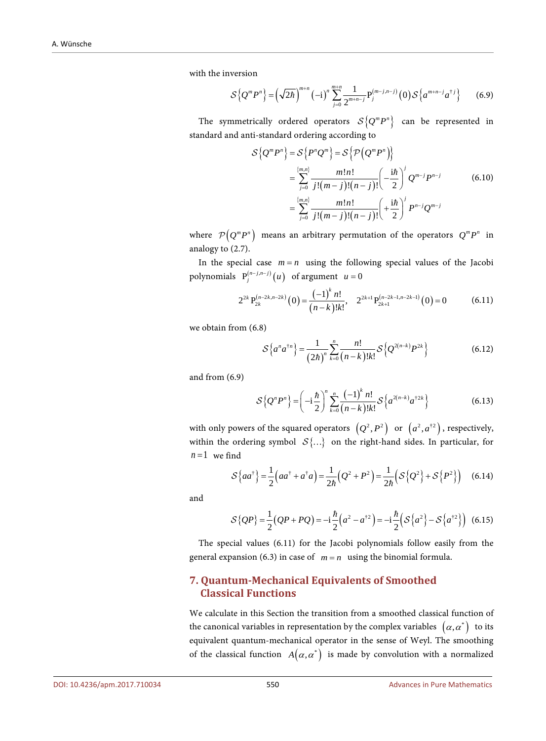with the inversion

$$
S\left\{Q^{m}P^{n}\right\} = \left(\sqrt{2\hbar}\right)^{m+n}(-i)^{n}\sum_{j=0}^{m+n}\frac{1}{2^{m+n-j}}P_{j}^{(m-j,n-j)}(0)S\left\{a^{m+n-j}a^{\dagger j}\right\} \tag{6.9}
$$

The symmetrically ordered operators  $S {Q<sup>m</sup>P<sup>n</sup>}$  can be represented in standard and anti-standard ordering according to

$$
\mathcal{S}\left\{Q^{m}P^{n}\right\} = \mathcal{S}\left\{P^{n}Q^{m}\right\} = \mathcal{S}\left\{\mathcal{P}\left(Q^{m}P^{n}\right)\right\}
$$
\n
$$
= \sum_{j=0}^{\{m,n\}} \frac{m!n!}{j!(m-j)!(n-j)!} \left(-\frac{i\hbar}{2}\right)^{j} Q^{m-j}P^{n-j} \tag{6.10}
$$
\n
$$
= \sum_{j=0}^{\{m,n\}} \frac{m!n!}{j!(m-j)!(n-j)!} \left(+\frac{i\hbar}{2}\right)^{j} P^{n-j}Q^{m-j}
$$

where  $\mathcal{P}( Q^m P^n )$  means an arbitrary permutation of the operators  $Q^m P^n$  in analogy to (2.7).

In the special case  $m = n$  using the following special values of the Jacobi polynomials  $P_j^{(n-j,n-j)}(u)$  of argument  $u = 0$ 

$$
2^{2k} P_{2k}^{(n-2k,n-2k)}(0) = \frac{(-1)^k n!}{(n-k)!k!}, \quad 2^{2k+1} P_{2k+1}^{(n-2k-1,n-2k-1)}(0) = 0 \tag{6.11}
$$

we obtain from (6.8)

$$
S\left\{a^n a^{\dagger n}\right\} = \frac{1}{(2\hbar)^n} \sum_{k=0}^n \frac{n!}{(n-k)!k!} S\left\{Q^{2(n-k)} P^{2k}\right\} \tag{6.12}
$$

and from (6.9)

$$
S\left\{Q^{n}P^{n}\right\} = \left(-i\frac{\hbar}{2}\right)^{n}\sum_{k=0}^{n}\frac{(-1)^{k}n!}{(n-k)!k!}S\left\{a^{2(n-k)}a^{\dagger 2k}\right\}
$$
(6.13)

with only powers of the squared operators  $(Q^2, P^2)$  or  $(a^2, a^{\dagger 2})$ , respectively, within the ordering symbol  $S\{...\}$  on the right-hand sides. In particular, for  $n=1$  we find

$$
S\{aa^{\dagger}\} = \frac{1}{2}\left(aa^{\dagger} + a^{\dagger}a\right) = \frac{1}{2\hbar}\left(Q^2 + P^2\right) = \frac{1}{2\hbar}\left(S\left\{Q^2\right\} + S\left\{P^2\right\}\right) \tag{6.14}
$$

and

$$
S\{QP\} = \frac{1}{2}(QP + PQ) = -i\frac{\hbar}{2}(a^2 - a^{\dagger 2}) = -i\frac{\hbar}{2}(S\{a^2\} - S\{a^{\dagger 2}\})
$$
 (6.15)

The special values (6.11) for the Jacobi polynomials follow easily from the general expansion (6.3) in case of  $m = n$  using the binomial formula.

## **7. Quantum-Mechanical Equivalents of Smoothed Classical Functions**

We calculate in this Section the transition from a smoothed classical function of the canonical variables in representation by the complex variables  $(\alpha, \alpha^*)$  to its equivalent quantum-mechanical operator in the sense of Weyl. The smoothing of the classical function  $A(\alpha, \alpha^*)$  is made by convolution with a normalized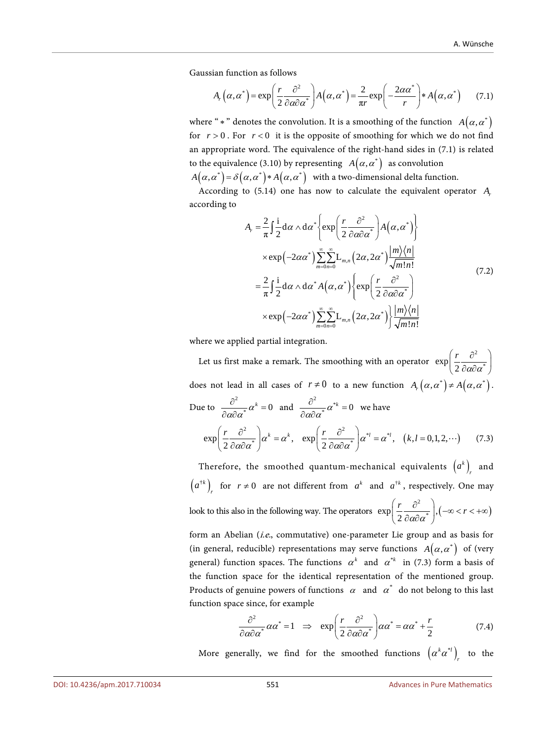Gaussian function as follows

$$
A_r(\alpha, \alpha^*) = \exp\left(\frac{r}{2} \frac{\partial^2}{\partial \alpha \partial \alpha^*}\right) A(\alpha, \alpha^*) = \frac{2}{\pi r} \exp\left(-\frac{2\alpha \alpha^*}{r}\right) * A(\alpha, \alpha^*) \tag{7.1}
$$

where " \* " denotes the convolution. It is a smoothing of the function  $A(\alpha, \alpha^*)$ for  $r > 0$ . For  $r < 0$  it is the opposite of smoothing for which we do not find an appropriate word. The equivalence of the right-hand sides in (7.1) is related to the equivalence (3.10) by representing  $A(\alpha, \alpha^*)$  as convolution

 $A(\alpha, \alpha^*) = \delta(\alpha, \alpha^*) * A(\alpha, \alpha^*)$  with a two-dimensional delta function.

According to (5.14) one has now to calculate the equivalent operator *Ar* according to

$$
A_{r} = \frac{2}{\pi} \int \frac{1}{2} d\alpha \wedge d\alpha^{*} \left\{ \exp\left(\frac{r}{2} \frac{\partial^{2}}{\partial \alpha \partial \alpha^{*}}\right) A(\alpha, \alpha^{*}) \right\}
$$
  
\n
$$
\times \exp\left(-2\alpha \alpha^{*}\right) \sum_{m=0}^{\infty} \sum_{n=0}^{\infty} L_{m,n} \left(2\alpha, 2\alpha^{*}\right) \frac{|m\rangle\langle n|}{\sqrt{m!n!}}
$$
  
\n
$$
= \frac{2}{\pi} \int \frac{1}{2} d\alpha \wedge d\alpha^{*} A(\alpha, \alpha^{*}) \left\{ \exp\left(\frac{r}{2} \frac{\partial^{2}}{\partial \alpha \partial \alpha^{*}}\right) \right\}
$$
  
\n
$$
\times \exp\left(-2\alpha \alpha^{*}\right) \sum_{m=0}^{\infty} \sum_{n=0}^{\infty} L_{m,n} \left(2\alpha, 2\alpha^{*}\right) \frac{|m\rangle\langle n|}{\sqrt{m!n!}}
$$
  
\n(7.2)

where we applied partial integration.

Let us first make a remark. The smoothing with an operator 2  $\exp\left(\frac{r}{2}\frac{\partial^2}{\partial \alpha \partial \alpha^*}\right)$  $\left(\frac{r}{2}\frac{\partial^2}{\partial a\partial a^*}\right)$ does not lead in all cases of  $r \neq 0$  to a new function  $A_r(\alpha, \alpha^*) \neq A(\alpha, \alpha^*)$ . Due to  $\frac{\partial^2}{\partial \alpha \partial \alpha^*} \alpha^k = 0$  and  $\frac{\partial^2}{\partial \alpha \partial \alpha^*} \alpha^{*k} = 0$  we have  $\exp\left(\frac{r}{2}\frac{\partial^2}{\partial \alpha \partial \alpha^*}\right)\alpha^k = \alpha^k$ ,  $\exp\left(\frac{r}{2}\frac{\partial^2}{\partial \alpha \partial \alpha^*}\right)\alpha^{*l} = \alpha^{*l}$ ,  $(k, l = 0, 1, 2, \cdots)$ (7.3)

Therefore, the smoothed quantum-mechanical equivalents  $(a^k)$ <sub>r</sub> and  $(a^{ik})_r$  for  $r \neq 0$  are not different from  $a^k$  and  $a^{ik}$ , respectively. One may look to this also in the following way. The operators  $\exp \left( \frac{r}{2} \frac{\partial^2}{\partial \alpha \partial \alpha^*} \right), (-\infty < r < +\infty)$  $\big( \, 2 \, \partial a \partial a^\ast \, \big)$ 

form an Abelian (i.e., commutative) one-parameter Lie group and as basis for (in general, reducible) representations may serve functions  $A(\alpha, \alpha^*)$  of (very general) function spaces. The functions  $\alpha^k$  and  $\alpha^{*k}$  in (7.3) form a basis of the function space for the identical representation of the mentioned group. Products of genuine powers of functions  $\alpha$  and  $\alpha^*$  do not belong to this last function space since, for example

$$
\frac{\partial^2}{\partial \alpha \partial \alpha^*} \alpha \alpha^* = 1 \quad \Rightarrow \quad \exp\left(\frac{r}{2} \frac{\partial^2}{\partial \alpha \partial \alpha^*}\right) \alpha \alpha^* = \alpha \alpha^* + \frac{r}{2} \tag{7.4}
$$

More generally, we find for the smoothed functions  $(\alpha^k \alpha^{*i})_r$  to the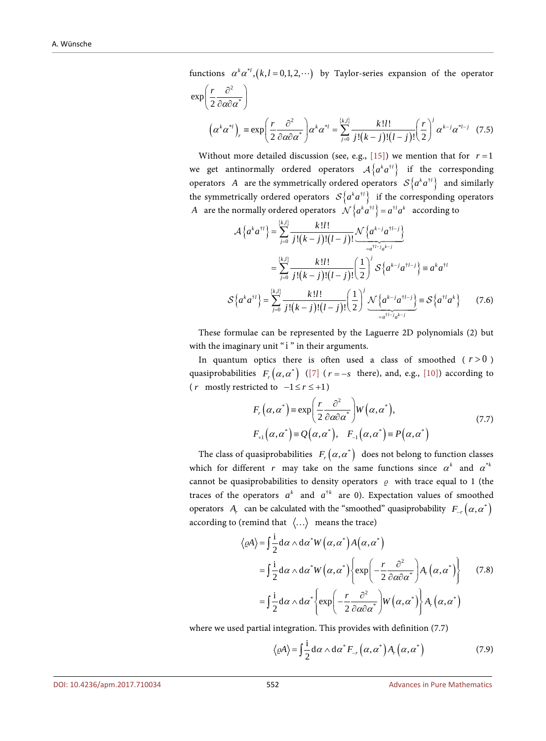functions  $\alpha^k \alpha^{*l}$ ,  $(k, l = 0,1,2, \cdots)$  by Taylor-series expansion of the operator

$$
\exp\left(\frac{r}{2}\frac{\partial^2}{\partial\alpha\partial\alpha^*}\right)
$$

$$
\left(\alpha^k\alpha^{*l}\right)_r = \exp\left(\frac{r}{2}\frac{\partial^2}{\partial\alpha\partial\alpha^*}\right)\alpha^k\alpha^{*l} = \sum_{j=0}^{\{k,l\}} \frac{k!l!}{j!(k-j)!(l-j)!} \left(\frac{r}{2}\right)^j\alpha^{k-j}\alpha^{*l-j} \quad (7.5)
$$

Without more detailed discussion (see, e.g.,  $[15]$ ) we mention that for  $r = 1$ we get antinormally ordered operators  $A \{ a^k a^{\dagger l} \}$  if the corresponding operators *A* are the symmetrically ordered operators  $S\{a^k a^{\dagger l}\}\$  and similarly the symmetrically ordered operators  $\mathcal{S}\left\{a^k a^{\dagger l}\right\}$  if the corresponding operators *A* are the normally ordered operators  $\mathcal{N}\left\{a^{k}a^{t} \right\} = a^{t}a^{k}$  according to

$$
\mathcal{A}\left\{a^{k}a^{\dagger l}\right\} = \sum_{j=0}^{\{k,l\}} \frac{k!l!}{j!(k-j)!(l-j)!} \frac{\mathcal{N}\left\{a^{k-j}a^{\dagger l-j}\right\}}{z^{a^{\dagger l-j}}}
$$
\n
$$
= \sum_{j=0}^{\{k,l\}} \frac{k!l!}{j!(k-j)!(l-j)!} \left(\frac{1}{2}\right)^{j} \mathcal{S}\left\{a^{k-j}a^{\dagger l-j}\right\} \equiv a^{k}a^{\dagger l}
$$
\n
$$
\mathcal{S}\left\{a^{k}a^{\dagger l}\right\} = \sum_{j=0}^{\{k,l\}} \frac{k!l!}{j!(k-j)!(l-j)!} \left(\frac{1}{2}\right)^{j} \frac{\mathcal{N}\left\{a^{k-j}a^{\dagger l-j}\right\}}{z^{a^{\dagger l-j}}}\equiv \mathcal{S}\left\{a^{\dagger l}a^{k}\right\} \qquad (7.6)
$$

These formulae can be represented by the Laguerre 2D polynomials (2) but with the imaginary unit "i" in their arguments.

In quantum optics there is often used a class of smoothed  $(r > 0)$ quasiprobabilities  $F_r(\alpha, \alpha^*)$  [\(\[7\]](#page-40-6) ( $r = -s$  there), and, e.g., [\[10\]\)](#page-40-9) according to ( *r* mostly restricted to  $-1 \le r \le +1$  )

$$
F_r(\alpha, \alpha^*) = \exp\left(\frac{r}{2} \frac{\partial^2}{\partial \alpha \partial \alpha^*}\right) W(\alpha, \alpha^*),
$$
  
\n
$$
F_{r1}(\alpha, \alpha^*) = Q(\alpha, \alpha^*), \quad F_{r1}(\alpha, \alpha^*) = P(\alpha, \alpha^*)
$$
\n(7.7)

The class of quasiprobabilities  $F_r(\alpha, \alpha^*)$  does not belong to function classes which for different *r* may take on the same functions since  $\alpha^k$  and  $\alpha^{*k}$ cannot be quasiprobabilities to density operators  $\rho$  with trace equal to 1 (the traces of the operators  $a^k$  and  $a^{\dagger k}$  are 0). Expectation values of smoothed operators *A<sub>r</sub>* can be calculated with the "smoothed" quasiprobability  $F_{-r}(\alpha, \alpha^*)$ according to (remind that  $\langle \ldots \rangle$  means the trace)

$$
\langle \varrho A \rangle = \int \frac{1}{2} d\alpha \wedge d\alpha^* W(\alpha, \alpha^*) A(\alpha, \alpha^*)
$$
  
\n
$$
= \int \frac{1}{2} d\alpha \wedge d\alpha^* W(\alpha, \alpha^*) \left\{ \exp \left( -\frac{r}{2} \frac{\partial^2}{\partial \alpha \partial \alpha^*} \right) A_r(\alpha, \alpha^*) \right\} \qquad (7.8)
$$
  
\n
$$
= \int \frac{1}{2} d\alpha \wedge d\alpha^* \left\{ \exp \left( -\frac{r}{2} \frac{\partial^2}{\partial \alpha \partial \alpha^*} \right) W(\alpha, \alpha^*) \right\} A_r(\alpha, \alpha^*)
$$

where we used partial integration. This provides with definition (7.7)

$$
\langle \varrho A \rangle = \int \frac{\mathrm{i}}{2} \mathrm{d} \alpha \wedge \mathrm{d} \alpha^* F_{-r} \left( \alpha, \alpha^* \right) A_r \left( \alpha, \alpha^* \right) \tag{7.9}
$$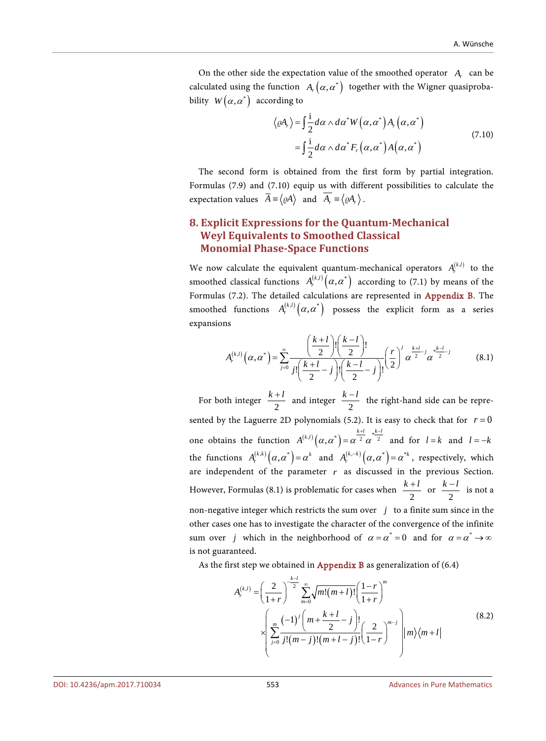On the other side the expectation value of the smoothed operator *A<sub>r</sub>* can be calculated using the function  $A_r(\alpha, \alpha^*)$  together with the Wigner quasiprobability  $W(\alpha, \alpha^*)$  according to

$$
\langle \varrho A_r \rangle = \int \frac{\mathrm{i}}{2} d\alpha \wedge d\alpha^* W(\alpha, \alpha^*) A_r(\alpha, \alpha^*)
$$
  
= 
$$
\int \frac{\mathrm{i}}{2} d\alpha \wedge d\alpha^* F_r(\alpha, \alpha^*) A(\alpha, \alpha^*)
$$
 (7.10)

The second form is obtained from the first form by partial integration. Formulas (7.9) and (7.10) equip us with different possibilities to calculate the expectation values  $\overline{A} = \langle \varrho A \rangle$  and  $\overline{A}_r = \langle \varrho A_r \rangle$ .

# **8. Explicit Expressions for the Quantum-Mechanical Weyl Equivalents to Smoothed Classical Monomial Phase-Space Functions**

We now calculate the equivalent quantum-mechanical operators  $A_r^{(k,l)}$  to the smoothed classical functions  $A_r^{(k,l)}(\alpha, \alpha^*)$  according to (7.1) by means of the Formulas (7.2). The detailed calculations are represented in [Appendix B.](#page-45-0) The smoothed functions  $A_r^{(k,l)}(\alpha, \alpha^*)$  possess the explicit form as a series expansions

$$
A_r^{(k,l)}(\alpha, \alpha^*) = \sum_{j=0}^{\infty} \frac{\left(\frac{k+l}{2}\right)! \left(\frac{k-l}{2}\right)!}{j! \left(\frac{k+l}{2} - j\right)! \left(\frac{k-l}{2} - j\right)!} \left(\frac{r}{2}\right)^j \alpha^{\frac{k+l}{2}} \alpha^{\frac{k-l}{2}} \alpha^{\frac{k-l}{2}} \tag{8.1}
$$

For both integer  $\frac{k+l}{2}$  and integer  $\frac{k-l}{2}$  the right-hand side can be represented by the Laguerre 2D polynomials (5.2). It is easy to check that for  $r = 0$ one obtains the function  $A^{(k,l)}(\alpha, \alpha^*) = \alpha^{\frac{k+l}{2}} \alpha^{\frac{k^{k-l}}{2}}$  $= \alpha^2 \alpha^2$  and for  $l = k$  and  $l = -k$ the functions  $A_r^{(k,k)}(\alpha, \alpha^*) = \alpha^k$  and  $A_r^{(k-k)}(\alpha, \alpha^*) = \alpha^{*k}$ , respectively, which are independent of the parameter  $r$  as discussed in the previous Section. However, Formulas (8.1) is problematic for cases when  $\frac{k+l}{2}$  or  $\frac{k-l}{2}$  is not a non-negative integer which restricts the sum over  $j$  to a finite sum since in the other cases one has to investigate the character of the convergence of the infinite sum over *j* which in the neighborhood of  $\alpha = \alpha^* = 0$  and for  $\alpha = \alpha^* \rightarrow \infty$ is not guaranteed.

As the first step we obtained in **[Appendix B](#page-45-0)** as generalization of  $(6.4)$ 

$$
A_r^{(k,l)} = \left(\frac{2}{1+r}\right)^{\frac{k-l}{2}} \sum_{m=0}^{\infty} \sqrt{m!(m+l)!} \left(\frac{1-r}{1+r}\right)^m
$$
  

$$
\times \left(\sum_{j=0}^m \frac{(-1)^j \left(m+\frac{k+l}{2}-j\right)!}{j!(m-j)!(m+l-j)!} \left(\frac{2}{1-r}\right)^{m-j} \right) |m\rangle\langle m+l|
$$
(8.2)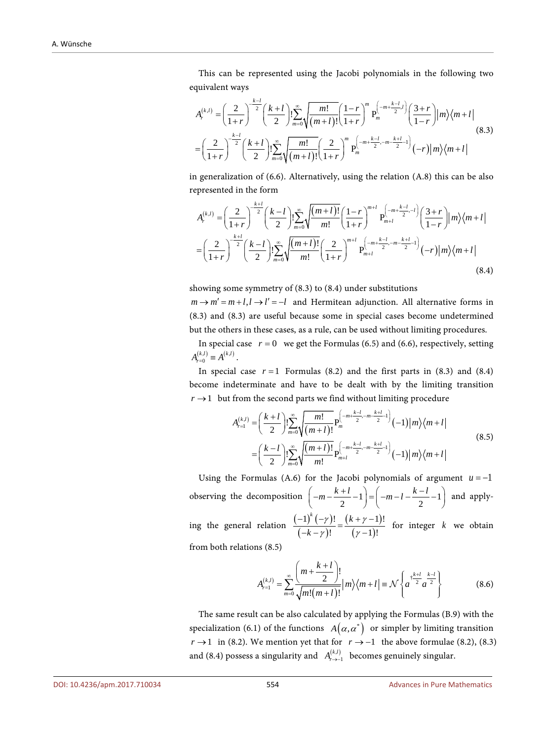This can be represented using the Jacobi polynomials in the following two equivalent ways

$$
A_r^{(k,l)} = \left(\frac{2}{1+r}\right)^{-\frac{k-l}{2}} \left(\frac{k+l}{2}\right)! \sum_{m=0}^{\infty} \sqrt{\frac{m!}{(m+l)!}} \left(\frac{1-r}{1+r}\right)^m P_m^{\left(-m+\frac{k-l}{2},l\right)} \left(\frac{3+r}{1-r}\right) |m\rangle \langle m+l|
$$
\n
$$
= \left(\frac{2}{1+r}\right)^{-\frac{k-l}{2}} \left(\frac{k+l}{2}\right)! \sum_{m=0}^{\infty} \sqrt{\frac{m!}{(m+l)!}} \left(\frac{2}{1+r}\right)^m P_m^{\left(-m+\frac{k-l}{2},-m-\frac{k+l}{2}-1\right)} (-r) |m\rangle \langle m+l|
$$
\n(8.3)

in generalization of (6.6). Alternatively, using the relation (A.8) this can be also represented in the form

$$
A_r^{(k,l)} = \left(\frac{2}{1+r}\right)^{-\frac{k+l}{2}} \left(\frac{k-l}{2}\right)! \sum_{m=0}^{\infty} \sqrt{\frac{(m+l)!}{m!}} \left(\frac{1-r}{1+r}\right)^{m+l} P_{m+l}^{\left(-m+\frac{k-l}{2},-l\right)} \left(\frac{3+r}{1-r}\right) |m\rangle \langle m+l|
$$
  

$$
= \left(\frac{2}{1+r}\right)^{-\frac{k+l}{2}} \left(\frac{k-l}{2}\right)! \sum_{m=0}^{\infty} \sqrt{\frac{(m+l)!}{m!}} \left(\frac{2}{1+r}\right)^{m+l} P_{m+l}^{\left(-m+\frac{k-l}{2},-m-\frac{k+l}{2}-1\right)} (-r) |m\rangle \langle m+l|
$$
(8.4)

showing some symmetry of (8.3) to (8.4) under substitutions

 $m \rightarrow m' = m + l, l \rightarrow l' = -l$  and Hermitean adjunction. All alternative forms in (8.3) and (8.3) are useful because some in special cases become undetermined but the others in these cases, as a rule, can be used without limiting procedures.

In special case  $r = 0$  we get the Formulas (6.5) and (6.6), respectively, setting  $A_{r=0}^{(k,l)} \equiv A^{(k,l)}$ .

In special case  $r = 1$  Formulas (8.2) and the first parts in (8.3) and (8.4) become indeterminate and have to be dealt with by the limiting transition  $r \rightarrow 1$  but from the second parts we find without limiting procedure

$$
A_{r=1}^{(k,l)} = \left(\frac{k+l}{2}\right)! \sum_{m=0}^{\infty} \sqrt{\frac{m!}{(m+l)!}} P_m^{\left(-m+\frac{k-l}{2}, -m-\frac{k+l}{2}\right)}(-1) |m\rangle\langle m+l|
$$
\n
$$
= \left(\frac{k-l}{2}\right)! \sum_{m=0}^{\infty} \sqrt{\frac{(m+l)!}{m!}} P_{m+l}^{\left(-m+\frac{k-l}{2}, -m-\frac{k+l}{2}\right)}(-1) |m\rangle\langle m+l|
$$
\n(8.5)

Using the Formulas (A.6) for the Jacobi polynomials of argument  $u = -1$ observing the decomposition  $\left(-m - \frac{k+l}{2} - 1\right) = \left(-m - l - \frac{k-l}{2} - 1\right)$  and applying the general relation  $\frac{(-1)^{k}(-\gamma)}{(-k-\gamma)!}$  $(k + \gamma - 1)$  $(\gamma -1)$  $(-\gamma)!$   $(k+\gamma-1)!$ !  $(\gamma - 1)!$  $\int_{0}^{k} (-\gamma)!$  (k *k*  $-\gamma$ )! ( $\kappa + \gamma$  $\frac{(-1)^k(-\gamma)!}{(-k-\gamma)!} = \frac{(k+\gamma-1)!}{(\gamma-1)!}$  for integer *k* we obtain

from both relations (8.5)

$$
A_{r=1}^{(k,l)} = \sum_{m=0}^{\infty} \frac{\left(m + \frac{k+l}{2}\right)!}{\sqrt{m!(m+l)!}} |m\rangle\langle m+l| = \mathcal{N}\left\{a^{\frac{k+l}{2}}a^{\frac{k-l}{2}}\right\}
$$
(8.6)

The same result can be also calculated by applying the Formulas (B.9) with the specialization (6.1) of the functions  $A(\alpha, \alpha^*)$  or simpler by limiting transition *r* → 1 in (8.2). We mention yet that for  $r \rightarrow -1$  the above formulae (8.2), (8.3) and (8.4) possess a singularity and  $A_{r \to -1}^{(k,l)}$  becomes genuinely singular.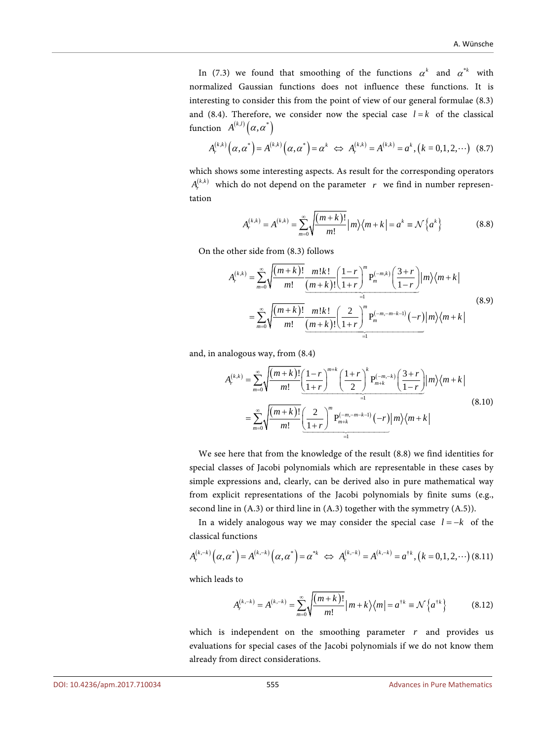In (7.3) we found that smoothing of the functions  $\alpha^k$  and  $\alpha^{*k}$  with normalized Gaussian functions does not influence these functions. It is interesting to consider this from the point of view of our general formulae (8.3) and (8.4). Therefore, we consider now the special case  $l = k$  of the classical function  $A^{(k,l)}(\alpha, \alpha^*)$ 

$$
A_r^{(k,k)}(\alpha, \alpha^*) = A^{(k,k)}(\alpha, \alpha^*) = \alpha^k \iff A_r^{(k,k)} = A^{(k,k)} = \alpha^k, (k = 0, 1, 2, \cdots) \tag{8.7}
$$

which shows some interesting aspects. As result for the corresponding operators  $A_{\cdot}^{(k,k)}$  which do not depend on the parameter *r* we find in number representation

$$
A_r^{(k,k)} = A^{(k,k)} = \sum_{m=0}^{\infty} \sqrt{\frac{(m+k)!}{m!}} |m\rangle \langle m+k| = a^k \equiv \mathcal{N} \{a^k\}
$$
 (8.8)

On the other side from (8.3) follows

$$
A_r^{(k,k)} = \sum_{m=0}^{\infty} \sqrt{\frac{(m+k)!}{m!} \frac{m!k!}{(m+k)!} \left(\frac{1-r}{1+r}\right)^m P_m^{(-m,k)} \left(\frac{3+r}{1-r}\right)} |m\rangle \langle m+k|
$$
  

$$
= \sum_{m=0}^{\infty} \sqrt{\frac{(m+k)!}{m!} \frac{m!k!}{(m+k)!} \left(\frac{2}{1+r}\right)^m P_m^{(-m,-m-k-1)}(-r) |m\rangle \langle m+k|}
$$
(8.9)

and, in analogous way, from (8.4)

$$
A_r^{(k,k)} = \sum_{m=0}^{\infty} \sqrt{\frac{(m+k)!}{m!} \left(\frac{1-r}{1+r}\right)^{m+k} \left(\frac{1+r}{2}\right)^k P_{m+k}^{(-m,-k)} \left(\frac{3+r}{1-r}\right) |m\rangle \langle m+k|}
$$
  

$$
= \sum_{m=0}^{\infty} \sqrt{\frac{(m+k)!}{m!} \left(\frac{2}{1+r}\right)^m P_{m+k}^{(-m,-m-k-1)} (-r) |m\rangle \langle m+k|}
$$
(8.10)

We see here that from the knowledge of the result (8.8) we find identities for special classes of Jacobi polynomials which are representable in these cases by simple expressions and, clearly, can be derived also in pure mathematical way from explicit representations of the Jacobi polynomials by finite sums (e.g., second line in (A.3) or third line in (A.3) together with the symmetry (A.5)).

In a widely analogous way we may consider the special case  $l = -k$  of the classical functions

$$
A_r^{(k,-k)}(\alpha,\alpha^*) = A^{(k,-k)}(\alpha,\alpha^*) = \alpha^{*k} \iff A_r^{(k,-k)} = A^{(k,-k)} = \alpha^{\dagger k}, (k = 0,1,2,\cdots) \tag{8.11}
$$

which leads to

$$
A_r^{(k,-k)} = A^{(k,-k)} = \sum_{m=0}^{\infty} \sqrt{\frac{(m+k)!}{m!}} |m+k\rangle \langle m| = a^{\dagger k} \equiv \mathcal{N} \{a^{\dagger k}\}
$$
(8.12)

which is independent on the smoothing parameter *r* and provides us evaluations for special cases of the Jacobi polynomials if we do not know them already from direct considerations.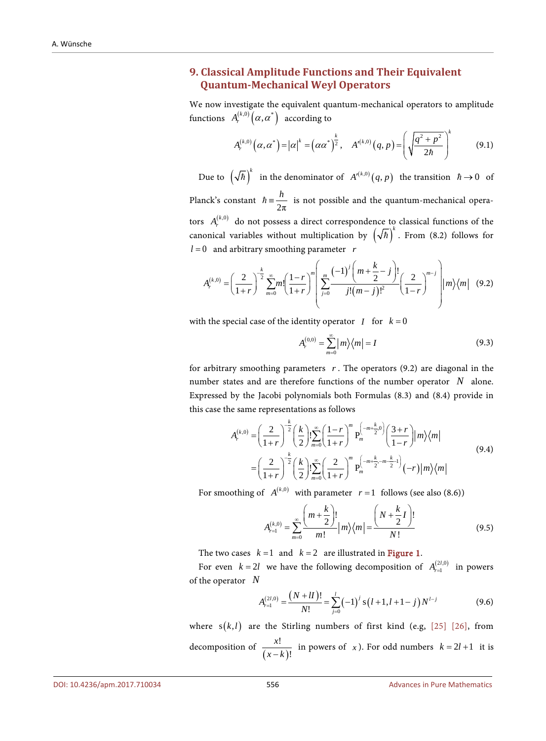# **9. Classical Amplitude Functions and Their Equivalent Quantum-Mechanical Weyl Operators**

We now investigate the equivalent quantum-mechanical operators to amplitude functions  $A_r^{(k,0)}(\alpha, \alpha^*)$  according to

$$
A_r^{(k,0)}(\alpha,\alpha^*) = |\alpha|^k = (\alpha\alpha^*)^{\frac{k}{2}}, \quad A'^{(k,0)}(q,p) = \left(\sqrt{\frac{q^2 + p^2}{2\hbar}}\right)^k \tag{9.1}
$$

Due to  $(\sqrt{\hbar})^k$  in the denominator of  $A'^{(k,0)}(q, p)$  the transition  $\hbar \to 0$  of Planck's constant  $\hbar = \frac{h}{2\pi}$  is not possible and the quantum-mechanical operators  $A_r^{(k,0)}$  do not possess a direct correspondence to classical functions of the canonical variables without multiplication by  $(\sqrt{\hbar})^k$ . From (8.2) follows for *l* = 0 and arbitrary smoothing parameter *r*

$$
A_r^{(k,0)} = \left(\frac{2}{1+r}\right)^{\frac{k}{2}} \sum_{m=0}^{\infty} m! \left(\frac{1-r}{1+r}\right)^m \left(\sum_{j=0}^m \frac{(-1)^j \left(m+\frac{k}{2}-j\right)!}{j!(m-j)!^2} \left(\frac{2}{1-r}\right)^{m-j} \right) |m\rangle\langle m| \quad (9.2)
$$

with the special case of the identity operator *I* for  $k = 0$ 

$$
A_r^{(0,0)} = \sum_{m=0}^{\infty} |m\rangle \langle m| = I
$$
 (9.3)

for arbitrary smoothing parameters  $r$ . The operators  $(9.2)$  are diagonal in the number states and are therefore functions of the number operator *N* alone. Expressed by the Jacobi polynomials both Formulas (8.3) and (8.4) provide in this case the same representations as follows

$$
A_r^{(k,0)} = \left(\frac{2}{1+r}\right)^{\frac{k}{2}} \left(\frac{k}{2}\right)! \sum_{m=0}^{\infty} \left(\frac{1-r}{1+r}\right)^m P_m^{\left(-m+\frac{k}{2},0\right)} \left(\frac{3+r}{1-r}\right) |m\rangle \langle m|
$$
  
= 
$$
\left(\frac{2}{1+r}\right)^{\frac{k}{2}} \left(\frac{k}{2}\right)! \sum_{m=0}^{\infty} \left(\frac{2}{1+r}\right)^m P_m^{\left(-m+\frac{k}{2},-m-\frac{k}{2}1\right)} (-r) |m\rangle \langle m|
$$
(9.4)

For smoothing of  $A^{(k,0)}$  with parameter  $r=1$  follows (see also (8.6))

$$
A_{r=1}^{(k,0)} = \sum_{m=0}^{\infty} \frac{\left(m + \frac{k}{2}\right)!}{m!} |m\rangle\langle m| = \frac{\left(N + \frac{k}{2}I\right)!}{N!}
$$
(9.5)

The two cases  $k = 1$  and  $k = 2$  are illustrated in **[Figure 1.](#page-24-0)** 

For even  $k = 2l$  we have the following decomposition of  $A_{r=1}^{(2l,0)}$  in powers of the operator *N*

$$
A_{r=1}^{(2l,0)} = \frac{(N+lI)!}{N!} = \sum_{j=0}^{l} (-1)^j s(l+1,l+1-j) N^{l-j}
$$
(9.6)

where  $s(k, l)$  are the Stirling numbers of first kind (e.g, [\[25\]](#page-41-9) [\[26\],](#page-41-10) from decomposition of  $\frac{x!}{(x-k)}$ !  $\frac{x!}{(x-k)!}$  in powers of *x*). For odd numbers  $k = 2l + 1$  it is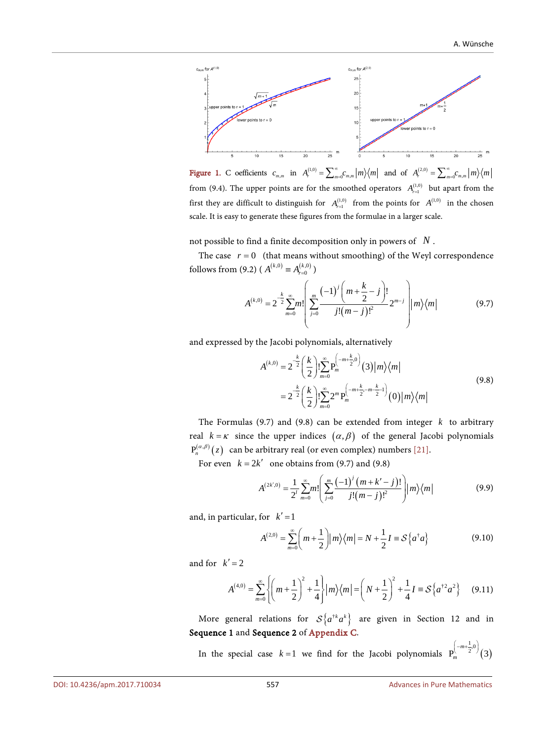<span id="page-24-0"></span>

Figure 1. C oefficients  $c_{m,m}$  in  $A_r^{(1,0)} = \sum_{m=0}^{\infty} c_{m,m} |m\rangle\langle m|$  and of  $A_r^{(2,0)} = \sum_{m=0}^{\infty} c_{m,m} |m\rangle\langle m|$ from (9.4). The upper points are for the smoothed operators  $A_{r=1}^{(1,0)}$  but apart from the first they are difficult to distinguish for  $A_{r=1}^{(1,0)}$  from the points for  $A_{r=1}^{(1,0)}$  in the chosen scale. It is easy to generate these figures from the formulae in a larger scale.

not possible to find a finite decomposition only in powers of *N* .

The case  $r = 0$  (that means without smoothing) of the Weyl correspondence follows from (9.2) ( $A^{(k,0)} \equiv A_{r=0}^{(k,0)}$ )

$$
A^{(k,0)} = 2^{-\frac{k}{2}} \sum_{m=0}^{\infty} m! \left( \sum_{j=0}^{m} \frac{(-1)^j \left( m + \frac{k}{2} - j \right)!}{j! (m - j)!^2} 2^{m-j} \right) |m\rangle \langle m|
$$
 (9.7)

and expressed by the Jacobi polynomials, alternatively

$$
A^{(k,0)} = 2^{-\frac{k}{2}} \left(\frac{k}{2}\right)! \sum_{m=0}^{\infty} P_m^{\left(-m+\frac{k}{2},0\right)}(3) |m\rangle\langle m|
$$
  
= 
$$
2^{-\frac{k}{2}} \left(\frac{k}{2}\right)! \sum_{m=0}^{\infty} 2^m P_m^{\left(-m+\frac{k}{2},-m-\frac{k}{2}\right)}(0) |m\rangle\langle m|
$$
 (9.8)

The Formulas (9.7) and (9.8) can be extended from integer *k* to arbitrary real  $k = \kappa$  since the upper indices  $(\alpha, \beta)$  of the general Jacobi polynomials  $P_n^{(\alpha,\beta)}(z)$  can be arbitrary real (or even complex) numbers [\[21\].](#page-41-5)

For even  $k = 2k'$  one obtains from (9.7) and (9.8)

$$
A^{(2k',0)} = \frac{1}{2'} \sum_{m=0}^{\infty} m! \left( \sum_{j=0}^{m} \frac{(-1)^{j} (m+k'-j)!}{j!(m-j)!^{2}} \right) |m\rangle\langle m|
$$
 (9.9)

and, in particular, for  $k'=1$ 

$$
A^{(2,0)} = \sum_{m=0}^{\infty} \left( m + \frac{1}{2} \right) \left| m \right\rangle \left\langle m \right| = N + \frac{1}{2} I \equiv \mathcal{S} \left\{ a^{\dagger} a \right\} \tag{9.10}
$$

and for  $k'=2$ 

$$
A^{(4,0)} = \sum_{m=0}^{\infty} \left\{ \left( m + \frac{1}{2} \right)^2 + \frac{1}{4} \right\} |m\rangle \langle m| = \left( N + \frac{1}{2} \right)^2 + \frac{1}{4} I \equiv \mathcal{S} \left\{ a^{\dagger 2} a^2 \right\} \tag{9.11}
$$

More general relations for  $S\{a^{\dagger k}a^k\}$  are given in Section 12 and in Sequence 1 and Sequence 2 of [Appendix C.](#page-47-0)

In the special case  $k=1$  we find for the Jacobi polynomials  $P_m^{\langle 2 \rangle}$  (3)  $P_{m}^{\left( -m+\frac{1}{2},0\right) }$  (3)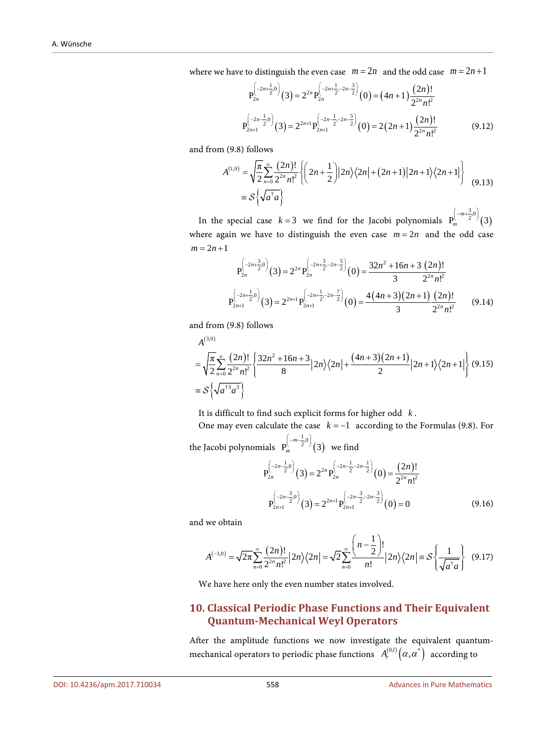where we have to distinguish the even case  $m = 2n$  and the odd case  $m = 2n + 1$ 

$$
P_{2n}^{\left(-2n+\frac{1}{2},0\right)}(3) = 2^{2n} P_{2n}^{\left(-2n+\frac{1}{2},-2n-\frac{3}{2}\right)}(0) = (4n+1)\frac{(2n)!}{2^{2n}n!^2}
$$

$$
P_{2n+1}^{\left(-2n-\frac{1}{2},0\right)}(3) = 2^{2n+1} P_{2n+1}^{\left(-2n-\frac{1}{2},-2n-\frac{5}{2}\right)}(0) = 2(2n+1)\frac{(2n)!}{2^{2n}n!^2}
$$
(9.12)

and from (9.8) follows

$$
A^{(1,0)} = \sqrt{\frac{\pi}{2}} \sum_{n=0}^{\infty} \frac{(2n)!}{2^{2n} n!^2} \left\{ \left( 2n + \frac{1}{2} \right) \left| 2n \right\rangle \left\langle 2n \right| + (2n+1) \left| 2n + 1 \right\rangle \left\langle 2n + 1 \right| \right\}
$$
  
=  $\mathcal{S} \left\{ \sqrt{a^{\dagger} a} \right\}$  (9.13)

In the special case  $k=3$  we find for the Jacobi polynomials  $P_m^{\langle k \rangle}$  (3)  $P_{m}^{\left(-m+\frac{3}{2},0\right)}(3)$ where again we have to distinguish the even case  $m = 2n$  and the odd case  $m = 2n + 1$ 

$$
P_{2n}^{\left(-2n+\frac{3}{2},0\right)}(3) = 2^{2n} P_{2n}^{\left(-2n+\frac{3}{2},-2n-\frac{5}{2}\right)}(0) = \frac{32n^2 + 16n + 3(2n)!}{3 \cdot 2^{2n} n!^2}
$$
  

$$
P_{2n+1}^{\left(-2n+\frac{1}{2},0\right)}(3) = 2^{2n+1} P_{2n+1}^{\left(-2n+\frac{1}{2},-2n-\frac{7}{2}\right)}(0) = \frac{4(4n+3)(2n+1)(2n)!}{3 \cdot 2^{2n} n!^2}
$$
(9.14)

and from (9.8) follows

$$
A^{(3,0)} = \sqrt{\frac{\pi}{2}} \sum_{n=0}^{\infty} \frac{(2n)!}{2^{2n} n!^2} \left\{ \frac{32n^2 + 16n + 3}{8} |2n\rangle\langle2n| + \frac{(4n+3)(2n+1)}{2} |2n+1\rangle\langle2n+1| \right\} (9.15)
$$
  
=  $\mathcal{S} \left\{ \sqrt{a^{3} a^{3}} \right\}$ 

It is difficult to find such explicit forms for higher odd *k* .

One may even calculate the case  $k = -1$  according to the Formulas (9.8). For

the Jacobi polynomials  $P_m^{\wedge}$   $\longrightarrow^2$  (3)  ${\rm P}_{m}^{\left( -m-\frac{1}{2},0\right) }\big ({\rm 3}\big )\;\;$  we find

$$
P_{2n}^{\left(-2n-\frac{1}{2},0\right)}(3) = 2^{2n} P_{2n}^{\left(-2n-\frac{1}{2},-2n-\frac{1}{2}\right)}(0) = \frac{(2n)!}{2^{2n} n!^2}
$$

$$
P_{2n+1}^{\left(-2n-\frac{3}{2},0\right)}(3) = 2^{2n+1} P_{2n+1}^{\left(-2n-\frac{3}{2},-2n-\frac{3}{2}\right)}(0) = 0
$$
(9.16)

and we obtain

$$
A^{(-1,0)} = \sqrt{2\pi} \sum_{n=0}^{\infty} \frac{(2n)!}{2^{2n} n!} |2n\rangle \langle 2n| = \sqrt{2} \sum_{n=0}^{\infty} \frac{\left(n - \frac{1}{2}\right)!}{n!} |2n\rangle \langle 2n| = \mathcal{S} \left\{ \frac{1}{\sqrt{a^{\dagger} a}} \right\}
$$
(9.17)

We have here only the even number states involved.

#### **10. Classical Periodic Phase Functions and Their Equivalent Quantum-Mechanical Weyl Operators**

After the amplitude functions we now investigate the equivalent quantummechanical operators to periodic phase functions  $A_r^{(0,l)}(\alpha, \alpha^*)$  according to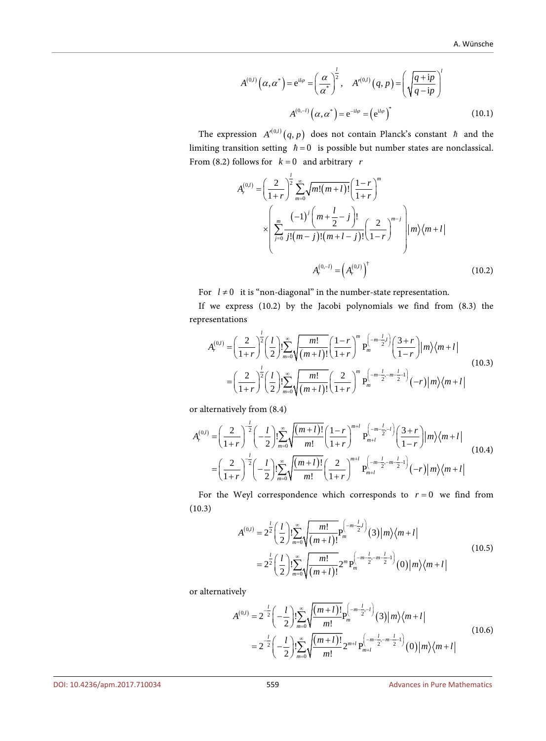$$
A^{(0,l)}\left(\alpha,\alpha^*\right) = e^{il\varphi} = \left(\frac{\alpha}{\alpha^*}\right)^{\frac{l}{2}}, \quad A'^{(0,l)}\left(q,p\right) = \left(\sqrt{\frac{q+ip}{q-ip}}\right)^l
$$

$$
A^{(0,-l)}\left(\alpha,\alpha^*\right) = e^{-il\varphi} = \left(e^{il\varphi}\right)^* \tag{10.1}
$$

The expression  $A'^{(0,l)}(q, p)$  does not contain Planck's constant  $h$  and the limiting transition setting  $\hbar = 0$  is possible but number states are nonclassical. From (8.2) follows for  $k = 0$  and arbitrary *r* 

$$
A_r^{(0,l)} = \left(\frac{2}{1+r}\right)^{\frac{l}{2}} \sum_{m=0}^{\infty} \sqrt{m!(m+l)!} \left(\frac{1-r}{1+r}\right)^m
$$
  

$$
\times \left(\sum_{j=0}^m \frac{(-1)^j \left(m+\frac{l}{2}-j\right)!}{j!(m-j)!(m+l-j)!} \left(\frac{2}{1-r}\right)^{m-j} \right) |m\rangle \langle m+l|
$$
  

$$
A_r^{(0,-l)} = \left(A_r^{(0,l)}\right)^{\dagger} \qquad (10.2)
$$

For  $l \neq 0$  it is "non-diagonal" in the number-state representation.

If we express (10.2) by the Jacobi polynomials we find from (8.3) the representations

$$
A_r^{(0,l)} = \left(\frac{2}{1+r}\right)^{\frac{l}{2}} \left(\frac{l}{2}\right)! \sum_{m=0}^{\infty} \sqrt{\frac{m!}{(m+l)!}} \left(\frac{1-r}{1+r}\right)^m P_m^{\left(-m-\frac{l}{2}l\right)} \left(\frac{3+r}{1-r}\right) |m\rangle \langle m+l|
$$
\n
$$
= \left(\frac{2}{1+r}\right)^{\frac{l}{2}} \left(\frac{l}{2}\right)! \sum_{m=0}^{\infty} \sqrt{\frac{m!}{(m+l)!}} \left(\frac{2}{1+r}\right)^m P_m^{\left(-m-\frac{l}{2}, -m-\frac{l}{2} - 1\right)} (-r) |m\rangle \langle m+l|
$$
\n(10.3)

or alternatively from (8.4)

$$
A_r^{(0,l)} = \left(\frac{2}{1+r}\right)^{\frac{l}{2}} \left(-\frac{l}{2}\right)! \sum_{m=0}^{\infty} \sqrt{\frac{(m+l)!}{m!}} \left(\frac{1-r}{1+r}\right)^{m+l} P_{m+l}^{\left(-m-\frac{l}{2}-l\right)} \left(\frac{3+r}{1-r}\right) |m\rangle \langle m+l|
$$
\n
$$
= \left(\frac{2}{1+r}\right)^{\frac{l}{2}} \left(-\frac{l}{2}\right)! \sum_{m=0}^{\infty} \sqrt{\frac{(m+l)!}{m!}} \left(\frac{2}{1+r}\right)^{m+l} P_{m+l}^{\left(-m-\frac{l}{2}-m-\frac{l}{2}-1\right)} (-r) |m\rangle \langle m+l|
$$
\n(10.4)

For the Weyl correspondence which corresponds to  $r = 0$  we find from (10.3)

$$
A^{(0,l)} = 2^{\frac{l}{2}} \left(\frac{l}{2}\right)! \sum_{m=0}^{\infty} \sqrt{\frac{m!}{(m+l)!}} P_m^{\left(-m-\frac{l}{2},l\right)}(3) |m\rangle \langle m+l|
$$
  
= 
$$
2^{\frac{l}{2}} \left(\frac{l}{2}\right)! \sum_{m=0}^{\infty} \sqrt{\frac{m!}{(m+l)!}} 2^m P_m^{\left(-m-\frac{l}{2}-m-\frac{l}{2}-1\right)}(0) |m\rangle \langle m+l|
$$
(10.5)

or alternatively

$$
A^{(0,l)} = 2^{-\frac{l}{2}} \left( -\frac{l}{2} \right) \sum_{m=0}^{\infty} \sqrt{\frac{(m+l)!}{m!}} P_m^{\left( -\frac{l}{2} - l \right)}(3) |m\rangle \langle m+l|
$$
  
= 
$$
2^{-\frac{l}{2}} \left( -\frac{l}{2} \right) \sum_{m=0}^{\infty} \sqrt{\frac{(m+l)!}{m!}} 2^{m+l} P_{m+l}^{\left( -\frac{m-l}{2} - m \frac{l}{2} - 1 \right)}(0) |m\rangle \langle m+l|
$$
(10.6)

DOI[: 10.4236/apm.2017.710034](https://doi.org/10.4236/apm.2017.710034) 559 Advances in Pure Mathematics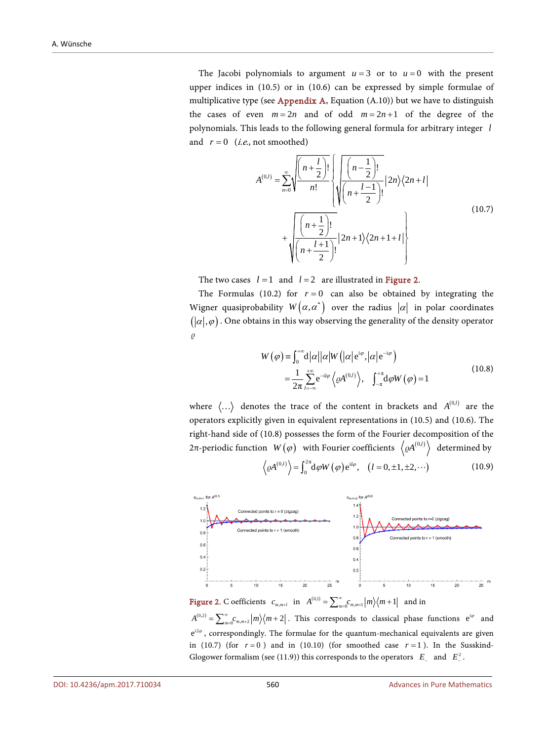The Jacobi polynomials to argument  $u = 3$  or to  $u = 0$  with the present upper indices in (10.5) or in (10.6) can be expressed by simple formulae of multiplicative type (see [Appendix A,](#page-43-0) Equation  $(A.10)$ ) but we have to distinguish the cases of even  $m = 2n$  and of odd  $m = 2n + 1$  of the degree of the polynomials. This leads to the following general formula for arbitrary integer *l* and  $r = 0$  (*i.e.*, not smoothed)

$$
A^{(0,l)} = \sum_{n=0}^{\infty} \sqrt{\frac{\left(n + \frac{l}{2}\right)!}{n!}} \sqrt{\frac{\left(n - \frac{1}{2}\right)!}{\left(n + \frac{l - 1}{2}\right)!}} |2n\rangle \langle 2n + l| + \sqrt{\frac{\left(n + \frac{1}{2}\right)!}{\left(n + \frac{l + 1}{2}\right)!}} |2n + 1\rangle \langle 2n + 1 + l| + \sqrt{\frac{\left(n + \frac{l + 1}{2}\right)!}{\left(n + \frac{l + 1}{2}\right)!}} |2n + 1\rangle \langle 2n + 1 + l| + \sqrt{\frac{\left(n + \frac{l + 1}{2}\right)!}{\left(n + \frac{l + 1}{2}\right)!}} |2n + 1\rangle \langle 2n + 1 + l| + \sqrt{\frac{\left(n + \frac{l + 1}{2}\right)!}{\left(n + \frac{l + 1}{2}\right)!}} |2n + 1\rangle \langle 2n + 1 + l| + \sqrt{\frac{\left(n + \frac{l + 1}{2}\right)!}{\left(n + \frac{l + 1}{2}\right)!}} |2n + 1\rangle \langle 2n + 1 + l| + \sqrt{\frac{\left(n + \frac{l + 1}{2}\right)!}{\left(n + \frac{l + 1}{2}\right)!}} |2n + 1\rangle \langle 2n + 1 + l| + \sqrt{\frac{\left(n + \frac{l + 1}{2}\right)!}{\left(n + \frac{l + 1}{2}\right)!}} |2n + 1\rangle \langle 2n + 1 + l| + \sqrt{\frac{\left(n + \frac{l + 1}{2}\right)!}{\left(n + \frac{l + 1}{2}\right)!}} |2n + 1\rangle \langle 2n + 1 + l| + \sqrt{\frac{\left(n + \frac{l + 1}{2}\right)!}{\left(n + \frac{l + 1}{2}\right)!}} |2n + 1\rangle \langle 2n + 1 + l| + \sqrt{\frac{\left(n + \frac{l + 1}{2}\right)!}{\left(n + \frac{l + 1}{2}\right)!}} |2n + 1\rangle \langle 2n + 1 + l| + \sqrt{\frac{\left(n + \frac{l + 1}{2}\right)!}{\left(n + \frac{l + 1}{2}\right)!}} |2n + 1\rangle \langle 2n + 1 + l| + \sqrt{\frac{\left(n + \frac{l + 1}{2}\right)!}{\left(n + \frac{l + 1}{2}\right)!}} |2n + 1\rangle \langle 2n + 1 + l| + \sqrt
$$

The two cases  $l = 1$  and  $l = 2$  are illustrated in [Figure 2.](#page-27-0)

The Formulas (10.2) for  $r = 0$  can also be obtained by integrating the Wigner quasiprobability  $W(\alpha, \alpha^*)$  over the radius  $|\alpha|$  in polar coordinates  $(|\alpha|, \varphi)$ . One obtains in this way observing the generality of the density operator  $\varrho$ 

$$
W(\varphi) = \int_0^{+\infty} d|\alpha| |\alpha| W(|\alpha| e^{i\varphi}, |\alpha| e^{-i\varphi})
$$
  
= 
$$
\frac{1}{2\pi} \sum_{l=-\infty}^{+\infty} e^{-il\varphi} \langle \varrho A^{(0,l)} \rangle, \quad \int_{-\pi}^{+\pi} d\varphi W(\varphi) = 1
$$
 (10.8)

where  $\langle \ldots \rangle$  denotes the trace of the content in brackets and  $A^{(0,l)}$  are the operators explicitly given in equivalent representations in (10.5) and (10.6). The right-hand side of (10.8) possesses the form of the Fourier decomposition of the 2π-periodic function *W*( $\varphi$ ) with Fourier coefficients  $\langle \varrho A^{(0,l)} \rangle$  determined by

$$
\left\langle \varrho A^{(0,l)} \right\rangle = \int_0^{2\pi} d\varphi W(\varphi) e^{il\varphi}, \quad (l = 0, \pm 1, \pm 2, \cdots)
$$
 (10.9)

<span id="page-27-0"></span>

Figure 2. C oefficients  $c_{m,m+l}$  in  $A^{(0,1)} = \sum_{m=0}^{\infty} c_{m,m+l} |m\rangle\langle m+1|$  and in  $A^{(0,2)} = \sum_{m=0}^{\infty} C_{m,m+2} |m\rangle\langle m+2|$  . This corresponds to classical phase functions  $e^{i\varphi}$  and  $e^{i2\varphi}$ , correspondingly. The formulae for the quantum-mechanical equivalents are given in (10.7) (for  $r = 0$ ) and in (10.10) (for smoothed case  $r = 1$ ). In the Susskind-Glogower formalism (see (11.9)) this corresponds to the operators  $E_-\$  and  $E_-\textsuperscript{2}$ .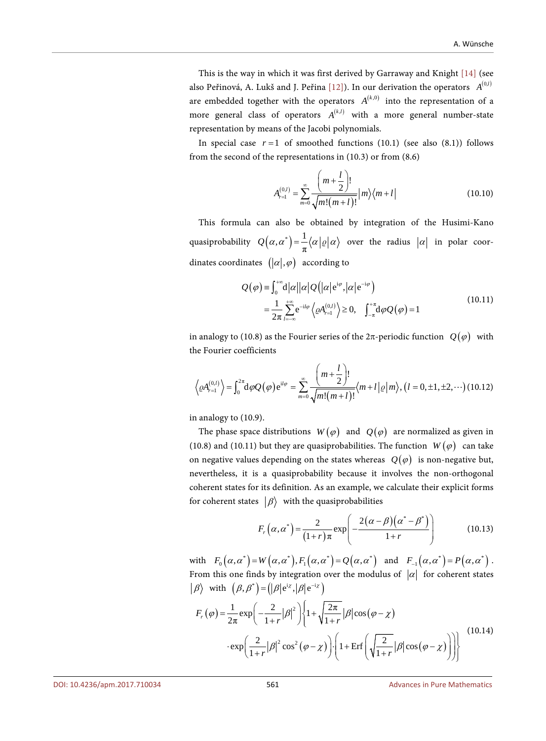This is the way in which it was first derived by Garraway and Knight [\[14\]](#page-40-13) (see also Peřinová, A. Lukš and J. Peřina [\[12\]\)](#page-40-11). In our derivation the operators  $A^{(0,l)}$ are embedded together with the operators  $A^{(k,0)}$  into the representation of a more general class of operators  $A^{(k,l)}$  with a more general number-state representation by means of the Jacobi polynomials.

In special case  $r=1$  of smoothed functions (10.1) (see also (8.1)) follows from the second of the representations in (10.3) or from (8.6)

$$
A_{r=1}^{(0,l)} = \sum_{m=0}^{\infty} \frac{\left(m + \frac{l}{2}\right)!}{\sqrt{m!(m+l)!}} |m\rangle\langle m+l|
$$
 (10.10)

This formula can also be obtained by integration of the Husimi-Kano quasiprobability  $Q(\alpha, \alpha^*) = \frac{1}{\pi} \langle \alpha | \varrho | \alpha \rangle$  over the radius  $|\alpha|$  in polar coordinates coordinates  $(|\alpha|, \varphi)$  according to

$$
Q(\varphi) = \int_0^{+\infty} d|\alpha| |\alpha| Q(|\alpha| e^{i\varphi}, |\alpha| e^{-i\varphi})
$$
  
= 
$$
\frac{1}{2\pi} \sum_{l=-\infty}^{+\infty} e^{-il\varphi} \langle \varrho A_{r=l}^{(0,l)} \rangle \ge 0, \quad \int_{-\pi}^{+\pi} d\varphi Q(\varphi) = 1
$$
 (10.11)

in analogy to (10.8) as the Fourier series of the  $2\pi$ -periodic function  $Q(\varphi)$  with the Fourier coefficients

$$
\left\langle \varrho A_{r=1}^{(0,l)} \right\rangle = \int_0^{2\pi} d\varphi Q(\varphi) e^{il\varphi} = \sum_{m=0}^{\infty} \frac{\left( m + \frac{l}{2} \right)!}{\sqrt{m!(m+l)!}} \langle m+l | \varrho | m \rangle, (l = 0, \pm 1, \pm 2, \cdots) \text{ (10.12)}
$$

in analogy to (10.9).

The phase space distributions  $W(\varphi)$  and  $Q(\varphi)$  are normalized as given in (10.8) and (10.11) but they are quasiprobabilities. The function  $W(\varphi)$  can take on negative values depending on the states whereas  $Q(\varphi)$  is non-negative but, nevertheless, it is a quasiprobability because it involves the non-orthogonal coherent states for its definition. As an example, we calculate their explicit forms for coherent states  $|\beta\rangle$  with the quasiprobabilities

$$
F_r\left(\alpha,\alpha^*\right) = \frac{2}{(1+r)\pi} \exp\left(-\frac{2(\alpha-\beta)(\alpha^*-\beta^*)}{1+r}\right) \tag{10.13}
$$

with  $F_0(\alpha, \alpha^*) = W(\alpha, \alpha^*)$ ,  $F_1(\alpha, \alpha^*) = Q(\alpha, \alpha^*)$  and  $F_{-1}(\alpha, \alpha^*) = P(\alpha, \alpha^*)$ . From this one finds by integration over the modulus of  $|\alpha|$  for coherent states  $\left| \beta \right\rangle$  with  $\left( \beta, \beta^* \right) = \left( \left| \beta \right| e^{i\chi}, \left| \beta \right| e^{-i\chi} \right)$ 

$$
F_r(\varphi) = \frac{1}{2\pi} \exp\left(-\frac{2}{1+r}|\beta|^2\right) \left\{1 + \sqrt{\frac{2\pi}{1+r}}|\beta|\cos(\varphi - \chi)\right\}
$$

$$
\cdot \exp\left(\frac{2}{1+r}|\beta|^2\cos^2(\varphi - \chi)\right) \cdot \left(1 + \text{Erf}\left(\sqrt{\frac{2}{1+r}}|\beta|\cos(\varphi - \chi)\right)\right)\right\}
$$
(10.14)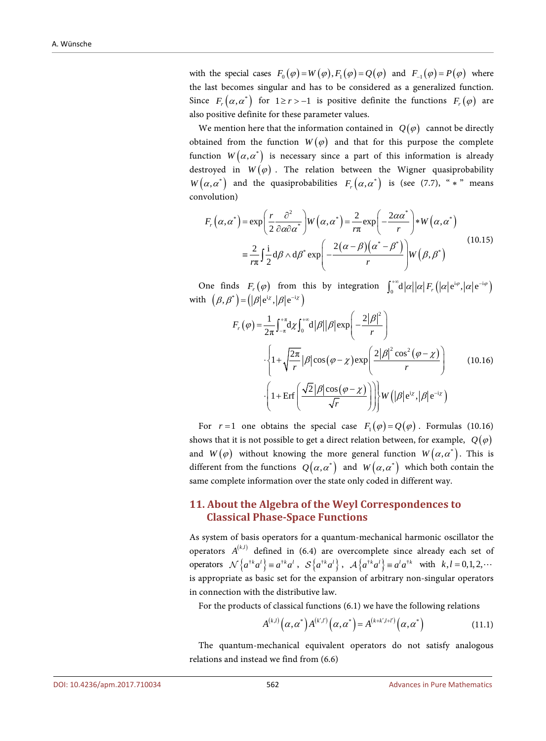with the special cases  $F_0(\varphi) = W(\varphi), F_1(\varphi) = Q(\varphi)$  and  $F_1(\varphi) = P(\varphi)$  where the last becomes singular and has to be considered as a generalized function. Since  $F_r(\alpha, \alpha^*)$  for  $1 \ge r > -1$  is positive definite the functions  $F_r(\varphi)$  are also positive definite for these parameter values.

We mention here that the information contained in  $Q(\varphi)$  cannot be directly obtained from the function  $W(\varphi)$  and that for this purpose the complete function  $W(\alpha, \alpha^*)$  is necessary since a part of this information is already destroyed in  $W(\varphi)$ . The relation between the Wigner quasiprobability  $W(\alpha, \alpha^*)$  and the quasiprobabilities  $F_r(\alpha, \alpha^*)$  is (see (7.7), " \* " means convolution)

$$
F_r(\alpha, \alpha^*) = \exp\left(\frac{r}{2} \frac{\partial^2}{\partial \alpha \partial \alpha^*}\right) W(\alpha, \alpha^*) = \frac{2}{r\pi} \exp\left(-\frac{2\alpha \alpha^*}{r}\right) * W(\alpha, \alpha^*)
$$

$$
= \frac{2}{r\pi} \int \frac{i}{2} d\beta \wedge d\beta^* \exp\left(-\frac{2(\alpha - \beta)(\alpha^* - \beta^*)}{r}\right) W(\beta, \beta^*)
$$
(10.15)

One finds  $F_r(\varphi)$  from this by integration  $\int_0^{+\infty} d|\alpha| |\alpha| F_r(|\alpha| e^{i\varphi}, |\alpha| e^{-i\varphi})$ with  $(\beta, \beta^*) = (|\beta| e^{i\chi}, |\beta| e^{-i\chi})$ 

$$
F_r(\varphi) = \frac{1}{2\pi} \int_{-\pi}^{+\pi} d\chi \int_0^{+\infty} d|\beta| |\beta| \exp\left(-\frac{2|\beta|^2}{r}\right)
$$

$$
\cdot \left\{1 + \sqrt{\frac{2\pi}{r}} |\beta| \cos(\varphi - \chi) \exp\left(\frac{2|\beta|^2 \cos^2(\varphi - \chi)}{r}\right)\right\}
$$

$$
\cdot \left(1 + \text{Erf}\left(\frac{\sqrt{2}|\beta| \cos(\varphi - \chi)}{\sqrt{r}}\right)\right)\right\} W\left(|\beta| e^{i\chi}, |\beta| e^{-i\chi}\right)
$$
(10.16)

For  $r=1$  one obtains the special case  $F_1(\varphi) = Q(\varphi)$ . Formulas (10.16) shows that it is not possible to get a direct relation between, for example,  $Q(\varphi)$ and  $W(\varphi)$  without knowing the more general function  $W(\alpha, \alpha^*)$ . This is different from the functions  $Q(\alpha, \alpha^*)$  and  $W(\alpha, \alpha^*)$  which both contain the same complete information over the state only coded in different way.

## **11. About the Algebra of the Weyl Correspondences to Classical Phase-Space Functions**

As system of basis operators for a quantum-mechanical harmonic oscillator the operators  $A^{(k,l)}$  defined in (6.4) are overcomplete since already each set of operators  $\mathcal{N}\left\{a^{*k}a^l\right\} \equiv a^{*k}a^l$ ,  $\mathcal{S}\left\{a^{*k}a^l\right\}$ ,  $\mathcal{A}\left\{a^{*k}a^l\right\} \equiv a^la^l a^{*k}$  with  $k, l = 0, 1, 2, \cdots$ is appropriate as basic set for the expansion of arbitrary non-singular operators in connection with the distributive law.

For the products of classical functions (6.1) we have the following relations

$$
A^{(k,l)}\big(\alpha,\alpha^*\big)A^{(k',l')}\big(\alpha,\alpha^*\big)=A^{(k+k',l+l')}\big(\alpha,\alpha^*\big) \tag{11.1}
$$

The quantum-mechanical equivalent operators do not satisfy analogous relations and instead we find from (6.6)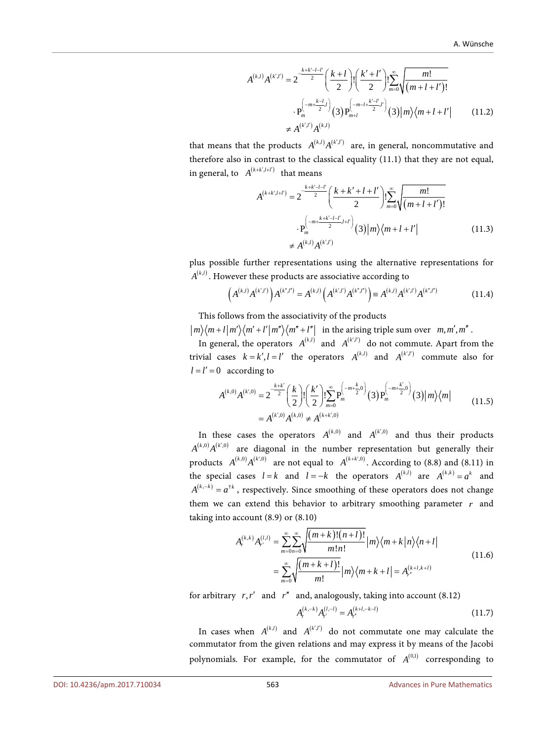$$
A^{(k,l)}A^{(k',l')} = 2^{-\frac{k+k'-l-l'}{2}} \left(\frac{k+l}{2}\right)! \left(\frac{k'+l'}{2}\right)! \sum_{m=0}^{\infty} \sqrt{\frac{m!}{(m+l+l')!}}
$$

$$
\cdot P_m^{\left(-m+\frac{k-l}{2}\right)}(3) P_{m+l}^{\left(-m-l+\frac{k'-l'}{2}\right)}(3) |m\rangle\langle m+l+l'| \qquad (11.2)
$$

$$
\neq A^{(k',l')}A^{(k,l)}
$$

that means that the products  $A^{(k,l)} A^{(k',l')}$  are, in general, noncommutative and therefore also in contrast to the classical equality (11.1) that they are not equal, in general, to  $A^{(k+k',l+l')}$  that means

$$
A^{(k+k',l+l')} = 2^{-\frac{k+k'-l-l'}{2}} \left( \frac{k+k'+l+l'}{2} \right)! \sum_{m=0}^{\infty} \sqrt{\frac{m!}{(m+l+l')!}}
$$
  
 
$$
\cdot P_m^{\left(-m+\frac{k+k'-l-l'}{2},l+l'\right)}(3) |m\rangle\langle m+l+l'|
$$
  

$$
\neq A^{(k,l)} A^{(k',l')}
$$
 (11.3)

plus possible further representations using the alternative representations for  $A^{(k,l)}$ . However these products are associative according to

$$
\left(A^{(k,l)}A^{(k',l')}\right)A^{(k',l')} = A^{(k,l)}\left(A^{(k',l')}A^{(k',l')}\right) \equiv A^{(k,l)}A^{(k',l')}A^{(k',l')} \tag{11.4}
$$

This follows from the associativity of the products

 $|m\rangle\langle m+l|m'\rangle\langle m'+l'|m''\rangle\langle m''+l''|$  in the arising triple sum over  $m, m', m''$ .

In general, the operators  $A^{(k,l)}$  and  $A^{(k',l')}$  do not commute. Apart from the trivial cases  $k = k', l = l'$  the operators  $A^{(k,l)}$  and  $A^{(k',l')}$  commute also for  $l = l' = 0$  according to

$$
A^{(k,0)}A^{(k',0)} = 2^{-\frac{k+k'}{2}} \left(\frac{k}{2}\right)! \left(\frac{k'}{2}\right)! \sum_{m=0}^{\infty} P_m^{\left(-m+\frac{k}{2},0\right)}(3) P_m^{\left(-m+\frac{k'}{2},0\right)}(3) |m\rangle\langle m|
$$
  
=  $A^{(k',0)}A^{(k,0)} \neq A^{(k+k',0)}$  (11.5)

In these cases the operators  $A^{(k,0)}$  and  $A^{(k',0)}$  and thus their products  $A^{(k,0)}A^{(k',0)}$  are diagonal in the number representation but generally their products  $A^{(k,0)}A^{(k',0)}$  are not equal to  $A^{(k+k',0)}$ . According to (8.8) and (8.11) in the special cases  $l = k$  and  $l = -k$  the operators  $A^{(k,l)}$  are  $A^{(k,k)} = a^k$  and  $A^{(k, -k)} = a^{\dagger k}$ , respectively. Since smoothing of these operators does not change them we can extend this behavior to arbitrary smoothing parameter *r* and taking into account (8.9) or (8.10)

$$
A_r^{(k,k)} A_r^{(l,l)} = \sum_{m=0}^{\infty} \sum_{n=0}^{\infty} \sqrt{\frac{(m+k)!(n+l)!}{m!n!}} |m\rangle \langle m+k|n\rangle \langle n+l|
$$
  
= 
$$
\sum_{m=0}^{\infty} \sqrt{\frac{(m+k+l)!}{m!}} |m\rangle \langle m+k+l| = A_r^{(k+l,k+l)}
$$
 (11.6)

for arbitrary  $r, r'$  and  $r''$  and, analogously, taking into account (8.12)

$$
A_r^{(k,-k)} A_{r'}^{(l,-l)} = A_{r'}^{(k+l,-k-l)} \tag{11.7}
$$

In cases when  $A^{(k,l)}$  and  $A^{(k',l')}$  do not commutate one may calculate the commutator from the given relations and may express it by means of the Jacobi polynomials. For example, for the commutator of  $A^{(0,1)}$  corresponding to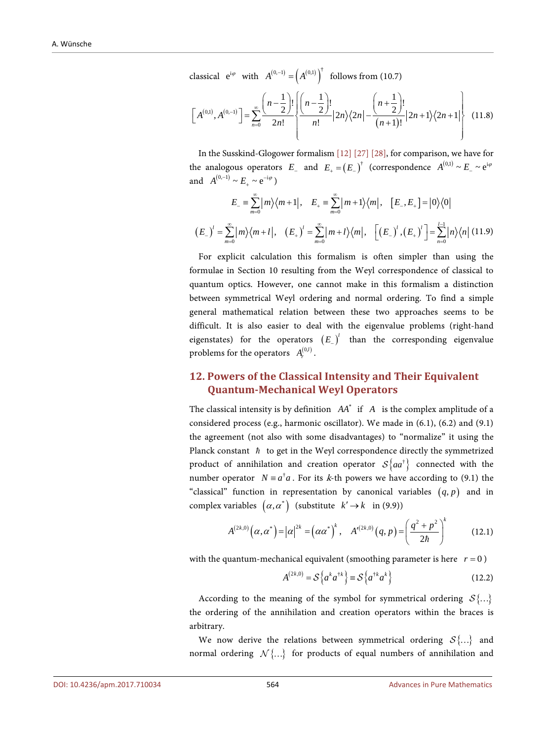classical  $e^{i\varphi}$  with  $A^{(0,-1)} = (A^{(0,1)})^{\dagger}$  follows from (10.7)

$$
\[A^{(0,1)}, A^{(0,-1)}\] = \sum_{n=0}^{\infty} \frac{\left(n-\frac{1}{2}\right)!}{2n!} \left\{\frac{\left(n-\frac{1}{2}\right)!}{n!} |2n\rangle\langle 2n| - \frac{\left(n+\frac{1}{2}\right)!}{(n+1)!} |2n+1\rangle\langle 2n+1|\right\} \quad (11.8)
$$

In the Susskind-Glogower formalism [\[12\]](#page-40-11) [\[27\]](#page-41-11) [\[28\],](#page-41-12) for comparison, we have for the analogous operators  $E_$  and  $E_+ = (E_-)^{\dagger}$  (correspondence  $A^{(0,1)} \sim E_- \sim e^{i\varphi}$ and  $A^{(0,-1)} \sim E_+ \sim e^{-i\varphi}$ )

$$
E_{-} = \sum_{m=0}^{\infty} |m\rangle\langle m+1|, \quad E_{+} = \sum_{m=0}^{\infty} |m+1\rangle\langle m|, \quad [E_{-}, E_{+}] = |0\rangle\langle 0|
$$
  

$$
(E_{-})' = \sum_{m=0}^{\infty} |m\rangle\langle m+1|, \quad (E_{+})' = \sum_{m=0}^{\infty} |m+1\rangle\langle m|, \quad [(E_{-})', (E_{+})'] = \sum_{n=0}^{l-1} |n\rangle\langle n|
$$
(11.9)

For explicit calculation this formalism is often simpler than using the formulae in Section 10 resulting from the Weyl correspondence of classical to quantum optics. However, one cannot make in this formalism a distinction between symmetrical Weyl ordering and normal ordering. To find a simple general mathematical relation between these two approaches seems to be difficult. It is also easier to deal with the eigenvalue problems (right-hand eigenstates) for the operators  $(E_$ sub><sup> $l$ </sup> than the corresponding eigenvalue problems for the operators  $A<sub>r</sub><sup>(0,l)</sup>$ .

## **12. Powers of the Classical Intensity and Their Equivalent Quantum-Mechanical Weyl Operators**

The classical intensity is by definition  $AA^*$  if  $A$  is the complex amplitude of a considered process (e.g., harmonic oscillator). We made in (6.1), (6.2) and (9.1) the agreement (not also with some disadvantages) to "normalize" it using the Planck constant  $\hbar$  to get in the Weyl correspondence directly the symmetrized product of annihilation and creation operator  $\mathcal{S}\left\{aa^{\dagger}\right\}$  connected with the number operator  $N = a^{\dagger} a$ . For its k-th powers we have according to (9.1) the "classical" function in representation by canonical variables  $(q, p)$  and in complex variables  $(\alpha, \alpha^*)$  (substitute  $k' \rightarrow k$  in (9.9))

$$
A^{(2k,0)}(\alpha,\alpha^*)=|\alpha|^{2k}=(\alpha\alpha^*)^k, \quad A'^{(2k,0)}(q,p)=\left(\frac{q^2+p^2}{2\hbar}\right)^k\qquad(12.1)
$$

with the quantum-mechanical equivalent (smoothing parameter is here  $r = 0$ )

$$
A^{(2k,0)} = \mathcal{S}\left\{a^k a^{\dagger k}\right\} \equiv \mathcal{S}\left\{a^{\dagger k} a^k\right\} \tag{12.2}
$$

According to the meaning of the symbol for symmetrical ordering  $S\{...\}$ the ordering of the annihilation and creation operators within the braces is arbitrary.

We now derive the relations between symmetrical ordering  $S\{...\}$  and normal ordering  $\mathcal{N}\{...\}$  for products of equal numbers of annihilation and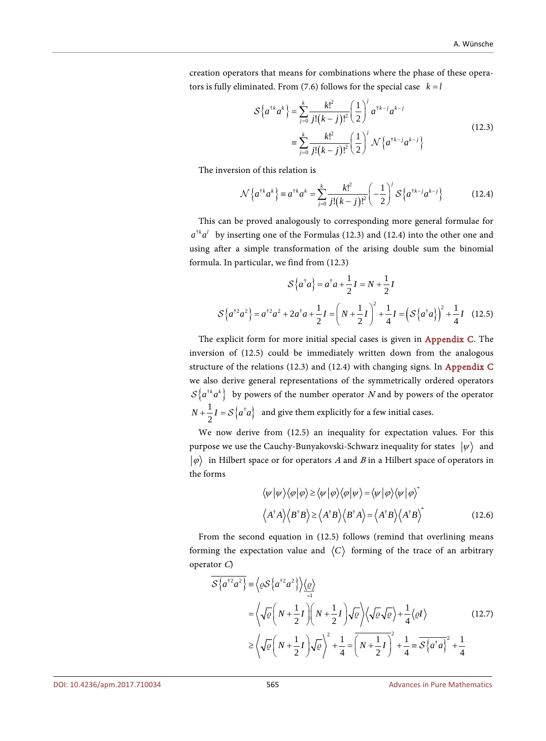creation operators that means for combinations where the phase of these operators is fully eliminated. From (7.6) follows for the special case  $k = l$ 

$$
S\{a^{\dagger k}a^k\} = \sum_{j=0}^k \frac{k!^2}{j!(k-j)!^2} \left(\frac{1}{2}\right)^j a^{\dagger k-j} a^{k-j}
$$
  

$$
\equiv \sum_{j=0}^k \frac{k!^2}{j!(k-j)!^2} \left(\frac{1}{2}\right)^j \mathcal{N}\{a^{\dagger k-j}a^{k-j}\}
$$
(12.3)

The inversion of this relation is

$$
\mathcal{N}\left\{a^{\dagger k}a^{k}\right\} \equiv a^{\dagger k}a^{k} = \sum_{j=0}^{k} \frac{k!^{2}}{j!(k-j)!^{2}} \left(-\frac{1}{2}\right)^{j} \mathcal{S}\left\{a^{\dagger k-j}a^{k-j}\right\} \tag{12.4}
$$

This can be proved analogously to corresponding more general formulae for  $a^{\dagger k} a^l$  by inserting one of the Formulas (12.3) and (12.4) into the other one and using after a simple transformation of the arising double sum the binomial formula. In particular, we find from (12.3)

$$
S\{a^{\dagger}a\} = a^{\dagger}a + \frac{1}{2}I = N + \frac{1}{2}I
$$

$$
S\{a^{\dagger 2}a^2\} = a^{\dagger 2}a^2 + 2a^{\dagger}a + \frac{1}{2}I = \left(N + \frac{1}{2}I\right)^2 + \frac{1}{4}I = \left(S\{a^{\dagger}a\}\right)^2 + \frac{1}{4}I \quad (12.5)
$$

The explicit form for more initial special cases is given in [Appendix C.](#page-47-0) The inversion of (12.5) could be immediately written down from the analogous structure of the relations (12.3) and (12.4) with changing signs. In [Appendix C](#page-47-0) we also derive general representations of the symmetrically ordered operators  ${\cal S}\left\{a^{t}^k a^k\right\}$  by powers of the number operator N and by powers of the operator  $N + \frac{1}{2}I = \mathcal{S}\left\{a^{\dagger}a\right\}$  and give them explicitly for a few initial cases.

We now derive from (12.5) an inequality for expectation values. For this purpose we use the Cauchy-Bunyakovski-Schwarz inequality for states  $|\psi\rangle$  and  $|\varphi\rangle$  in Hilbert space or for operators A and B in a Hilbert space of operators in the forms

$$
\langle \psi | \psi \rangle \langle \varphi | \varphi \rangle \ge \langle \psi | \varphi \rangle \langle \varphi | \psi \rangle = \langle \psi | \varphi \rangle \langle \psi | \varphi \rangle^*
$$
  

$$
\langle A^{\dagger} A \rangle \langle B^{\dagger} B \rangle \ge \langle A^{\dagger} B \rangle \langle B^{\dagger} A \rangle = \langle A^{\dagger} B \rangle \langle A^{\dagger} B \rangle^*
$$
(12.6)

From the second equation in (12.5) follows (remind that overlining means forming the expectation value and  $\langle C \rangle$  forming of the trace of an arbitrary operator C)

$$
\overline{\mathcal{S}\left\{a^{+2}a^{2}\right\}} \equiv \left\langle \varrho \mathcal{S}\left\{a^{+2}a^{2}\right\} \right\rangle \underbrace{\left\langle \varrho \right\rangle}_{=1}
$$
\n
$$
= \left\langle \sqrt{\varrho} \left(N + \frac{1}{2}I\right) \left(N + \frac{1}{2}I\right) \sqrt{\varrho} \right\rangle \left\langle \sqrt{\varrho} \sqrt{\varrho} \right\rangle + \frac{1}{4} \left\langle \varrho I \right\rangle \tag{12.7}
$$
\n
$$
\geq \left\langle \sqrt{\varrho} \left(N + \frac{1}{2}I\right) \sqrt{\varrho} \right\rangle^{2} + \frac{1}{4} = \overline{\left(N + \frac{1}{2}I\right)^{2}} + \frac{1}{4} = \overline{\mathcal{S}\left\{a^{\dagger}a\right\}^{2}} + \frac{1}{4}
$$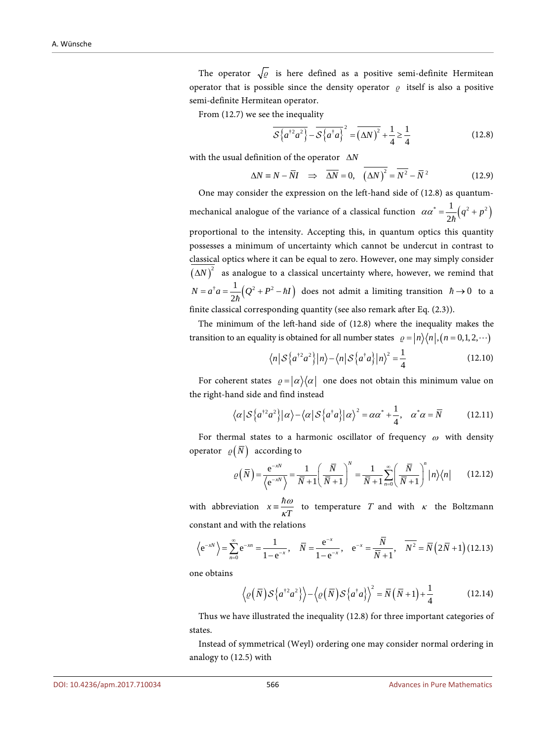The operator  $\sqrt{\varrho}$  is here defined as a positive semi-definite Hermitean operator that is possible since the density operator  $\rho$  itself is also a positive semi-definite Hermitean operator.

From (12.7) we see the inequality

$$
\overline{\mathcal{S}\left\{a^{\dagger 2}a^2\right\}} - \overline{\mathcal{S}\left\{a^{\dagger}a\right\}}^2 = \overline{\left(\Delta N\right)^2} + \frac{1}{4} \ge \frac{1}{4}
$$
 (12.8)

with the usual definition of the operator ∆*N*

$$
\Delta N \equiv N - \overline{N}I \quad \Rightarrow \quad \overline{\Delta N} = 0, \quad \overline{(\Delta N)^2} = \overline{N^2} - \overline{N}^2 \tag{12.9}
$$

One may consider the expression on the left-hand side of (12.8) as quantummechanical analogue of the variance of a classical function  $\alpha \alpha^* = \frac{1}{2\hbar} (q^2 + p^2)$ proportional to the intensity. Accepting this, in quantum optics this quantity possesses a minimum of uncertainty which cannot be undercut in contrast to classical optics where it can be equal to zero. However, one may simply consider  $(N)^2$  as analogue to a classical uncertainty where, however, we remind that  $N = a^{\dagger} a = \frac{1}{2\hbar} (Q^2 + P^2 - \hbar I)$  does not admit a limiting transition  $\hbar \to 0$  to a finite classical corresponding quantity (see also remark after Eq. (2.3)).

The minimum of the left-hand side of (12.8) where the inequality makes the transition to an equality is obtained for all number states  $\rho = |n\rangle\langle n|, (n = 0, 1, 2, \cdots)$ 

$$
\langle n | \mathcal{S} \{ a^{\dagger 2} a^2 \} | n \rangle - \langle n | \mathcal{S} \{ a^{\dagger} a \} | n \rangle^2 = \frac{1}{4}
$$
 (12.10)  
ent states  $g = |\alpha\rangle\langle \alpha|$  one does not obtain this minimum value on

For coherent states  $\rho = |\alpha\rangle\langle\alpha|$  one does not obtain this minimum value on the right-hand side and find instead

$$
\langle \alpha | \mathcal{S} \{ a^{\dagger 2} a^2 \} | \alpha \rangle - \langle \alpha | \mathcal{S} \{ a^{\dagger} a \} | \alpha \rangle^2 = \alpha \alpha^* + \frac{1}{4}, \quad \alpha^* \alpha = \overline{N} \tag{12.11}
$$

For thermal states to a harmonic oscillator of frequency  $\omega$  with density operator  $\rho(\bar{N})$  according to

$$
\varrho\left(\overline{N}\right) = \frac{e^{-xN}}{\left\langle e^{-xN}\right\rangle} = \frac{1}{\overline{N}+1} \left(\frac{\overline{N}}{\overline{N}+1}\right)^N = \frac{1}{\overline{N}+1} \sum_{n=0}^{\infty} \left(\frac{\overline{N}}{\overline{N}+1}\right)^n |n\rangle\langle n| \qquad (12.12)
$$

with abbreviation  $x = \frac{\hbar \omega}{\kappa T}$  to temperature T and with  $\kappa$  the Boltzmann constant and with the relations

$$
\left\langle e^{-xN}\right\rangle = \sum_{n=0}^{\infty} e^{-xn} = \frac{1}{1 - e^{-x}}, \quad \overline{N} = \frac{e^{-x}}{1 - e^{-x}}, \quad e^{-x} = \frac{\overline{N}}{\overline{N} + 1}, \quad \overline{N^2} = \overline{N}\left(2\overline{N} + 1\right) (12.13)
$$

one obtains

$$
\langle \varrho(\overline{N}) \mathcal{S} \{a^{\dagger 2} a^2 \} \rangle - \langle \varrho(\overline{N}) \mathcal{S} \{a^{\dagger} a \} \rangle^2 = \overline{N} (\overline{N} + 1) + \frac{1}{4}
$$
 (12.14)

Thus we have illustrated the inequality (12.8) for three important categories of states.

Instead of symmetrical (Weyl) ordering one may consider normal ordering in analogy to (12.5) with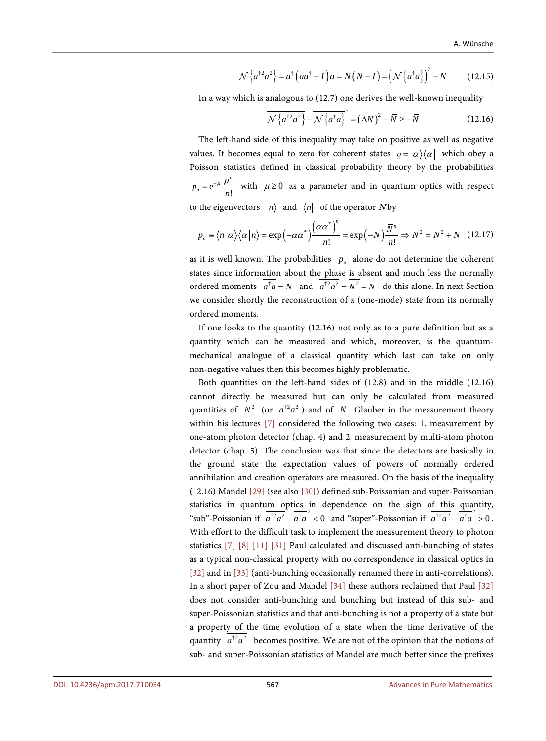$$
\mathcal{N}\left\{a^{\dagger 2}a^2\right\} = a^{\dagger}\left(aa^{\dagger} - I\right)a = N\left(N - I\right) = \left(\mathcal{N}\left\{a^{\dagger}a\right\}\right)^2 - N\tag{12.15}
$$

In a way which is analogous to (12.7) one derives the well-known inequality

$$
\overline{\mathcal{N}\left\{a^{\dagger 2}a^2\right\}} - \overline{\mathcal{N}\left\{a^{\dagger}a\right\}}^2 = \overline{\left(\Delta N\right)^2} - \overline{N} \ge -\overline{N}
$$
\n(12.16)

The left-hand side of this inequality may take on positive as well as negative values. It becomes equal to zero for coherent states  $\rho = |\alpha\rangle\langle\alpha|$  which obey a Poisson statistics defined in classical probability theory by the probabilities  $e^{-\mu} \frac{\mu}{n!}$  $p_n = e^{-\mu} \frac{\mu^n}{n!}$  with  $\mu \ge 0$  as a parameter and in quantum optics with respect to the eigenvectors  $|n\rangle$  and  $\langle n|$  of the operator N by

$$
p_n \equiv \langle n | \alpha \rangle \langle \alpha | n \rangle = \exp(-\alpha \alpha^*) \frac{(\alpha \alpha^*)^n}{n!} = \exp(-\overline{N}) \frac{\overline{N}^n}{n!} \Rightarrow \overline{N^2} = \overline{N^2} + \overline{N} \quad (12.17)
$$

as it is well known. The probabilities  $p_n$  alone do not determine the coherent states since information about the phase is absent and much less the normally ordered moments  $\overline{a^{\dagger}a} = \overline{N}$  and  $\overline{a^{\dagger}a^2} = \overline{N^2} - \overline{N}$  do this alone. In next Section we consider shortly the reconstruction of a (one-mode) state from its normally ordered moments.

If one looks to the quantity (12.16) not only as to a pure definition but as a quantity which can be measured and which, moreover, is the quantummechanical analogue of a classical quantity which last can take on only non-negative values then this becomes highly problematic.

Both quantities on the left-hand sides of (12.8) and in the middle (12.16) cannot directly be measured but can only be calculated from measured quantities of  $N^2$  (or  $a^{\dagger 2} a^2$ ) and of  $\overline{N}$ . Glauber in the measurement theory within his lectures [\[7\]](#page-40-6) considered the following two cases: 1. measurement by one-atom photon detector (chap. 4) and 2. measurement by multi-atom photon detector (chap. 5). The conclusion was that since the detectors are basically in the ground state the expectation values of powers of normally ordered annihilation and creation operators are measured. On the basis of the inequality (12.16) Mandel [\[29\]](#page-41-13) (see also [\[30\]\)](#page-41-14) defined sub-Poissonian and super-Poissonian statistics in quantum optics in dependence on the sign of this quantity, "sub"-Poissonian if  $\overline{a^{\dagger 2} a^2} - \overline{a^{\dagger} a}^2 < 0$  and "super"-Poissonian if  $\overline{a^{\dagger 2} a^2} - \overline{a^{\dagger} a}^2 > 0$ . With effort to the difficult task to implement the measurement theory to photon statistics [\[7\]](#page-40-6) [\[8\]](#page-40-7) [\[11\]](#page-40-10) [\[31\]](#page-41-15) Paul calculated and discussed anti-bunching of states as a typical non-classical property with no correspondence in classical optics in [\[32\]](#page-41-16) and in [\[33\]](#page-41-17) (anti-bunching occasionally renamed there in anti-correlations). In a short paper of Zou and Mandel [\[34\]](#page-42-0) these authors reclaimed that Paul [\[32\]](#page-41-16) does not consider anti-bunching and bunching but instead of this sub- and super-Poissonian statistics and that anti-bunching is not a property of a state but a property of the time evolution of a state when the time derivative of the quantity  $\overline{a^{\dagger 2} a^2}$  becomes positive. We are not of the opinion that the notions of sub- and super-Poissonian statistics of Mandel are much better since the prefixes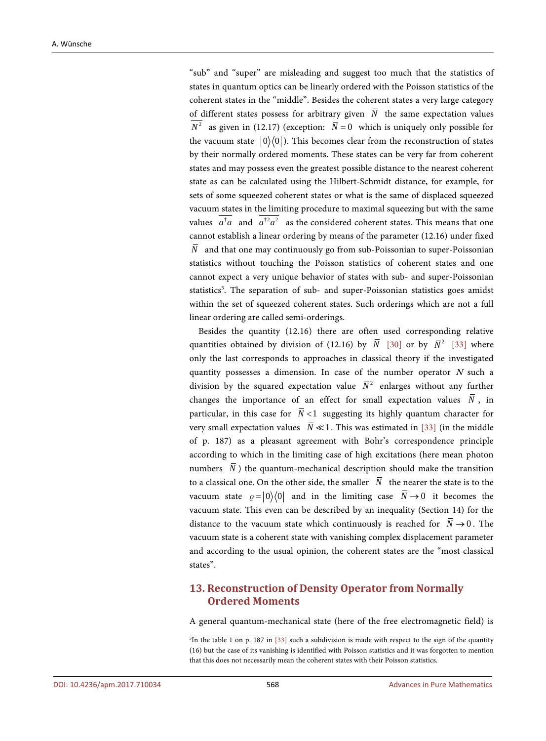"sub" and "super" are misleading and suggest too much that the statistics of states in quantum optics can be linearly ordered with the Poisson statistics of the coherent states in the "middle". Besides the coherent states a very large category of different states possess for arbitrary given  $\overline{N}$  the same expectation values  $\overline{N^2}$  as given in (12.17) (exception:  $\overline{N} = 0$  which is uniquely only possible for the vacuum state  $|0\rangle\langle 0|$ ). This becomes clear from the reconstruction of states by their normally ordered moments. These states can be very far from coherent states and may possess even the greatest possible distance to the nearest coherent state as can be calculated using the Hilbert-Schmidt distance, for example, for sets of some squeezed coherent states or what is the same of displaced squeezed vacuum states in the limiting procedure to maximal squeezing but with the same values  $\overline{a^{\dagger} a}$  and  $\overline{a^{\dagger}^2 a^2}$  as the considered coherent states. This means that one cannot establish a linear ordering by means of the parameter (12.16) under fixed  $\overline{N}$  and that one may continuously go from sub-Poissonian to super-Poissonian statistics without touching the Poisson statistics of coherent states and one cannot expect a very unique behavior of states with sub- and super-Poissonian statistics<sup>5</sup>. The separation of sub- and super-Poissonian statistics goes amidst within the set of squeezed coherent states. Such orderings which are not a full linear ordering are called semi-orderings.

Besides the quantity (12.16) there are often used corresponding relative quantities obtained by division of (12.16) by  $\overline{N}$  [\[30\]](#page-41-14) or by  $\overline{N}^2$  [\[33\]](#page-41-17) where only the last corresponds to approaches in classical theory if the investigated quantity possesses a dimension. In case of the number operator  $N$  such a division by the squared expectation value  $\overline{N}^2$  enlarges without any further changes the importance of an effect for small expectation values  $\overline{N}$ , in particular, in this case for  $\overline{N}$  <1 suggesting its highly quantum character for very small expectation values  $\overline{N} \ll 1$ . This was estimated in [\[33\]](#page-41-17) (in the middle of p. 187) as a pleasant agreement with Bohr's correspondence principle according to which in the limiting case of high excitations (here mean photon numbers  $\overline{N}$ ) the quantum-mechanical description should make the transition to a classical one. On the other side, the smaller  $\overline{N}$  the nearer the state is to the vacuum state  $\rho = |0\rangle\langle 0|$  and in the limiting case  $\overline{N} \rightarrow 0$  it becomes the vacuum state. This even can be described by an inequality (Section 14) for the distance to the vacuum state which continuously is reached for  $\overline{N} \rightarrow 0$ . The vacuum state is a coherent state with vanishing complex displacement parameter and according to the usual opinion, the coherent states are the "most classical states".

## **13. Reconstruction of Density Operator from Normally Ordered Moments**

A general quantum-mechanical state (here of the free electromagnetic field) is

<sup>&</sup>lt;sup>5</sup>In the table 1 on p. 187 in [\[33\]](#page-41-17) such a subdivision is made with respect to the sign of the quantity (16) but the case of its vanishing is identified with Poisson statistics and it was forgotten to mention that this does not necessarily mean the coherent states with their Poisson statistics.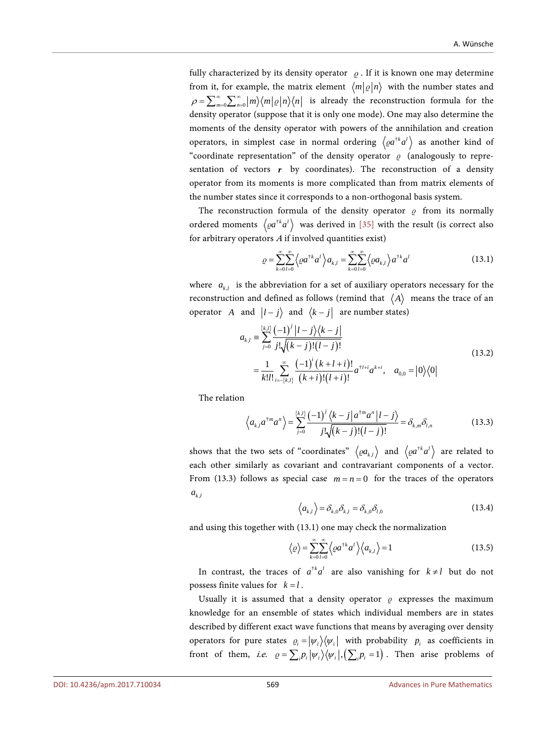fully characterized by its density operator  $\rho$ . If it is known one may determine from it, for example, the matrix element  $\langle m|\varrho|n\rangle$  with the number states and  $\rho = \sum_{m=0}^{\infty} \sum_{n=0}^{\infty} |m\rangle\langle m| \varrho |n\rangle\langle n|$  is already the reconstruction formula for the density operator (suppose that it is only one mode). One may also determine the moments of the density operator with powers of the annihilation and creation operators, in simplest case in normal ordering  $\langle \varrho a^{k} a^{l} \rangle$  as another kind of "coordinate representation" of the density operator  $\rho$  (analogously to representation of vectors *r* by coordinates). The reconstruction of a density operator from its moments is more complicated than from matrix elements of the number states since it corresponds to a non-orthogonal basis system.

The reconstruction formula of the density operator  $\rho$  from its normally ordered moments  $\langle \varrho a^{\dagger k} a^l \rangle$  was derived in [\[35\]](#page-42-1) with the result (is correct also for arbitrary operators  $A$  if involved quantities exist)

$$
\varrho = \sum_{k=0}^{\infty} \sum_{l=0}^{\infty} \left\langle \varrho a^{k} a^{l} \right\rangle a_{k,l} = \sum_{k=0}^{\infty} \sum_{l=0}^{\infty} \left\langle \varrho a_{k,l} \right\rangle a^{k} a^{l}
$$
 (13.1)

where  $a_{k,l}$  is the abbreviation for a set of auxiliary operators necessary for the reconstruction and defined as follows (remind that  $\langle A \rangle$  means the trace of an operator *A* and  $|l - j\rangle$  and  $\langle k - j|$  are number states)

$$
a_{k,l} = \sum_{j=0}^{\{k,l\}} \frac{(-1)^j |l-j\rangle\langle k-j|}{j!\sqrt{(k-j)!(l-j)!}}
$$
  
= 
$$
\frac{1}{k!l!} \sum_{i=-\{k,l\}}^{\infty} \frac{(-1)^i (k+l+i)!}{(k+i)!(l+i)!} a^{\dagger l+i} a^{k+i}, \quad a_{0,0} = |0\rangle\langle 0|
$$
 (13.2)

The relation

$$
\left\langle a_{k,l} a^{\dagger m} a^n \right\rangle = \sum_{j=0}^{\{k,l\}} \frac{(-1)^j \left\langle k-j \right| a^{\dagger m} a^n \left| l-j \right\rangle}{j! \sqrt{(k-j)! (l-j)!}} = \delta_{k,m} \delta_{l,n}
$$
(13.3)

shows that the two sets of "coordinates"  $\langle \varrho a_{k,l} \rangle$  and  $\langle \varrho a^{k} a^{l} \rangle$  are related to each other similarly as covariant and contravariant components of a vector. From (13.3) follows as special case  $m = n = 0$  for the traces of the operators  $a_{k,l}$ 

$$
\left\langle a_{k,l}\right\rangle = \delta_{k,0}\delta_{k,l} = \delta_{k,0}\delta_{l,0}
$$
\n(13.4)

and using this together with (13.1) one may check the normalization

$$
\langle \varrho \rangle = \sum_{k=0}^{\infty} \sum_{l=0}^{\infty} \langle \varrho a^{k} a^{l} \rangle \langle a_{k,l} \rangle = 1
$$
 (13.5)

In contrast, the traces of  $a^{\dagger k} a^l$  are also vanishing for  $k \neq l$  but do not possess finite values for  $k = l$ .

Usually it is assumed that a density operator  $\rho$  expresses the maximum knowledge for an ensemble of states which individual members are in states described by different exact wave functions that means by averaging over density operators for pure states  $\rho_i = |\psi_i\rangle\langle\psi_i|$  with probability  $p_i$  as coefficients in front of them, i.e.  $\rho = \sum_i p_i |\psi_i\rangle\langle\psi_i|, (\sum_i p_i = 1)$ . Then arise problems of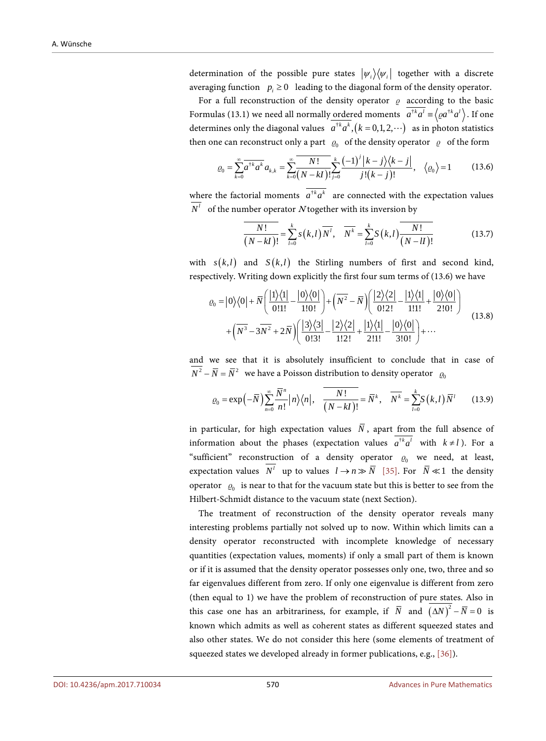determination of the possible pure states  $|\psi_i\rangle\langle\psi_i|$  together with a discrete averaging function  $p_i \geq 0$  leading to the diagonal form of the density operator.

For a full reconstruction of the density operator  $\rho$  according to the basic Formulas (13.1) we need all normally ordered moments  $a^{\dagger k}a^l = \langle \varrho a^{\dagger k}a^l \rangle$ . If one determines only the diagonal values  $a^{rk} a^k$ ,  $(k = 0,1,2,...)$  as in photon statistics then one can reconstruct only a part  $\rho_0$  of the density operator  $\rho$  of the form

$$
\varrho_0 = \sum_{k=0}^{\infty} \overline{a^{k} a^k} a_{k,k} = \sum_{k=0}^{\infty} \frac{N!}{(N-kI)!} \sum_{j=0}^k \frac{(-1)^j |k-j\rangle\langle k-j|}{j!(k-j)!}, \quad \langle \varrho_0 \rangle = 1 \quad (13.6)
$$

where the factorial moments  $\overline{a^{t}a^{k}}$  are connected with the expectation values  $N<sup>l</sup>$  of the number operator N together with its inversion by

$$
\frac{N!}{(N-kI)!} = \sum_{l=0}^{k} s(k,l) \overline{N^l}, \quad \overline{N^k} = \sum_{l=0}^{k} S(k,l) \overline{\frac{N!}{(N-lI)!}}
$$
(13.7)

with  $s(k, l)$  and  $S(k, l)$  the Stirling numbers of first and second kind, respectively. Writing down explicitly the first four sum terms of (13.6) we have

$$
\varrho_{0} = |0\rangle\langle0| + \overline{N} \left( \frac{|1\rangle\langle1|}{0!1!} - \frac{|0\rangle\langle0|}{1!0!} \right) + \left( \overline{N^{2}} - \overline{N} \right) \left( \frac{|2\rangle\langle2|}{0!2!} - \frac{|1\rangle\langle1|}{1!1!} + \frac{|0\rangle\langle0|}{2!0!} \right) + \left( \overline{N^{3}} - 3\overline{N^{2}} + 2\overline{N} \right) \left( \frac{|3\rangle\langle3|}{0!3!} - \frac{|2\rangle\langle2|}{1!2!} + \frac{|1\rangle\langle1|}{2!1!} - \frac{|0\rangle\langle0|}{3!0!} \right) + \cdots
$$
\n(13.8)

and we see that it is absolutely insufficient to conclude that in case of  $\overline{N^2} - \overline{N} = \overline{N}^2$  we have a Poisson distribution to density operator  $\varrho_0$ 

$$
\varrho_0 = \exp\left(-\overline{N}\right) \sum_{n=0}^{\infty} \frac{\overline{N}^n}{n!} |n\rangle\langle n|, \quad \overline{\frac{N!}{(N-kI)!}} = \overline{N}^k, \quad \overline{N^k} = \sum_{l=0}^k S(k,l) \overline{N}^l \tag{13.9}
$$

in particular, for high expectation values  $\overline{N}$ , apart from the full absence of information about the phases (expectation values  $a^{\dagger k} a^l$  with  $k \neq l$ ). For a "sufficient" reconstruction of a density operator  $\varrho_0$  we need, at least, expectation values  $N^l$  up to values  $l \rightarrow n \gg \overline{N}$  [\[35\].](#page-42-1) For  $\overline{N} \ll 1$  the density operator  $\varrho_0$  is near to that for the vacuum state but this is better to see from the Hilbert-Schmidt distance to the vacuum state (next Section).

The treatment of reconstruction of the density operator reveals many interesting problems partially not solved up to now. Within which limits can a density operator reconstructed with incomplete knowledge of necessary quantities (expectation values, moments) if only a small part of them is known or if it is assumed that the density operator possesses only one, two, three and so far eigenvalues different from zero. If only one eigenvalue is different from zero (then equal to 1) we have the problem of reconstruction of pure states. Also in this case one has an arbitrariness, for example, if  $\overline{N}$  and  $(\Delta N)^2 - \overline{N} = 0$  is known which admits as well as coherent states as different squeezed states and also other states. We do not consider this here (some elements of treatment of squeezed states we developed already in former publications, e.g.[, \[36\]\)](#page-42-2).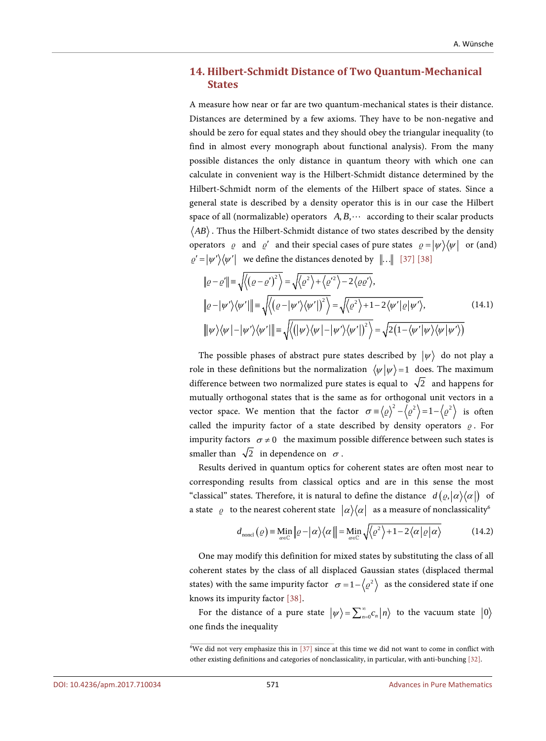## **14. Hilbert-Schmidt Distance of Two Quantum-Mechanical States**

A measure how near or far are two quantum-mechanical states is their distance. Distances are determined by a few axioms. They have to be non-negative and should be zero for equal states and they should obey the triangular inequality (to find in almost every monograph about functional analysis). From the many possible distances the only distance in quantum theory with which one can calculate in convenient way is the Hilbert-Schmidt distance determined by the Hilbert-Schmidt norm of the elements of the Hilbert space of states. Since a general state is described by a density operator this is in our case the Hilbert space of all (normalizable) operators  $A, B, \cdots$  according to their scalar products  $\langle AB \rangle$ . Thus the Hilbert-Schmidt distance of two states described by the density operators  $\rho$  and  $\rho'$  and their special cases of pure states  $\rho = |\psi\rangle\langle\psi|$  or (and)  $\varrho' = |\psi'\rangle\langle\psi'|$  we define the distances denoted by  $\|\ldots\|$  [\[37\]](#page-42-3) [\[38\]](#page-42-4)

$$
\|\varrho - \varrho'\| = \sqrt{\langle (\varrho - \varrho')^2 \rangle} = \sqrt{\langle \varrho^2 \rangle + \langle \varrho'^2 \rangle - 2 \langle \varrho \varrho' \rangle},
$$
  
\n
$$
\|\varrho - |\psi'\rangle \langle \psi'\rangle\| = \sqrt{\langle (\varrho - |\psi'\rangle \langle \psi'\rangle)^2 \rangle} = \sqrt{\langle \varrho^2 \rangle + 1 - 2 \langle \psi' | \varrho | \psi' \rangle},
$$
  
\n
$$
\|\psi\rangle \langle \psi| - |\psi'\rangle \langle \psi'\rangle\| = \sqrt{\langle (|\psi\rangle \langle \psi| - |\psi'\rangle \langle \psi'\rangle)^2 \rangle} = \sqrt{2(1 - \langle \psi' | \psi \rangle \langle \psi \rangle \langle \psi'\rangle)}
$$
(14.1)

The possible phases of abstract pure states described by  $|\psi\rangle$  do not play a role in these definitions but the normalization  $\langle \psi | \psi \rangle = 1$  does. The maximum difference between two normalized pure states is equal to  $\sqrt{2}$  and happens for mutually orthogonal states that is the same as for orthogonal unit vectors in a vector space. We mention that the factor  $\sigma = \langle \varrho \rangle^2 - \langle \varrho^2 \rangle = 1 - \langle \varrho^2 \rangle$  is often called the impurity factor of a state described by density operators  $\rho$ . For impurity factors  $\sigma \neq 0$  the maximum possible difference between such states is smaller than  $\sqrt{2}$  in dependence on  $\sigma$ .

Results derived in quantum optics for coherent states are often most near to corresponding results from classical optics and are in this sense the most "classical" states. Therefore, it is natural to define the distance  $d(\varrho, |\alpha\rangle\langle\alpha|)$  of a state  $\varrho$  to the nearest coherent state  $|\alpha\rangle\langle\alpha|$  as a measure of nonclassicality<sup>6</sup>

$$
d_{\text{noncl}}\left(\varrho\right) \equiv \underset{\alpha \in \mathbb{C}}{\text{Min}}\left\|\varrho - \left|\alpha\right\rangle\left\langle\alpha\right\|\right| = \underset{\alpha \in \mathbb{C}}{\text{Min}}\sqrt{\left\langle\varrho^{2}\right\rangle + 1 - 2\left\langle\alpha\left|\varrho\right|\alpha\right\rangle}
$$
(14.2)

One may modify this definition for mixed states by substituting the class of all coherent states by the class of all displaced Gaussian states (displaced thermal states) with the same impurity factor  $\sigma = 1 - \langle \varrho^2 \rangle$  as the considered state if one knows its impurity factor [\[38\].](#page-42-4)

For the distance of a pure state  $|\psi\rangle = \sum_{n=0}^{\infty} c_n |n\rangle$  to the vacuum state  $|0\rangle$ one finds the inequality

<sup>6</sup> We did not very emphasize this in [\[37\]](#page-42-3) since at this time we did not want to come in conflict with other existing definitions and categories of nonclassicality, in particular, with anti-bunching [\[32\].](#page-41-16)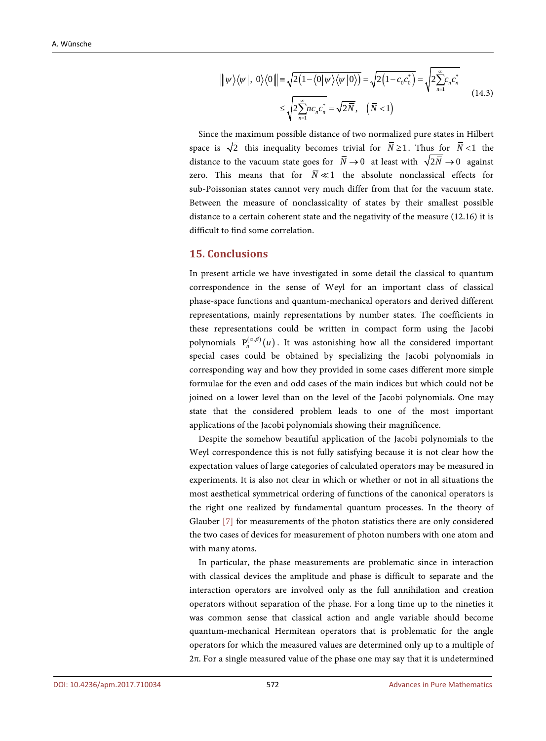$$
\|\psi\rangle\langle\psi|,|0\rangle\langle0|\| \equiv \sqrt{2\left(1-\langle0|\psi\rangle\langle\psi|0\rangle\right)} = \sqrt{2\left(1-c_0c_0^*\right)} = \sqrt{2\sum_{n=1}^{\infty}c_n c_n^*}
$$
\n
$$
\leq \sqrt{2\sum_{n=1}^{\infty}nc_n c_n^*} = \sqrt{2\overline{N}}, \quad (\overline{N} < 1)
$$
\n(14.3)

Since the maximum possible distance of two normalized pure states in Hilbert space is  $\sqrt{2}$  this inequality becomes trivial for  $\overline{N} \ge 1$ . Thus for  $\overline{N} < 1$  the distance to the vacuum state goes for  $\overline{N} \rightarrow 0$  at least with  $\sqrt{2N} \rightarrow 0$  against zero. This means that for  $\overline{N} \ll 1$  the absolute nonclassical effects for sub-Poissonian states cannot very much differ from that for the vacuum state. Between the measure of nonclassicality of states by their smallest possible distance to a certain coherent state and the negativity of the measure (12.16) it is difficult to find some correlation.

#### **15. Conclusions**

In present article we have investigated in some detail the classical to quantum correspondence in the sense of Weyl for an important class of classical phase-space functions and quantum-mechanical operators and derived different representations, mainly representations by number states. The coefficients in these representations could be written in compact form using the Jacobi polynomials  $P^{(\alpha,\beta)}(u)$ . It was astonishing how all the considered important special cases could be obtained by specializing the Jacobi polynomials in corresponding way and how they provided in some cases different more simple formulae for the even and odd cases of the main indices but which could not be joined on a lower level than on the level of the Jacobi polynomials. One may state that the considered problem leads to one of the most important applications of the Jacobi polynomials showing their magnificence.

Despite the somehow beautiful application of the Jacobi polynomials to the Weyl correspondence this is not fully satisfying because it is not clear how the expectation values of large categories of calculated operators may be measured in experiments. It is also not clear in which or whether or not in all situations the most aesthetical symmetrical ordering of functions of the canonical operators is the right one realized by fundamental quantum processes. In the theory of Glauber [\[7\]](#page-40-6) for measurements of the photon statistics there are only considered the two cases of devices for measurement of photon numbers with one atom and with many atoms.

In particular, the phase measurements are problematic since in interaction with classical devices the amplitude and phase is difficult to separate and the interaction operators are involved only as the full annihilation and creation operators without separation of the phase. For a long time up to the nineties it was common sense that classical action and angle variable should become quantum-mechanical Hermitean operators that is problematic for the angle operators for which the measured values are determined only up to a multiple of 2π. For a single measured value of the phase one may say that it is undetermined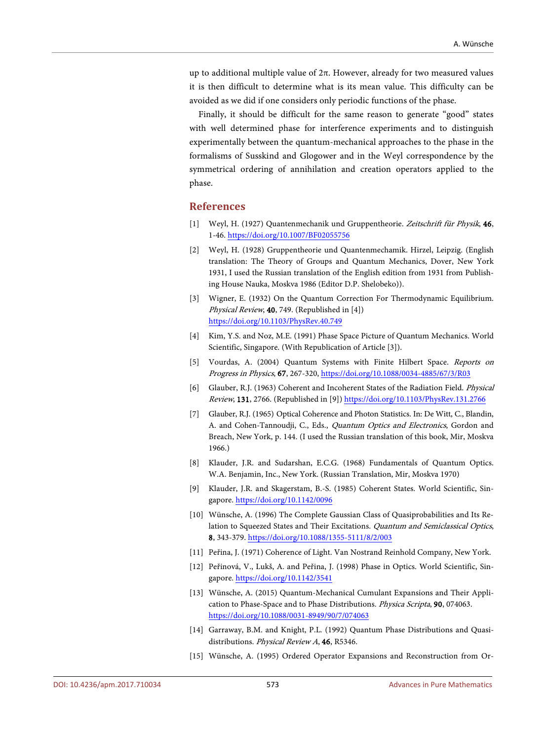up to additional multiple value of 2π. However, already for two measured values it is then difficult to determine what is its mean value. This difficulty can be avoided as we did if one considers only periodic functions of the phase.

Finally, it should be difficult for the same reason to generate "good" states with well determined phase for interference experiments and to distinguish experimentally between the quantum-mechanical approaches to the phase in the formalisms of Susskind and Glogower and in the Weyl correspondence by the symmetrical ordering of annihilation and creation operators applied to the phase.

#### **References**

- <span id="page-40-0"></span>[1] Weyl, H. (1927) Quantenmechanik und Gruppentheorie. Zeitschrift für Physik, 46, 1-46[. https://doi.org/10.1007/BF02055756](https://doi.org/10.1007/BF02055756)
- <span id="page-40-1"></span>[2] Weyl, H. (1928) Gruppentheorie und Quantenmechamik. Hirzel, Leipzig. (English translation: The Theory of Groups and Quantum Mechanics, Dover, New York 1931, I used the Russian translation of the English edition from 1931 from Publishing House Nauka, Moskva 1986 (Editor D.P. Shelobeko)).
- <span id="page-40-2"></span>[3] Wigner, E. (1932) On the Quantum Correction For Thermodynamic Equilibrium. Physical Review, 40, 749. (Republished in [4]) <https://doi.org/10.1103/PhysRev.40.749>
- <span id="page-40-3"></span>[4] Kim, Y.S. and Noz, M.E. (1991) Phase Space Picture of Quantum Mechanics. World Scientific, Singapore. (With Republication of Article [3]).
- <span id="page-40-4"></span>[5] Vourdas, A. (2004) Quantum Systems with Finite Hilbert Space. Reports on Progress in Physics, 67, 267-320[, https://doi.org/10.1088/0034-4885/67/3/R03](https://doi.org/10.1088/0034-4885/67/3/R03)
- <span id="page-40-5"></span>[6] Glauber, R.J. (1963) Coherent and Incoherent States of the Radiation Field. Physical Review, 131, 2766. (Republished in [9]) <https://doi.org/10.1103/PhysRev.131.2766>
- <span id="page-40-6"></span>[7] Glauber, R.J. (1965) Optical Coherence and Photon Statistics. In: De Witt, C., Blandin, A. and Cohen-Tannoudji, C., Eds., Quantum Optics and Electronics, Gordon and Breach, New York, p. 144. (I used the Russian translation of this book, Mir, Moskva 1966.)
- <span id="page-40-7"></span>[8] Klauder, J.R. and Sudarshan, E.C.G. (1968) Fundamentals of Quantum Optics. W.A. Benjamin, Inc., New York. (Russian Translation, Mir, Moskva 1970)
- <span id="page-40-8"></span>[9] Klauder, J.R. and Skagerstam, B.-S. (1985) Coherent States. World Scientific, Singapore.<https://doi.org/10.1142/0096>
- <span id="page-40-9"></span>[10] Wünsche, A. (1996) The Complete Gaussian Class of Quasiprobabilities and Its Relation to Squeezed States and Their Excitations. Quantum and Semiclassical Optics, 8, 343-379[. https://doi.org/10.1088/1355-5111/8/2/003](https://doi.org/10.1088/1355-5111/8/2/003)
- <span id="page-40-10"></span>[11] Peřina, J. (1971) Coherence of Light. Van Nostrand Reinhold Company, New York.
- <span id="page-40-11"></span>[12] Peřinová, V., Lukš, A. and Peřina, J. (1998) Phase in Optics. World Scientific, Singapore.<https://doi.org/10.1142/3541>
- <span id="page-40-12"></span>[13] Wünsche, A. (2015) Quantum-Mechanical Cumulant Expansions and Their Application to Phase-Space and to Phase Distributions. Physica Scripta, 90, 074063. <https://doi.org/10.1088/0031-8949/90/7/074063>
- <span id="page-40-13"></span>[14] Garraway, B.M. and Knight, P.L. (1992) Quantum Phase Distributions and Quasidistributions. Physical Review A, 46, R5346.
- <span id="page-40-14"></span>[15] Wünsche, A. (1995) Ordered Operator Expansions and Reconstruction from Or-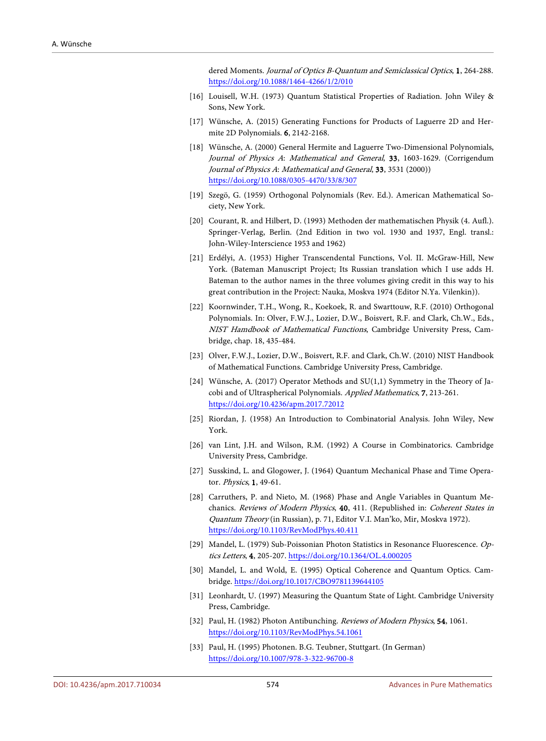dered Moments. Journal of Optics B-Quantum and Semiclassical Optics, 1, 264-288. <https://doi.org/10.1088/1464-4266/1/2/010>

- <span id="page-41-0"></span>[16] Louisell, W.H. (1973) Quantum Statistical Properties of Radiation. John Wiley & Sons, New York.
- <span id="page-41-1"></span>[17] Wünsche, A. (2015) Generating Functions for Products of Laguerre 2D and Hermite 2D Polynomials. 6, 2142-2168.
- <span id="page-41-2"></span>[18] Wünsche, A. (2000) General Hermite and Laguerre Two-Dimensional Polynomials, Journal of Physics A: Mathematical and General, 33, 1603-1629. (Corrigendum Journal of Physics A: Mathematical and General, 33, 3531 (2000)) <https://doi.org/10.1088/0305-4470/33/8/307>
- <span id="page-41-3"></span>[19] Szegö, G. (1959) Orthogonal Polynomials (Rev. Ed.). American Mathematical Society, New York.
- <span id="page-41-4"></span>[20] Courant, R. and Hilbert, D. (1993) Methoden der mathematischen Physik (4. Aufl.). Springer-Verlag, Berlin. (2nd Edition in two vol. 1930 and 1937, Engl. transl.: John-Wiley-Interscience 1953 and 1962)
- <span id="page-41-5"></span>[21] Erdélyi, A. (1953) Higher Transcendental Functions, Vol. II. McGraw-Hill, New York. (Bateman Manuscript Project; Its Russian translation which I use adds H. Bateman to the author names in the three volumes giving credit in this way to his great contribution in the Project: Nauka, Moskva 1974 (Editor N.Ya. Vilenkin)).
- <span id="page-41-6"></span>[22] Koornwinder, T.H., Wong, R., Koekoek, R. and Swarttouw, R.F. (2010) Orthogonal Polynomials. In: Olver, F.W.J., Lozier, D.W., Boisvert, R.F. and Clark, Ch.W., Eds., NIST Hamdbook of Mathematical Functions, Cambridge University Press, Cambridge, chap. 18, 435-484.
- <span id="page-41-7"></span>[23] Olver, F.W.J., Lozier, D.W., Boisvert, R.F. and Clark, Ch.W. (2010) NIST Handbook of Mathematical Functions. Cambridge University Press, Cambridge.
- <span id="page-41-8"></span>[24] Wünsche, A. (2017) Operator Methods and SU(1,1) Symmetry in the Theory of Jacobi and of Ultraspherical Polynomials. Applied Mathematics, 7, 213-261. <https://doi.org/10.4236/apm.2017.72012>
- <span id="page-41-9"></span>[25] Riordan, J. (1958) An Introduction to Combinatorial Analysis. John Wiley, New York.
- <span id="page-41-10"></span>[26] van Lint, J.H. and Wilson, R.M. (1992) A Course in Combinatorics. Cambridge University Press, Cambridge.
- <span id="page-41-11"></span>[27] Susskind, L. and Glogower, J. (1964) Quantum Mechanical Phase and Time Operator. Physics, 1, 49-61.
- <span id="page-41-12"></span>[28] Carruthers, P. and Nieto, M. (1968) Phase and Angle Variables in Quantum Mechanics. Reviews of Modern Physics, 40, 411. (Republished in: Coherent States in Quantum Theory (in Russian), p. 71, Editor V.I. Man'ko, Mir, Moskva 1972). <https://doi.org/10.1103/RevModPhys.40.411>
- <span id="page-41-13"></span>[29] Mandel, L. (1979) Sub-Poissonian Photon Statistics in Resonance Fluorescence. Optics Letters, 4, 205-207[. https://doi.org/10.1364/OL.4.000205](https://doi.org/10.1364/OL.4.000205)
- <span id="page-41-14"></span>[30] Mandel, L. and Wold, E. (1995) Optical Coherence and Quantum Optics. Cambridge[. https://doi.org/10.1017/CBO9781139644105](https://doi.org/10.1017/CBO9781139644105)
- <span id="page-41-15"></span>[31] Leonhardt, U. (1997) Measuring the Quantum State of Light. Cambridge University Press, Cambridge.
- <span id="page-41-16"></span>[32] Paul, H. (1982) Photon Antibunching. Reviews of Modern Physics, 54, 1061. <https://doi.org/10.1103/RevModPhys.54.1061>
- <span id="page-41-17"></span>[33] Paul, H. (1995) Photonen. B.G. Teubner, Stuttgart. (In German) <https://doi.org/10.1007/978-3-322-96700-8>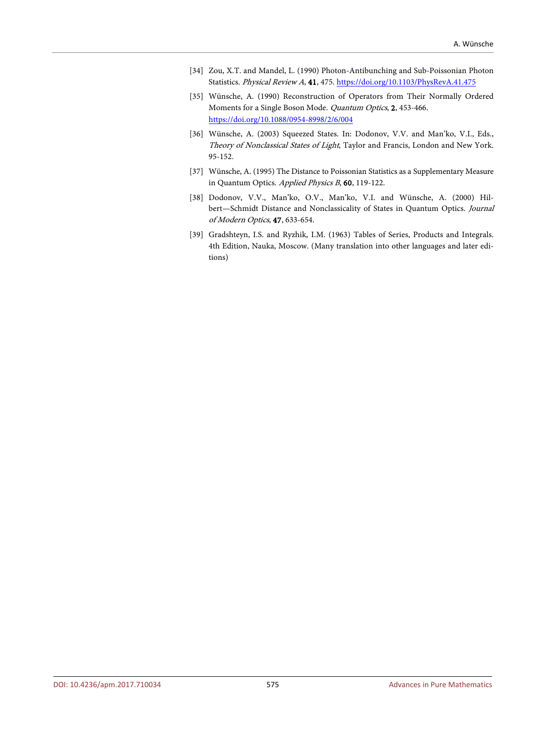- <span id="page-42-0"></span>[34] Zou, X.T. and Mandel, L. (1990) Photon-Antibunching and Sub-Poissonian Photon Statistics. Physical Review A, 41, 475[. https://doi.org/10.1103/PhysRevA.41.475](https://doi.org/10.1103/PhysRevA.41.475)
- <span id="page-42-1"></span>[35] Wünsche, A. (1990) Reconstruction of Operators from Their Normally Ordered Moments for a Single Boson Mode. Quantum Optics, 2, 453-466. <https://doi.org/10.1088/0954-8998/2/6/004>
- <span id="page-42-2"></span>[36] Wünsche, A. (2003) Squeezed States. In: Dodonov, V.V. and Man'ko, V.I., Eds., Theory of Nonclassical States of Light, Taylor and Francis, London and New York. 95-152.
- <span id="page-42-3"></span>[37] Wünsche, A. (1995) The Distance to Poissonian Statistics as a Supplementary Measure in Quantum Optics. Applied Physics B, 60, 119-122.
- <span id="page-42-4"></span>[38] Dodonov, V.V., Man'ko, O.V., Man'ko, V.I. and Wünsche, A. (2000) Hilbert—Schmidt Distance and Nonclassicality of States in Quantum Optics. Journal of Modern Optics, 47, 633-654.
- <span id="page-42-5"></span>[39] Gradshteyn, I.S. and Ryzhik, I.M. (1963) Tables of Series, Products and Integrals. 4th Edition, Nauka, Moscow. (Many translation into other languages and later editions)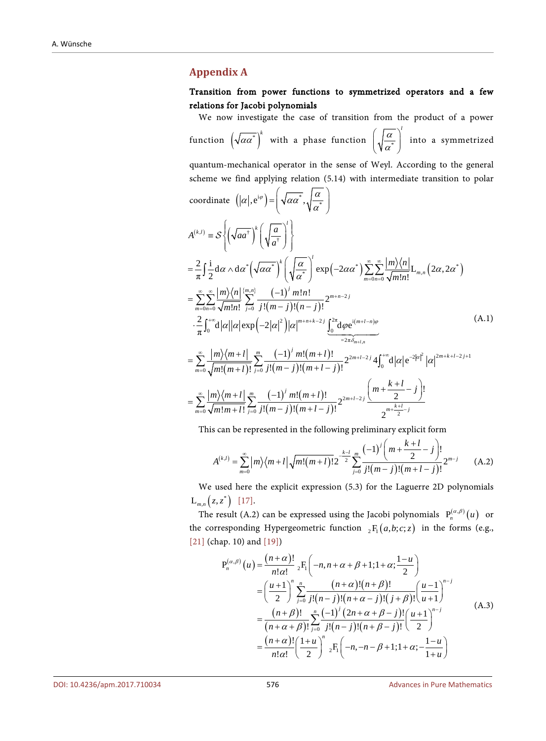#### <span id="page-43-0"></span>**Appendix A**

#### Transition from power functions to symmetrized operators and a few relations for Jacobi polynomials

We now investigate the case of transition from the product of a power function  $(\sqrt{\alpha\alpha^*})^k$  with a phase function  $\left(\sqrt{\frac{\alpha}{\alpha^*}}\right)$ *l* α  $\left(\sqrt{\frac{\alpha}{\alpha^*}}\right)$ into a symmetrized quantum-mechanical operator in the sense of Weyl. According to the general scheme we find applying relation (5.14) with intermediate transition to polar coordinate  $(|\alpha|, e^{i\varphi}) = |\sqrt{\alpha\alpha^*}, \sqrt{\frac{\alpha}{\alpha^*}}\rangle$ α  $\left(\begin{array}{c} \overline{a} \end{array}\right)$  $= \left| \sqrt{\alpha \alpha^*}, \sqrt{\frac{\alpha}{\alpha^*}} \right|$  $\left( \begin{array}{cc} & & \sqrt{\alpha} \end{array} \right)$  $\mathcal{S}\left\{\left(\sqrt{aa^{\dagger}}\right)\right\}$  $\mathcal{L}^*(\sqrt{\alpha\alpha^*})\left(\sqrt{\frac{\alpha}{\alpha^*}}\right)\exp\left(-2\alpha\alpha^*\right)\sum_{m=0} \sum_{n=0}^{\lfloor \frac{m}{2}\rfloor}\frac{\left|\frac{m}{2}\right|\left|\frac{n}{2}\right|}{\sqrt{m!n!}}L_{m,n}\left(2\alpha,2\alpha^*\right)$  $\left\{\stackrel{m,n}{\longrightarrow}\right\}$   $\left(-1\right)$  $(m - j)!(n - j)$  $\Bigl( -2\bigl| \alpha\bigr|^2 \, \Bigl) \bigl| \alpha \bigr|^{m+n+k-2j} \int_0^{2\pi} \hspace{-0.2cm}\mathrm{d} \varphi \mathrm{e}^{\mathrm{i} (m+l-n)}$ , †  $\frac{\langle n|\}{|n!}\sum_{j=0}^{\{m,n\}}\frac{(-1)^{j}\,m\,!n!}{j\,! (m-j)\,! (n-j)!}2^{m+n-2}$  $_{0n=0}$   $\sqrt{m}$ : $n$ :  $_{j=0}$  $2\int_{\alpha}^{\infty} |m+n+k-2j| \int_{a}^{2\pi} d\alpha$  $0$  0 0 0 0  $(1 + 1)(1 + 1)$  0  $=2π$  $\frac{2}{2} \left[\frac{1}{2}d\alpha \wedge d\alpha^* \left(\sqrt{\alpha\alpha^*}\right)^k\right]_n \left(\frac{\alpha}{2}\right) \exp(-2\alpha\alpha^*) \sum_{n=1}^{\infty} \frac{|m\rangle\langle n|}{\sqrt{n}} L_{m,n}(2\alpha,2\alpha)$  $\pi^{J} 2$   $\pi^{J} 2$   $\pi^{J}$   $\pi^{J}$   $\pi^{J}$   $\pi^{J}$   $\pi^{J}$   $\pi^{J}$   $\pi^{J}$   $\pi^{J}$  $\frac{2}{\pi}\int_0^{+\infty}\!\!\mathrm{d}\big|\alpha\big|\big|\alpha\big|\exp\Big(\!-\!2\big|\alpha\big|^2\Big)\big|\alpha\big|^{m+n+k-2j}\,\underbrace{\int_0^{2\pi}\!\mathrm{d}\varphi\mathrm{e}}$ *m ln*  $A^{(k,l)} \equiv S \left\{ \left( \sqrt{aa^{\dagger}} \right)^k \left( \sqrt{\frac{a}{a^{\dagger}}} \right)^l \right\}$  $\left( \sqrt{k^{2} + \alpha} \right)^{l}$  $\sum_{m=0}^{\infty}\sum_{n=0}^{\infty}\sqrt{m!n!}$  $\langle m \rangle \langle n |^{m,n} \langle m \rangle = (-1)^{j} m! n!$  $m=0n=0 \sqrt{m!n!}$  $m+n+k-2j$   $\int_{0}^{2\pi}$   $\int_{0}^{\infty}$   $\frac{1(m+l-n)\varphi}{n}$ *m*  $m \rangle \langle n$ *m n m*!*n*!  $\frac{1}{j=0}$   $j!(m-j)!(n-j)$ δ  $\alpha \wedge d\alpha^* \left(\sqrt{\alpha \alpha^*}\right)^* \left( \frac{\alpha}{\alpha} \right) \exp(-2\alpha \alpha^*) \sum_{i=1}^{\infty} \frac{|m \wedge n|}{\alpha} L_{n,i} (2\alpha, 2\alpha)$ α αα α α ϕ + ∞ ∞  $=\frac{2}{\pi}\int \frac{\mathrm{i}}{2} \mathrm{d}\alpha \wedge \mathrm{d}\alpha^* \left(\sqrt{\alpha \alpha^*}\right)^k \left(\sqrt{\frac{\alpha}{\alpha^*}}\right)^2 \exp\left(-2\alpha \alpha^*\right) \sum_{m=0}^{\infty} \sum_{n=0}^{\infty}$  $\sum_{m=n}^{\infty}$   $\langle m \rangle \langle n | \frac{\langle m, n \rangle}{\sum}$   $(-1)^{j} m! n!$  $=\sum_{m=0}^{\infty}\sum_{n=0}^{\infty}\frac{\left|m\right>\left$  $+\frac{2}{\pi}\int_0^{+\infty} d|\alpha| |\alpha| \exp(-2|\alpha|^2)|\alpha|^{m+n+k-2j} \underbrace{\int_0^{2\pi} d\varphi e^{i(m+l-n)\varphi}}$ =  $\mathcal{S}_{0}^{(n)}$  $(m+l)$  $(-1)' m!(m+l)$  $(m - j)!(m + l - j)$  $(-1)^{j} m!(m+l)$  $(m - j)!(m + l - j)$  $2m+l-2j\Delta \int_{0}^{+\infty} d|\alpha| \alpha^{-2|\alpha|^2} |\alpha|^{2m+k+l-2}j+1$  $\frac{1}{2}$   $\int_{0}^{1} (m+l)! \frac{1}{l^{2}}$   $j!(m-j)!(m+l-j)!$  $2m+l-2$ 0  $\sqrt{m}$ : $m + l$ :  $j=0$   $J$ : $\left(m - j\right)$ : $\left(m + l - j\right)$ :  $\frac{m + l}{2}$  $\frac{1}{2}\frac{\chi_{m}+l}{\chi_{m}+l} \sum_{j=0}^{m}\frac{(-1)^{j} \, m!(m+l)!}{j!(m-j)!(m+l-j)!} 2^{2m+l-2j}4\!\int_{0}^{+\infty}\!\!\mathrm{d}\big|\alpha\big|\mathrm{e}^{j}$  $\frac{1}{2} \frac{1}{m!(m+l)!} \frac{1}{2^{2m+l-2j}} \frac{\left(m+\frac{N+l}{2}-j\right)!}{2^{2m+l-2j}}$  $\frac{1}{m+l!} \sum_{j=0}^{l} j! (m-j)! (m+l-j)!$  $\sum_{m}$   $(-1)^{j} m! (m+l)!$   $2^{2m+l-2j} 4 \int_{0}^{+\infty} d|\alpha| \alpha^{2|\alpha|^{2}} |\alpha|^{2m+k+l-2j}$ *j*  $\sum_{m}$   $(-1)^{j} m!(m+l)!$   $\sum_{m+l-2j}$  $\sum_{m=0}^{\infty} \sqrt{m!m+l!} \sum_{j=0}^{\infty} j! (m-j)! (m+l-j)!$  $m\langle m+l| \frac{m}{m} - (-1)^l m!(m+l)$  $m!(m+l)!$   $\frac{1}{j=0}$   $j!(m-j)!(m+l-j)$  $\binom{m}{k+l}$   $\frac{m}{k!}$   $\binom{-1}{l}$  *m*! $\binom{m+l}{l}$   $\frac{m}{l}$   $\binom{m+\frac{k+l}{2}-j}{l}$  $m!m+l! \stackrel{\textstyle{<}{\scriptstyle\smile}}{_{\scriptstyle\smile}} j! (m-j)! (m+l-j)$  $\sum_{m=-\infty}^{\infty} \frac{|m\rangle\langle m+l|}{m} \sum_{m=-\infty}^{\infty} \frac{(-1)^{j} m! (m+l)!}{m! (m+l)!} 2^{2m+l-2j} 4 \int_{0}^{+\infty} d|\alpha| e^{-2|\alpha|^2} |\alpha|^{2m+k+l-2j+1}$ =  $\frac{1}{m!(m+l)!}$  =  $\sum_{m=1}^{\infty}$   $\left\lfloor m\right\rfloor$   $\left\lfloor (m+l)! \right\rfloor$   $\left\lfloor (m+l)! \right\rfloor$   $\left\lfloor (m+l)! \right\rfloor$  $\sum_{j=0}^{l} \sqrt{m!m+l!} \sum_{j=0}^{l} j! (m-j)! (m+l-j)!$  $+ l \, | \, \frac{m}{m} \, (-1)^j \, m! (m +$  $\sum_{m=0}^{\lfloor m/\sqrt{m+1}\rfloor} \frac{(-1)^{m} \cdot (m+t)!}{\sqrt{m!(m+t)!}} 2^{2m+l-2j} 4\int$  $\left( m + \frac{k+l}{2} - j \right)$  $=\sum_{m=0}^{\infty}\frac{|m\rangle\langle m+l|}{\sqrt{m!m+l!}}\sum_{j=0}^{m}\frac{(-1)^{j}m!(m+l)!}{j!(m-j)!(m+l-j)!}2^{2m+l-2j}\frac{\binom{m+l-2}{2}}{\sqrt{m+\frac{k+l-2}{2}}}$ (A.1)

This can be represented in the following preliminary explicit form

$$
A^{(k,l)} = \sum_{m=0}^{\infty} |m\rangle\langle m+l| \sqrt{m!(m+l)!} 2^{-\frac{k-l}{2}} \sum_{j=0}^{m} \frac{(-1)^j \left(m+\frac{k+l}{2}-j\right)!}{j!(m-j)!(m+l-j)!} 2^{m-j}
$$
 (A.2)

We used here the explicit expression (5.3) for the Laguerre 2D polynomials  $L_{m,n}( z, z^*)$  [\[17\].](#page-41-1)

The result (A.2) can be expressed using the Jacobi polynomials  $P_n^{(\alpha,\beta)}(u)$  or the corresponding Hypergeometric function  ${}_{2}F_{1}(a,b;c;z)$  in the forms (e.g., [\[21\]](#page-41-5) (chap. 10) and [\[19\]\)](#page-41-3)

$$
P_n^{(\alpha,\beta)}(u) = \frac{(n+\alpha)!}{n!\alpha!} {}_2F_1 \left( -n, n+\alpha+\beta+1; 1+\alpha; \frac{1-u}{2} \right)
$$
  
= 
$$
\left( \frac{u+1}{2} \right)^n \sum_{j=0}^n \frac{(n+\alpha)!(n+\beta)!}{j!(n-j)!(n+\alpha-j)!(j+\beta)!} \left( \frac{u-1}{u+1} \right)^{n-j}
$$
  
= 
$$
\frac{(n+\beta)!}{(n+\alpha+\beta)!} \sum_{j=0}^n \frac{(-1)^j (2n+\alpha+\beta-j)!}{j!(n-j)!(n+\beta-j)!} \left( \frac{u+1}{2} \right)^{n-j}
$$
  
= 
$$
\frac{(n+\alpha)!}{n!\alpha!} \left( \frac{1+u}{2} \right)^n {}_2F_1 \left( -n, -n-\beta+1; 1+\alpha; -\frac{1-u}{1+u} \right)
$$
 (A.3)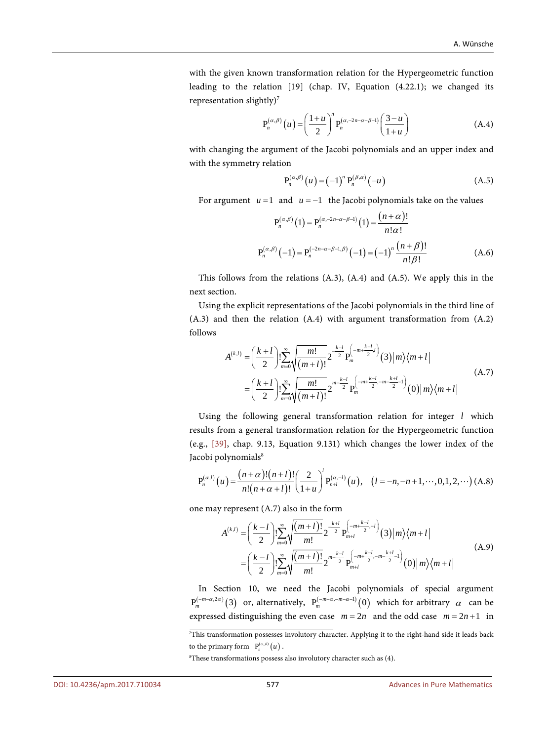with the given known transformation relation for the Hypergeometric function leading to the relation [19] (chap. IV, Equation (4.22.1); we changed its representation slightly $)^7$ 

$$
P_n^{(\alpha,\beta)}(u) = \left(\frac{1+u}{2}\right)^n P_n^{(\alpha,-2n-\alpha-\beta-1)}\left(\frac{3-u}{1+u}\right)
$$
 (A.4)

with changing the argument of the Jacobi polynomials and an upper index and with the symmetry relation

$$
P_n^{(\alpha,\beta)}(u) = (-1)^n P_n^{(\beta,\alpha)}(-u)
$$
 (A.5)

For argument  $u = 1$  and  $u = -1$  the Jacobi polynomials take on the values

$$
P_n^{(\alpha,\beta)}(1) = P_n^{(\alpha,-2n-\alpha-\beta-1)}(1) = \frac{(n+\alpha)!}{n!\alpha!}
$$
  

$$
P_n^{(\alpha,\beta)}(-1) = P_n^{(-2n-\alpha-\beta-1,\beta)}(-1) = (-1)^n \frac{(n+\beta)!}{n!\beta!}
$$
 (A.6)

This follows from the relations (A.3), (A.4) and (A.5). We apply this in the next section.

Using the explicit representations of the Jacobi polynomials in the third line of (A.3) and then the relation (A.4) with argument transformation from (A.2) follows

$$
A^{(k,l)} = \left(\frac{k+l}{2}\right)! \sum_{m=0}^{\infty} \sqrt{\frac{m!}{(m+l)!}} 2^{-\frac{k-l}{2}} P_m^{\left(-m+\frac{k-l}{2}\right)}(3) |m\rangle \langle m+l|
$$
  
=  $\left(\frac{k+l}{2}\right)! \sum_{m=0}^{\infty} \sqrt{\frac{m!}{(m+l)!}} 2^{-\frac{n-k-l}{2}} P_m^{\left(-m+\frac{k-l}{2}, -m-\frac{k+l}{2}\right)}(0) |m\rangle \langle m+l|$  (A.7)

Using the following general transformation relation for integer *l* which results from a general transformation relation for the Hypergeometric function (e.g., [\[39\],](#page-42-5) chap. 9.13, Equation 9.131) which changes the lower index of the Jacobi polynomials<sup>8</sup>

$$
P_n^{(\alpha,l)}(u) = \frac{(n+\alpha)!(n+l)!}{n!(n+\alpha+l)!} \left(\frac{2}{1+u}\right)^l P_{n+l}^{(\alpha,-l)}(u), \quad (l = -n, -n+1, \cdots, 0, 1, 2, \cdots) \text{ (A.8)}
$$

one may represent (A.7) also in the form

$$
A^{(k,l)} = \left(\frac{k-l}{2}\right)! \sum_{m=0}^{\infty} \sqrt{\frac{(m+l)!}{m!}} 2^{-\frac{k+l}{2}} P_{m+l}^{\left(-m+\frac{k-l}{2},-l\right)}(3) |m\rangle \langle m+l|
$$
  
=  $\left(\frac{k-l}{2}\right)! \sum_{m=0}^{\infty} \sqrt{\frac{(m+l)!}{m!}} 2^{-\frac{k-l}{2}} P_{m+l}^{\left(-m+\frac{k-l}{2},-m-\frac{k+l}{2}\right)}(0) |m\rangle \langle m+l|$  (A.9)

In Section 10, we need the Jacobi polynomials of special argument  $P_m^{(-m-\alpha,2\alpha)}(3)$  or, alternatively,  $P_m^{(-m-\alpha,-m-\alpha-1)}(0)$  which for arbitrary  $\alpha$  can be expressed distinguishing the even case  $m = 2n$  and the odd case  $m = 2n + 1$  in

<sup>7</sup> This transformation possesses involutory character. Applying it to the right-hand side it leads back to the primary form  $P_n^{(\alpha,\beta)}(u)$ .

<sup>8</sup> These transformations possess also involutory character such as (4).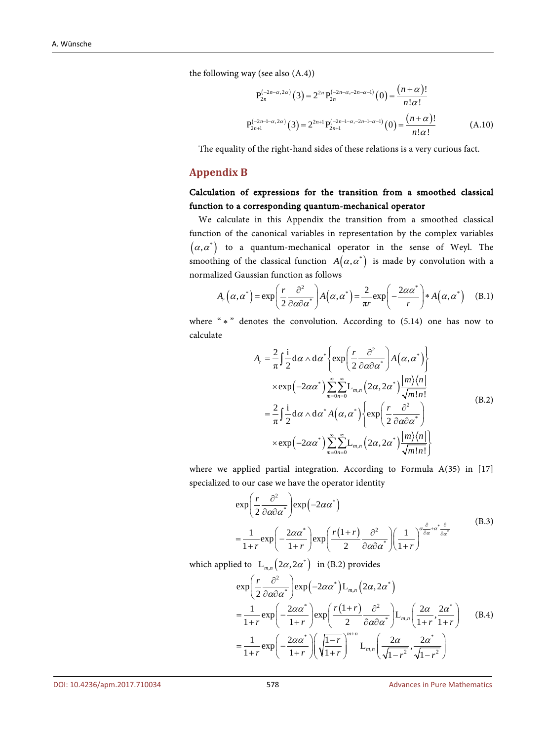the following way (see also (A.4))

$$
P_{2n}^{(-2n-\alpha,2\alpha)}(3) = 2^{2n} P_{2n}^{(-2n-\alpha,-2n-\alpha-1)}(0) = \frac{(n+\alpha)!}{n!\alpha!}
$$
  

$$
P_{2n+1}^{(-2n-1-\alpha,2\alpha)}(3) = 2^{2n+1} P_{2n+1}^{(-2n-1-\alpha,-2n-1-\alpha-1)}(0) = \frac{(n+\alpha)!}{n!\alpha!}
$$
 (A.10)

The equality of the right-hand sides of these relations is a very curious fact.

#### <span id="page-45-0"></span>**Appendix B**

## Calculation of expressions for the transition from a smoothed classical function to a corresponding quantum-mechanical operator

We calculate in this Appendix the transition from a smoothed classical function of the canonical variables in representation by the complex variables  $(\alpha, \alpha^*)$  to a quantum-mechanical operator in the sense of Weyl. The smoothing of the classical function  $A(\alpha, \alpha^*)$  is made by convolution with a normalized Gaussian function as follows

$$
A_r(\alpha, \alpha^*) = \exp\left(\frac{r}{2} \frac{\partial^2}{\partial \alpha \partial \alpha^*}\right) A(\alpha, \alpha^*) = \frac{2}{\pi r} \exp\left(-\frac{2\alpha \alpha^*}{r}\right) * A(\alpha, \alpha^*) \quad (B.1)
$$

where " \* " denotes the convolution. According to (5.14) one has now to calculate

$$
A_{r} = \frac{2}{\pi} \int \frac{\mathbf{i}}{2} d\alpha \wedge d\alpha^{*} \left\{ \exp\left(\frac{r}{2} \frac{\partial^{2}}{\partial \alpha \partial \alpha^{*}}\right) A(\alpha, \alpha^{*}) \right\}
$$
  
\n
$$
\times \exp\left(-2\alpha \alpha^{*}\right) \sum_{m=0}^{\infty} \sum_{n=0}^{\infty} \mathbf{L}_{m,n} \left(2\alpha, 2\alpha^{*}\right) \frac{|m\rangle\langle n|}{\sqrt{m!n!}}
$$
  
\n
$$
= \frac{2}{\pi} \int \frac{\mathbf{i}}{2} d\alpha \wedge d\alpha^{*} A(\alpha, \alpha^{*}) \left\{ \exp\left(\frac{r}{2} \frac{\partial^{2}}{\partial \alpha \partial \alpha^{*}}\right) \right\}
$$
  
\n
$$
\times \exp\left(-2\alpha \alpha^{*}\right) \sum_{m=0}^{\infty} \sum_{n=0}^{\infty} \mathbf{L}_{m,n} \left(2\alpha, 2\alpha^{*}\right) \frac{|m\rangle\langle n|}{\sqrt{m!n!}} \right\}
$$
  
\n(B.2)

where we applied partial integration. According to Formula A(35) in [17] specialized to our case we have the operator identity

$$
\exp\left(\frac{r}{2}\frac{\partial^2}{\partial\alpha\partial\alpha^*}\right)\exp\left(-2\alpha\alpha^*\right) \n= \frac{1}{1+r}\exp\left(-\frac{2\alpha\alpha^*}{1+r}\right)\exp\left(\frac{r(1+r)}{2}\frac{\partial^2}{\partial\alpha\partial\alpha^*}\right)\left(\frac{1}{1+r}\right)^{\alpha\frac{\partial}{\partial\alpha}+\alpha^*\frac{\partial}{\partial\alpha^*}}
$$
\n(B.3)

which applied to  $\left( L_{m,n} (2\alpha, 2\alpha^*) \right)$  in (B.2) provides

$$
\exp\left(\frac{r}{2}\frac{\partial^2}{\partial\alpha\partial\alpha^*}\right)\exp\left(-2\alpha\alpha^*\right)L_{m,n}\left(2\alpha,2\alpha^*\right)
$$
\n
$$
=\frac{1}{1+r}\exp\left(-\frac{2\alpha\alpha^*}{1+r}\right)\exp\left(\frac{r(1+r)}{2}\frac{\partial^2}{\partial\alpha\partial\alpha^*}\right)L_{m,n}\left(\frac{2\alpha}{1+r},\frac{2\alpha^*}{1+r}\right) \quad (B.4)
$$
\n
$$
=\frac{1}{1+r}\exp\left(-\frac{2\alpha\alpha^*}{1+r}\right)\left(\sqrt{\frac{1-r}{1+r}}\right)^{m+n}L_{m,n}\left(\frac{2\alpha}{\sqrt{1-r^2}},\frac{2\alpha^*}{\sqrt{1-r^2}}\right)
$$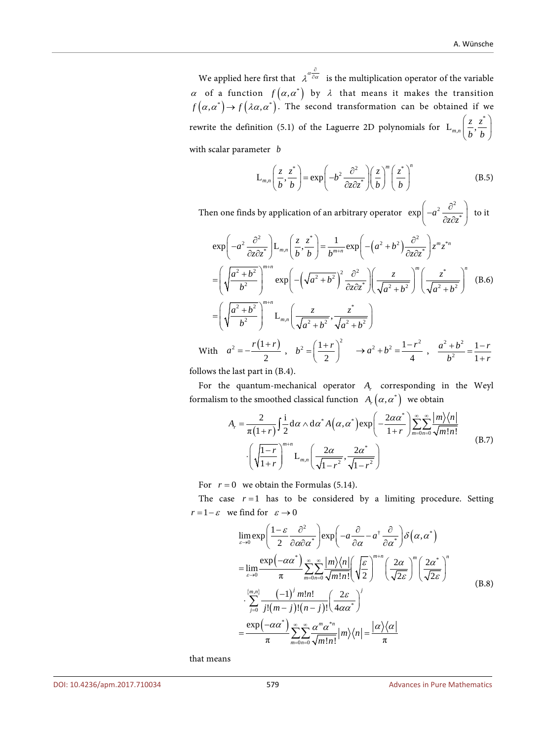We applied here first that  $\lambda^{\alpha \hat{\partial} \alpha}$  $\partial \alpha$  is the multiplication operator of the variable  $\alpha$  of a function  $f(\alpha, \alpha^*)$  by  $\lambda$  that means it makes the transition  $f(\alpha, \alpha^*) \to f(\lambda \alpha, \alpha^*)$ . The second transformation can be obtained if we rewrite the definition (5.1) of the Laguerre 2D polynomials for \*  $L_{m,n} \left( \frac{z}{l}, \frac{z}{l} \right)$  $\left(\frac{z}{b}, \frac{z^*}{b}\right)$ with scalar parameter *b*

$$
L_{m,n}\left(\frac{z}{b},\frac{z^*}{b}\right) = \exp\left(-b^2 \frac{\partial^2}{\partial z \partial z^*}\right) \left(\frac{z}{b}\right)^m \left(\frac{z^*}{b}\right)^n \tag{B.5}
$$

Then one finds by application of an arbitrary operator  $\exp\left(-a^2\frac{\partial^2}{\partial z \partial z^*}\right)$ to it

$$
\exp\left(-a^2 \frac{\partial^2}{\partial z \partial z^*}\right) \mathbf{L}_{m,n} \left(\frac{z}{b}, \frac{z^*}{b}\right) = \frac{1}{b^{m+n}} \exp\left(-\left(a^2 + b^2\right) \frac{\partial^2}{\partial z \partial z^*}\right) z^m z^{*n}
$$
\n
$$
= \left(\sqrt{\frac{a^2 + b^2}{b^2}}\right)^{m+n} \exp\left(-\left(\sqrt{a^2 + b^2}\right)^2 \frac{\partial^2}{\partial z \partial z^*}\right) \left(\frac{z}{\sqrt{a^2 + b^2}}\right)^m \left(\frac{z^*}{\sqrt{a^2 + b^2}}\right)^n \quad \text{(B.6)}
$$
\n
$$
= \left(\sqrt{\frac{a^2 + b^2}{b^2}}\right)^{m+n} \mathbf{L}_{m,n} \left(\frac{z}{\sqrt{a^2 + b^2}}, \frac{z^*}{\sqrt{a^2 + b^2}}\right)
$$
\n
$$
\text{With } a^2 = -\frac{r(1+r)}{2}, \quad b^2 = \left(\frac{1+r}{2}\right)^2 \quad \rightarrow a^2 + b^2 = \frac{1-r^2}{4}, \quad \frac{a^2 + b^2}{b^2} = \frac{1-r}{1+r}
$$

follows the last part in (B.4).

For the quantum-mechanical operator  $A_r$  corresponding in the Weyl formalism to the smoothed classical function  $A_r(\alpha, \alpha^*)$  we obtain

$$
A_{r} = \frac{2}{\pi(1+r)} \int \frac{1}{2} d\alpha \wedge d\alpha^{*} A(\alpha, \alpha^{*}) \exp\left(-\frac{2\alpha\alpha^{*}}{1+r}\right) \sum_{m=0}^{\infty} \sum_{n=0}^{\infty} \frac{|m\rangle\langle n|}{\sqrt{m!n!}} \cdot \left(\sqrt{\frac{1-r}{1+r}}\right)^{m+n} L_{m,n} \left(\frac{2\alpha}{\sqrt{1-r^{2}}}, \frac{2\alpha^{*}}{\sqrt{1-r^{2}}}\right)
$$
(B.7)

For  $r = 0$  we obtain the Formulas (5.14).

The case  $r = 1$  has to be considered by a limiting procedure. Setting  $r = 1 - \varepsilon$  we find for  $\varepsilon \to 0$ 

$$
\lim_{\varepsilon \to 0} \exp \left( \frac{1 - \varepsilon}{2} \frac{\partial^2}{\partial \alpha \partial \alpha^*} \right) \exp \left( -a \frac{\partial}{\partial \alpha} - a^{\dagger} \frac{\partial}{\partial \alpha^*} \right) \delta \left( \alpha, \alpha^* \right)
$$
\n
$$
= \lim_{\varepsilon \to 0} \frac{\exp \left( -\alpha \alpha^* \right)}{\pi} \sum_{m=0}^{\infty} \sum_{n=0}^{\infty} \frac{|m\rangle \langle n|}{\sqrt{m!n!}} \left( \frac{\varepsilon}{\sqrt{2}} \right)^{m+n} \left( \frac{2\alpha}{\sqrt{2\varepsilon}} \right)^n \left( \frac{2\alpha^*}{\sqrt{2\varepsilon}} \right)^n
$$
\n
$$
\cdot \sum_{j=0}^{\{m,n\}} \frac{(-1)^j m! n!}{j! (m-j)! (n-j)!} \left( \frac{2\varepsilon}{4\alpha \alpha^*} \right)^j
$$
\n
$$
= \frac{\exp \left( -\alpha \alpha^* \right)}{\pi} \sum_{m=0}^{\infty} \sum_{n=0}^{\infty} \frac{\alpha^m \alpha^{*n}}{\sqrt{m! n!}} |m\rangle \langle n| = \frac{|\alpha\rangle \langle \alpha|}{\pi}
$$
\n(B.8)

that means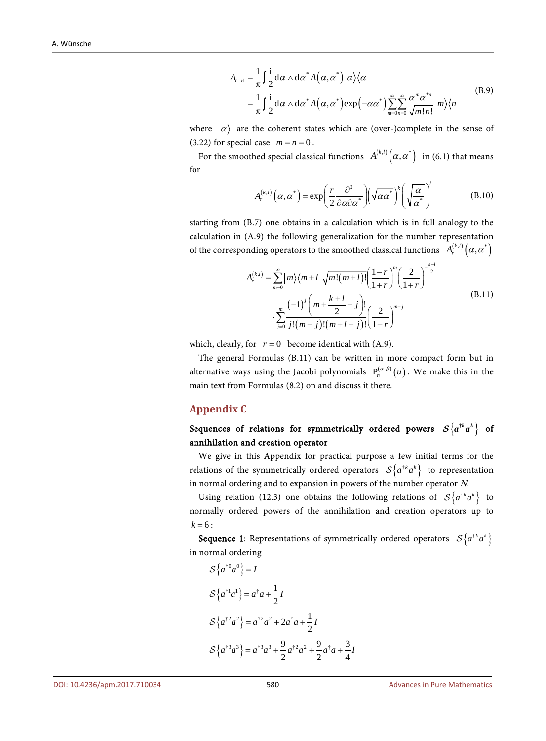$$
A_{r\to 1} = \frac{1}{\pi} \int \frac{i}{2} d\alpha \wedge d\alpha^* A(\alpha, \alpha^*) |\alpha\rangle\langle\alpha|
$$
  
= 
$$
\frac{1}{\pi} \int \frac{i}{2} d\alpha \wedge d\alpha^* A(\alpha, \alpha^*) \exp(-\alpha \alpha^*) \sum_{m=0}^{\infty} \sum_{n=0}^{\infty} \frac{\alpha^m \alpha^{*n}}{\sqrt{m! n!}} |m\rangle\langle n|
$$
 (B.9)

where  $|\alpha\rangle$  are the coherent states which are (over-)complete in the sense of  $(3.22)$  for special case  $m = n = 0$ .

For the smoothed special classical functions  $A^{(k,l)}(\alpha, \alpha^*)$  in (6.1) that means for

$$
A_r^{(k,l)}(\alpha, \alpha^*) = \exp\left(\frac{r}{2} \frac{\partial^2}{\partial \alpha \partial \alpha^*}\right) \left(\sqrt{\alpha \alpha^*}\right)^k \left(\sqrt{\frac{\alpha}{\alpha^*}}\right)^l \tag{B.10}
$$

starting from (B.7) one obtains in a calculation which is in full analogy to the calculation in (A.9) the following generalization for the number representation of the corresponding operators to the smoothed classical functions  $A_r^{(k,l)}\big(\alpha,\alpha^*\big)$ 

$$
A_r^{(k,l)} = \sum_{m=0}^{\infty} |m\rangle\langle m+l| \sqrt{m!(m+l)!} \left(\frac{1-r}{1+r}\right)^m \left(\frac{2}{1+r}\right)^{\frac{k-l}{2}}
$$
  
 
$$
\cdot \sum_{j=0}^m \frac{(-1)^j \left(m + \frac{k+l}{2} - j\right)!}{j!(m-j)!(m+l-j)!} \left(\frac{2}{1-r}\right)^{m-j}
$$
(B.11)

which, clearly, for  $r = 0$  become identical with (A.9).

The general Formulas (B.11) can be written in more compact form but in alternative ways using the Jacobi polynomials  $P_n^{(\alpha,\beta)}(u)$ . We make this in the main text from Formulas (8.2) on and discuss it there.

#### <span id="page-47-0"></span>**Appendix C**

# Sequences of relations for symmetrically ordered powers  $S\{a^{*k}a^{k}\}\$  of annihilation and creation operator

We give in this Appendix for practical purpose a few initial terms for the relations of the symmetrically ordered operators  $S\{a^{\dagger k}a^k\}$  to representation in normal ordering and to expansion in powers of the number operator  $N$ .

Using relation (12.3) one obtains the following relations of  $S\{a^{\dagger k}a^k\}$  to normally ordered powers of the annihilation and creation operators up to  $k = 6$ :

**Sequence 1:** Representations of symmetrically ordered operators  $S\{a^{*k}a^{k}\}$ in normal ordering

$$
\mathcal{S}\left\{a^{\dagger 0}a^{0}\right\} = I
$$
  

$$
\mathcal{S}\left\{a^{\dagger 1}a^{1}\right\} = a^{\dagger}a + \frac{1}{2}I
$$
  

$$
\mathcal{S}\left\{a^{\dagger 2}a^{2}\right\} = a^{\dagger 2}a^{2} + 2a^{\dagger}a + \frac{1}{2}I
$$
  

$$
\mathcal{S}\left\{a^{\dagger 3}a^{3}\right\} = a^{\dagger 3}a^{3} + \frac{9}{2}a^{\dagger 2}a^{2} + \frac{9}{2}a^{\dagger}a + \frac{3}{4}I
$$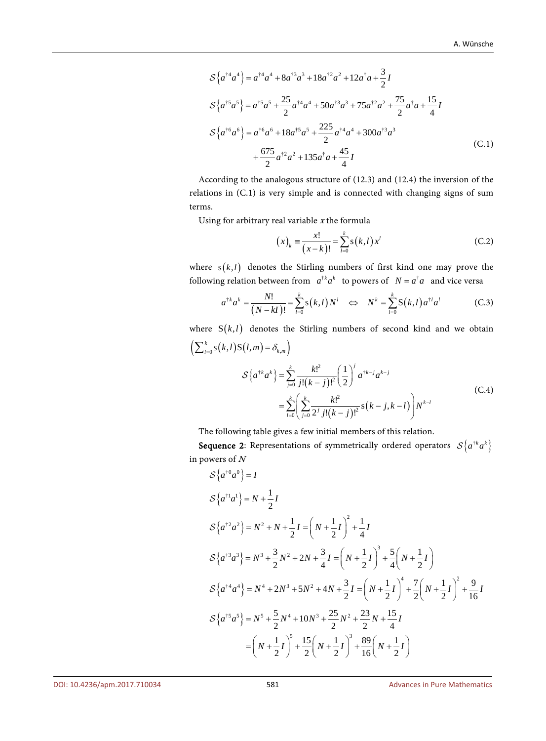$$
S\{a^{\dagger 4}a^{4}\} = a^{\dagger 4}a^{4} + 8a^{\dagger 3}a^{3} + 18a^{\dagger 2}a^{2} + 12a^{\dagger}a + \frac{3}{2}I
$$
  
\n
$$
S\{a^{\dagger 5}a^{5}\} = a^{\dagger 5}a^{5} + \frac{25}{2}a^{\dagger 4}a^{4} + 50a^{\dagger 3}a^{3} + 75a^{\dagger 2}a^{2} + \frac{75}{2}a^{\dagger}a + \frac{15}{4}I
$$
  
\n
$$
S\{a^{\dagger 6}a^{6}\} = a^{\dagger 6}a^{6} + 18a^{\dagger 5}a^{5} + \frac{225}{2}a^{\dagger 4}a^{4} + 300a^{\dagger 3}a^{3}
$$
  
\n
$$
+ \frac{675}{2}a^{\dagger 2}a^{2} + 135a^{\dagger}a + \frac{45}{4}I
$$
 (C.1)

According to the analogous structure of (12.3) and (12.4) the inversion of the relations in (C.1) is very simple and is connected with changing signs of sum terms.

Using for arbitrary real variable  $x$  the formula

$$
(x)_k = \frac{x!}{(x-k)!} = \sum_{l=0}^{k} s(k,l) x^l
$$
 (C.2)

where  $s(k, l)$  denotes the Stirling numbers of first kind one may prove the following relation between from  $a^{\dagger k} a^k$  to powers of  $N = a^{\dagger} a$  and vice versa

$$
a^{\dagger k} a^k = \frac{N!}{(N - kI)!} = \sum_{l=0}^k s(k, l) N^l \iff N^k = \sum_{l=0}^k S(k, l) a^{\dagger l} a^l
$$
 (C.3)

where  $S(k, l)$  denotes the Stirling numbers of second kind and we obtain  $\left( \sum_{l=0}^{k} s(k,l) S(l,m) = \delta_{k,m} \right)$  ${a^{k}a^{k}} = \sum_{j=0}^{n} \frac{n!}{j!(k-j)!}$  $\frac{k!}{(k-j)!^2}$  s  $(k-j, k-l)$  $\{A^k a^k\} = \sum_{j=0}^k \frac{k!^2}{j!(k-j)!^2} \left(\frac{1}{2}\right)^j a^{\dagger}$  $\mathsf{P}^2$  $\frac{1}{20}(\frac{2}{j=0} 2^{j} j!(k-j))^{2}$  $\mathbb{I}^2 \neq 1$  $!(k-j)!^2 \setminus 2$  $\sum_{l=0}^k \Biggl( \sum_{j=0}^k \frac{k!^2}{2^j \, j! (k-j)!^2} \hbox{\rm s} \bigl(k-j,k-l\bigr) \Biggr) N^{k-l}$  $\binom{k}{k}$  **k**<sup>2</sup>  $\binom{1}{j}$  *k*  $\binom{k+j}{k-j}$  $a^{\dagger k} a^k$ } =  $\sum_{j=0}^k \frac{k!^2}{j!(k-j)!^2} \left(\frac{1}{2}\right)^j a^{\dagger k-j} a^k$  $\mathcal{S}\left\{a^{*k}a^{k}\right\} = \sum_{j=0}^{k} \frac{k!^{2}}{j!(k-j)!^{2}} \left(\frac{1}{2}\right)$  $=\sum_{l=0}^{k} \left( \sum_{j=0}^{k} \frac{k l^2}{2^j j! (k-j)!^2} s(k-j, k-l) \right)$ (C.4)

The following table gives a few initial members of this relation.

**Sequence 2:** Representations of symmetrically ordered operators  $S\left\{a^{t}a^{k}\right\}$ in powers of <sup>N</sup>

$$
S\{a^{\dagger 0}a^{0}\} = I
$$
  
\n
$$
S\{a^{\dagger 1}a^{1}\} = N + \frac{1}{2}I
$$
  
\n
$$
S\{a^{\dagger 2}a^{2}\} = N^{2} + N + \frac{1}{2}I = (N + \frac{1}{2}I)^{2} + \frac{1}{4}I
$$
  
\n
$$
S\{a^{\dagger 3}a^{3}\} = N^{3} + \frac{3}{2}N^{2} + 2N + \frac{3}{4}I = (N + \frac{1}{2}I)^{3} + \frac{5}{4}(N + \frac{1}{2}I)
$$
  
\n
$$
S\{a^{\dagger 4}a^{4}\} = N^{4} + 2N^{3} + 5N^{2} + 4N + \frac{3}{2}I = (N + \frac{1}{2}I)^{4} + \frac{7}{2}(N + \frac{1}{2}I)^{2} + \frac{9}{16}I
$$
  
\n
$$
S\{a^{\dagger 5}a^{5}\} = N^{5} + \frac{5}{2}N^{4} + 10N^{3} + \frac{25}{2}N^{2} + \frac{23}{2}N + \frac{15}{4}I
$$
  
\n
$$
= (N + \frac{1}{2}I)^{5} + \frac{15}{2}(N + \frac{1}{2}I)^{3} + \frac{89}{16}(N + \frac{1}{2}I)
$$